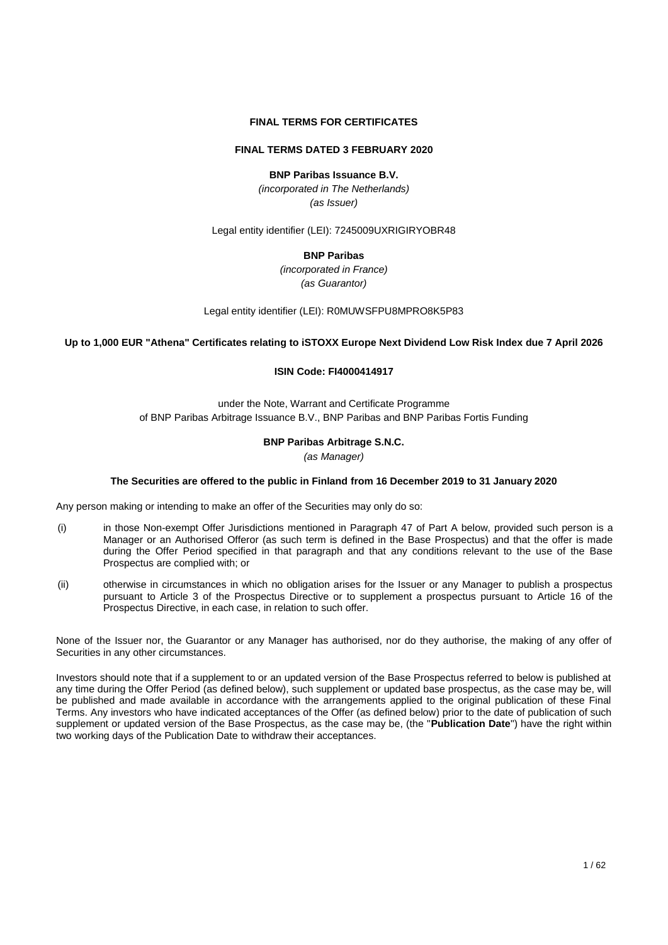### **FINAL TERMS FOR CERTIFICATES**

### **FINAL TERMS DATED 3 FEBRUARY 2020**

## **BNP Paribas Issuance B.V.**

*(incorporated in The Netherlands) (as Issuer)*

Legal entity identifier (LEI): 7245009UXRIGIRYOBR48

### **BNP Paribas**

*(incorporated in France) (as Guarantor)*

Legal entity identifier (LEI): R0MUWSFPU8MPRO8K5P83

**Up to 1,000 EUR "Athena" Certificates relating to iSTOXX Europe Next Dividend Low Risk Index due 7 April 2026**

#### **ISIN Code: FI4000414917**

under the Note, Warrant and Certificate Programme of BNP Paribas Arbitrage Issuance B.V., BNP Paribas and BNP Paribas Fortis Funding

#### **BNP Paribas Arbitrage S.N.C.**

*(as Manager)*

#### **The Securities are offered to the public in Finland from 16 December 2019 to 31 January 2020**

Any person making or intending to make an offer of the Securities may only do so:

- (i) in those Non-exempt Offer Jurisdictions mentioned in Paragraph 47 of Part A below, provided such person is a Manager or an Authorised Offeror (as such term is defined in the Base Prospectus) and that the offer is made during the Offer Period specified in that paragraph and that any conditions relevant to the use of the Base Prospectus are complied with; or
- (ii) otherwise in circumstances in which no obligation arises for the Issuer or any Manager to publish a prospectus pursuant to Article 3 of the Prospectus Directive or to supplement a prospectus pursuant to Article 16 of the Prospectus Directive, in each case, in relation to such offer.

None of the Issuer nor, the Guarantor or any Manager has authorised, nor do they authorise, the making of any offer of Securities in any other circumstances.

Investors should note that if a supplement to or an updated version of the Base Prospectus referred to below is published at any time during the Offer Period (as defined below), such supplement or updated base prospectus, as the case may be, will be published and made available in accordance with the arrangements applied to the original publication of these Final Terms. Any investors who have indicated acceptances of the Offer (as defined below) prior to the date of publication of such supplement or updated version of the Base Prospectus, as the case may be, (the "**Publication Date**") have the right within two working days of the Publication Date to withdraw their acceptances.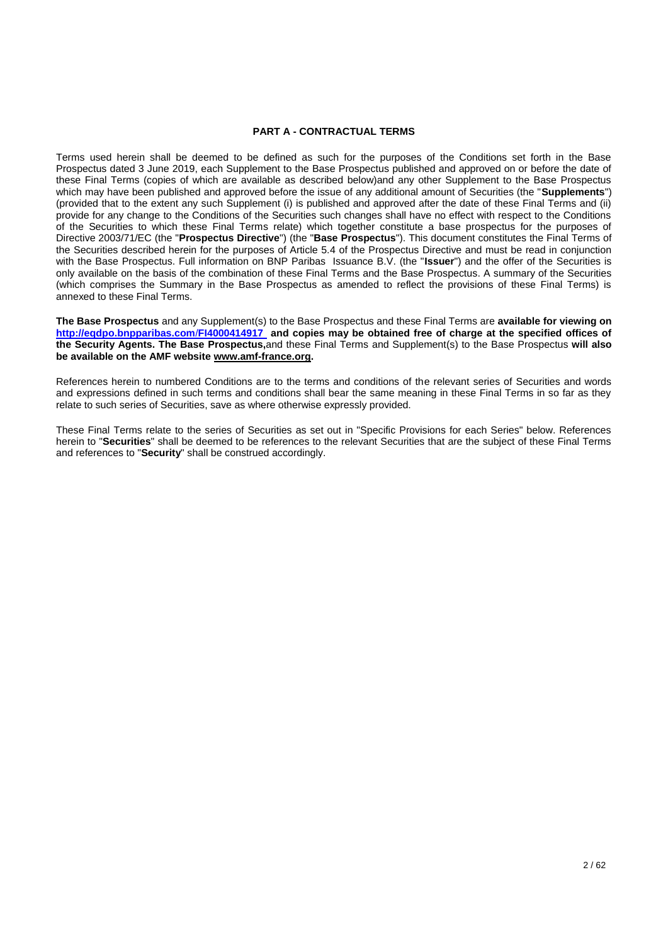#### **PART A - CONTRACTUAL TERMS**

Terms used herein shall be deemed to be defined as such for the purposes of the Conditions set forth in the Base Prospectus dated 3 June 2019, each Supplement to the Base Prospectus published and approved on or before the date of these Final Terms (copies of which are available as described below)and any other Supplement to the Base Prospectus which may have been published and approved before the issue of any additional amount of Securities (the "**Supplements**") (provided that to the extent any such Supplement (i) is published and approved after the date of these Final Terms and (ii) provide for any change to the Conditions of the Securities such changes shall have no effect with respect to the Conditions of the Securities to which these Final Terms relate) which together constitute a base prospectus for the purposes of Directive 2003/71/EC (the "**Prospectus Directive**") (the "**Base Prospectus**"). This document constitutes the Final Terms of the Securities described herein for the purposes of Article 5.4 of the Prospectus Directive and must be read in conjunction with the Base Prospectus. Full information on BNP Paribas Issuance B.V. (the "**Issuer**") and the offer of the Securities is only available on the basis of the combination of these Final Terms and the Base Prospectus. A summary of the Securities (which comprises the Summary in the Base Prospectus as amended to reflect the provisions of these Final Terms) is annexed to these Final Terms.

**The Base Prospectus** and any Supplement(s) to the Base Prospectus and these Final Terms are **available for viewing on [http://eqdpo.bnpparibas.com](http://eqdpo.bnpparibas.com/FI4000414917)**/**FI4000414917 and copies may be obtained free of charge at the specified offices of the Security Agents. The Base Prospectus,**and these Final Terms and Supplement(s) to the Base Prospectus **will also be available on the AMF website [www.amf-france.org.](http://www.amf-france.org/)**

References herein to numbered Conditions are to the terms and conditions of the relevant series of Securities and words and expressions defined in such terms and conditions shall bear the same meaning in these Final Terms in so far as they relate to such series of Securities, save as where otherwise expressly provided.

These Final Terms relate to the series of Securities as set out in "Specific Provisions for each Series" below. References herein to "**Securities**" shall be deemed to be references to the relevant Securities that are the subject of these Final Terms and references to "**Security**" shall be construed accordingly.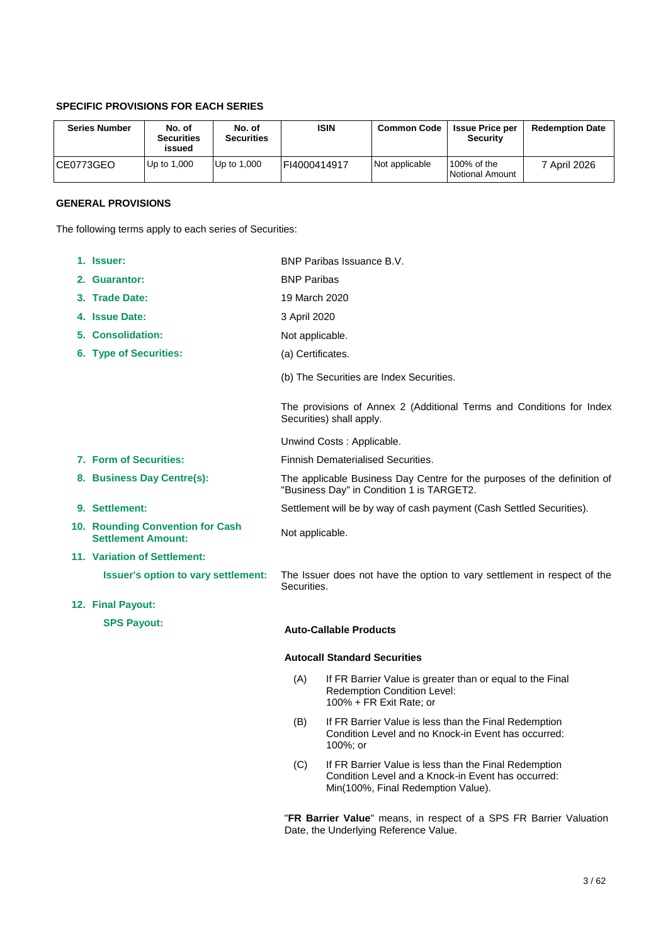# **SPECIFIC PROVISIONS FOR EACH SERIES**

| <b>Series Number</b> | No. of<br><b>Securities</b><br>issued | No. of<br><b>Securities</b> | <b>ISIN</b>  | <b>Common Code</b> | <b>Issue Price per</b><br><b>Security</b> | <b>Redemption Date</b> |
|----------------------|---------------------------------------|-----------------------------|--------------|--------------------|-------------------------------------------|------------------------|
| ICE0773GEO           | Up to 1,000                           | Up to 1,000                 | FI4000414917 | Not applicable     | 100% of the<br>Notional Amount            | 7 April 2026           |

## **GENERAL PROVISIONS**

The following terms apply to each series of Securities:

| 1. Issuer:                                                    | BNP Paribas Issuance B.V.                                                                                             |                                                                                                                                                   |  |
|---------------------------------------------------------------|-----------------------------------------------------------------------------------------------------------------------|---------------------------------------------------------------------------------------------------------------------------------------------------|--|
| 2. Guarantor:                                                 | <b>BNP Paribas</b>                                                                                                    |                                                                                                                                                   |  |
| 3. Trade Date:                                                | 19 March 2020                                                                                                         |                                                                                                                                                   |  |
| 4. Issue Date:                                                | 3 April 2020                                                                                                          |                                                                                                                                                   |  |
| 5. Consolidation:                                             | Not applicable.                                                                                                       |                                                                                                                                                   |  |
| 6. Type of Securities:                                        | (a) Certificates.                                                                                                     |                                                                                                                                                   |  |
|                                                               |                                                                                                                       | (b) The Securities are Index Securities.                                                                                                          |  |
|                                                               |                                                                                                                       | The provisions of Annex 2 (Additional Terms and Conditions for Index<br>Securities) shall apply.                                                  |  |
|                                                               |                                                                                                                       | Unwind Costs: Applicable.                                                                                                                         |  |
| 7. Form of Securities:                                        |                                                                                                                       | Finnish Dematerialised Securities.                                                                                                                |  |
| 8. Business Day Centre(s):                                    | The applicable Business Day Centre for the purposes of the definition of<br>"Business Day" in Condition 1 is TARGET2. |                                                                                                                                                   |  |
| 9. Settlement:                                                | Settlement will be by way of cash payment (Cash Settled Securities).                                                  |                                                                                                                                                   |  |
| 10. Rounding Convention for Cash<br><b>Settlement Amount:</b> | Not applicable.                                                                                                       |                                                                                                                                                   |  |
| <b>11. Variation of Settlement:</b>                           |                                                                                                                       |                                                                                                                                                   |  |
| Issuer's option to vary settlement:                           | Securities.                                                                                                           | The Issuer does not have the option to vary settlement in respect of the                                                                          |  |
| 12. Final Payout:                                             |                                                                                                                       |                                                                                                                                                   |  |
| <b>SPS Payout:</b>                                            |                                                                                                                       | <b>Auto-Callable Products</b>                                                                                                                     |  |
|                                                               |                                                                                                                       | <b>Autocall Standard Securities</b>                                                                                                               |  |
|                                                               | (A)                                                                                                                   | If FR Barrier Value is greater than or equal to the Final<br>Redemption Condition Level:<br>100% + FR Exit Rate; or                               |  |
|                                                               | (B)                                                                                                                   | If FR Barrier Value is less than the Final Redemption<br>Condition Level and no Knock-in Event has occurred:<br>100%; or                          |  |
|                                                               | (C)                                                                                                                   | If FR Barrier Value is less than the Final Redemption<br>Condition Level and a Knock-in Event has occurred:<br>Min(100%, Final Redemption Value). |  |

"**FR Barrier Value**" means, in respect of a SPS FR Barrier Valuation Date, the Underlying Reference Value.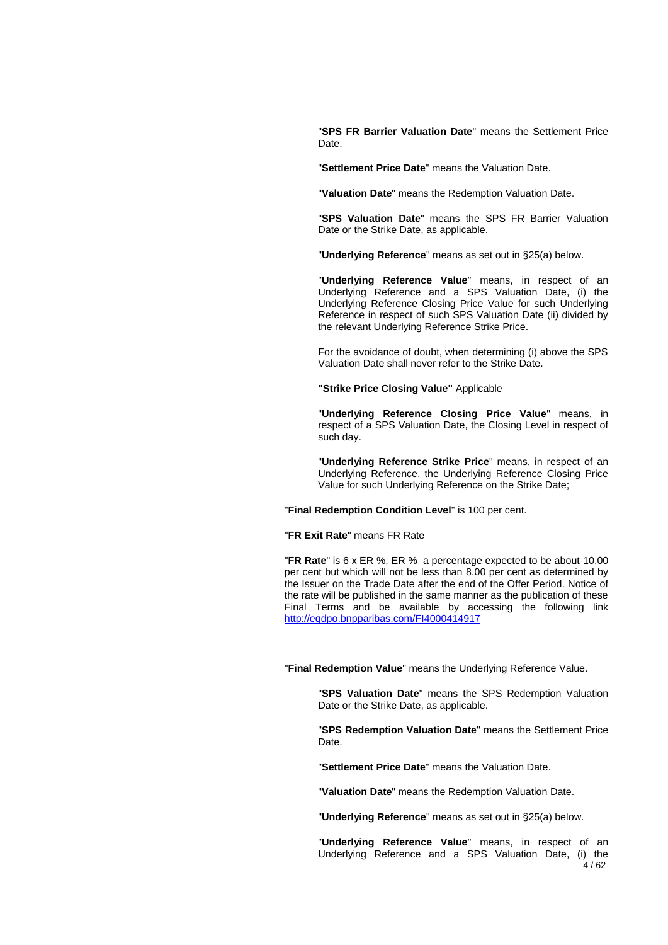"**SPS FR Barrier Valuation Date**" means the Settlement Price Date.

"**Settlement Price Date**" means the Valuation Date.

"**Valuation Date**" means the Redemption Valuation Date.

"**SPS Valuation Date**" means the SPS FR Barrier Valuation Date or the Strike Date, as applicable.

"**Underlying Reference**" means as set out in §25(a) below.

"**Underlying Reference Value**" means, in respect of an Underlying Reference and a SPS Valuation Date, (i) the Underlying Reference Closing Price Value for such Underlying Reference in respect of such SPS Valuation Date (ii) divided by the relevant Underlying Reference Strike Price.

For the avoidance of doubt, when determining (i) above the SPS Valuation Date shall never refer to the Strike Date.

**"Strike Price Closing Value"** Applicable

"**Underlying Reference Closing Price Value**" means, in respect of a SPS Valuation Date, the Closing Level in respect of such day.

"**Underlying Reference Strike Price**" means, in respect of an Underlying Reference, the Underlying Reference Closing Price Value for such Underlying Reference on the Strike Date;

"**Final Redemption Condition Level**" is 100 per cent.

"**FR Exit Rate**" means FR Rate

"**FR Rate**" is 6 x ER %, ER % a percentage expected to be about 10.00 per cent but which will not be less than 8.00 per cent as determined by the Issuer on the Trade Date after the end of the Offer Period. Notice of the rate will be published in the same manner as the publication of these Final Terms and be available by accessing the following link <http://eqdpo.bnpparibas.com/FI4000414917>

"**Final Redemption Value**" means the Underlying Reference Value.

"**SPS Valuation Date**" means the SPS Redemption Valuation Date or the Strike Date, as applicable.

"**SPS Redemption Valuation Date**" means the Settlement Price Date.

"**Settlement Price Date**" means the Valuation Date.

"**Valuation Date**" means the Redemption Valuation Date.

"**Underlying Reference**" means as set out in §25(a) below.

 $4/62$ "**Underlying Reference Value**" means, in respect of an Underlying Reference and a SPS Valuation Date, (i) the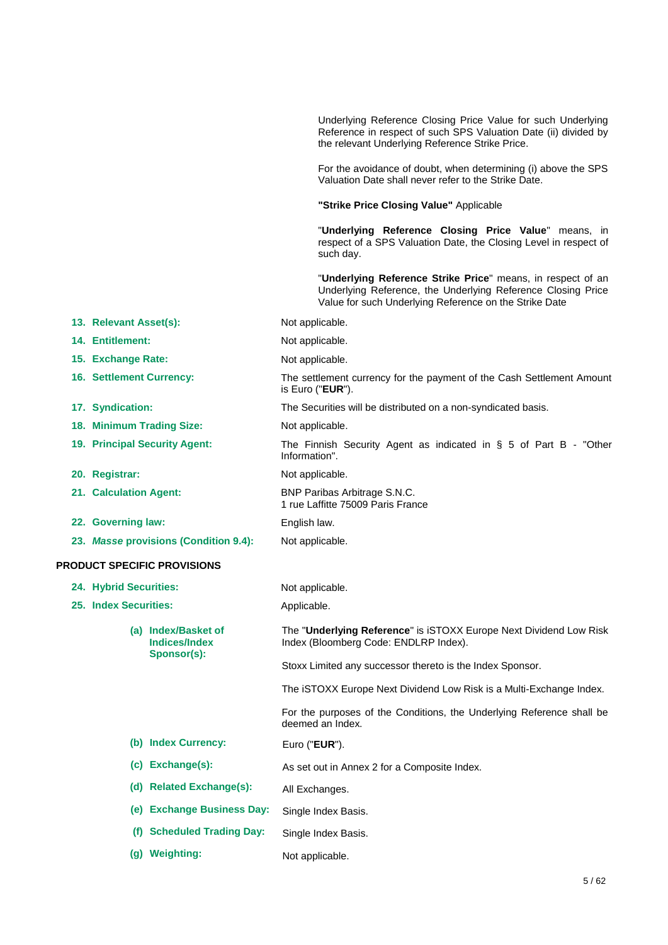|                                       |                                                            | Underlying Reference Closing Price Value for such Underlying<br>Reference in respect of such SPS Valuation Date (ii) divided by<br>the relevant Underlying Reference Strike Price.    |
|---------------------------------------|------------------------------------------------------------|---------------------------------------------------------------------------------------------------------------------------------------------------------------------------------------|
|                                       |                                                            | For the avoidance of doubt, when determining (i) above the SPS<br>Valuation Date shall never refer to the Strike Date.                                                                |
|                                       |                                                            | "Strike Price Closing Value" Applicable                                                                                                                                               |
|                                       |                                                            | "Underlying Reference Closing Price Value" means, in<br>respect of a SPS Valuation Date, the Closing Level in respect of<br>such day.                                                 |
|                                       |                                                            | "Underlying Reference Strike Price" means, in respect of an<br>Underlying Reference, the Underlying Reference Closing Price<br>Value for such Underlying Reference on the Strike Date |
| 13. Relevant Asset(s):                |                                                            | Not applicable.                                                                                                                                                                       |
| 14. Entitlement:                      |                                                            | Not applicable.                                                                                                                                                                       |
| 15. Exchange Rate:                    |                                                            | Not applicable.                                                                                                                                                                       |
| 16. Settlement Currency:              |                                                            | The settlement currency for the payment of the Cash Settlement Amount<br>is Euro ("EUR").                                                                                             |
| 17. Syndication:                      |                                                            | The Securities will be distributed on a non-syndicated basis.                                                                                                                         |
| 18. Minimum Trading Size:             |                                                            | Not applicable.                                                                                                                                                                       |
| 19. Principal Security Agent:         |                                                            | The Finnish Security Agent as indicated in $\S$ 5 of Part B - "Other<br>Information".                                                                                                 |
| 20. Registrar:                        |                                                            | Not applicable.                                                                                                                                                                       |
| 21. Calculation Agent:                |                                                            | BNP Paribas Arbitrage S.N.C.<br>1 rue Laffitte 75009 Paris France                                                                                                                     |
| 22. Governing law:                    |                                                            | English law.                                                                                                                                                                          |
| 23. Masse provisions (Condition 9.4): |                                                            | Not applicable.                                                                                                                                                                       |
|                                       | <b>PRODUCT SPECIFIC PROVISIONS</b>                         |                                                                                                                                                                                       |
| <b>24. Hybrid Securities:</b>         |                                                            | Not applicable.                                                                                                                                                                       |
| 25. Index Securities:                 |                                                            | Applicable.                                                                                                                                                                           |
|                                       | (a) Index/Basket of<br><b>Indices/Index</b><br>Sponsor(s): | The "Underlying Reference" is iSTOXX Europe Next Dividend Low Risk<br>Index (Bloomberg Code: ENDLRP Index).                                                                           |
|                                       |                                                            | Stoxx Limited any successor thereto is the Index Sponsor.                                                                                                                             |
|                                       |                                                            | The iSTOXX Europe Next Dividend Low Risk is a Multi-Exchange Index.                                                                                                                   |
|                                       |                                                            | For the purposes of the Conditions, the Underlying Reference shall be<br>deemed an Index.                                                                                             |
|                                       | (b) Index Currency:                                        | Euro ("EUR").                                                                                                                                                                         |
|                                       | (c) Exchange(s):                                           | As set out in Annex 2 for a Composite Index.                                                                                                                                          |
|                                       | (d) Related Exchange(s):                                   | All Exchanges.                                                                                                                                                                        |
| (e)                                   | <b>Exchange Business Day:</b>                              | Single Index Basis.                                                                                                                                                                   |
| (f)                                   | <b>Scheduled Trading Day:</b>                              | Single Index Basis.                                                                                                                                                                   |
|                                       | (g) Weighting:                                             | Not applicable.                                                                                                                                                                       |
|                                       |                                                            |                                                                                                                                                                                       |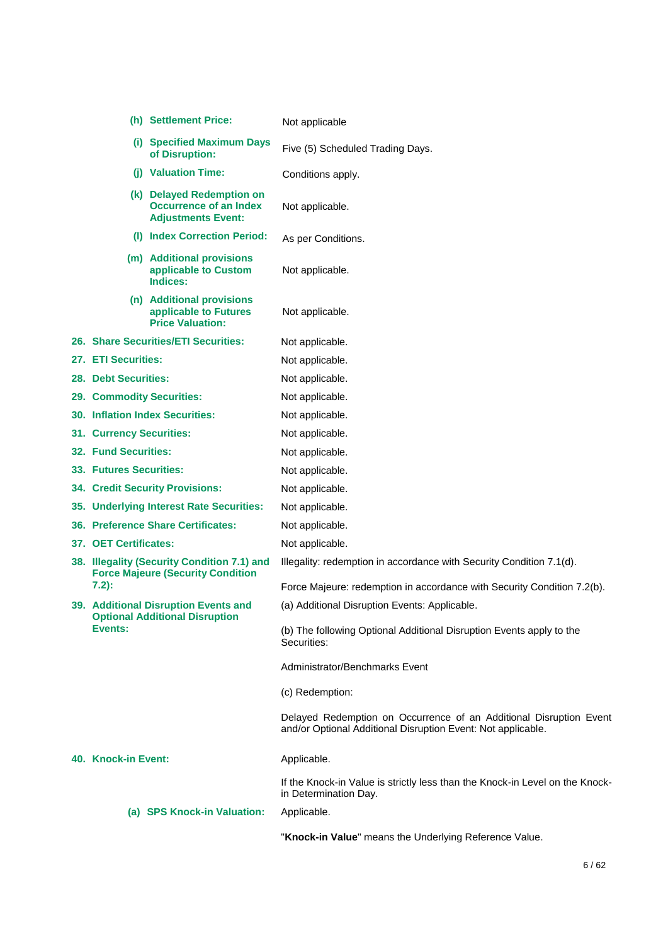|                                                                                         | (h) Settlement Price:                                                                   | Not applicable                                                                                                                     |
|-----------------------------------------------------------------------------------------|-----------------------------------------------------------------------------------------|------------------------------------------------------------------------------------------------------------------------------------|
|                                                                                         | (i) Specified Maximum Days<br>of Disruption:                                            | Five (5) Scheduled Trading Days.                                                                                                   |
|                                                                                         | (i) Valuation Time:                                                                     | Conditions apply.                                                                                                                  |
|                                                                                         | (k) Delayed Redemption on<br><b>Occurrence of an Index</b><br><b>Adjustments Event:</b> | Not applicable.                                                                                                                    |
|                                                                                         | (I) Index Correction Period:                                                            | As per Conditions.                                                                                                                 |
|                                                                                         | (m) Additional provisions<br>applicable to Custom<br>Indices:                           | Not applicable.                                                                                                                    |
|                                                                                         | (n) Additional provisions<br>applicable to Futures<br><b>Price Valuation:</b>           | Not applicable.                                                                                                                    |
|                                                                                         | 26. Share Securities/ETI Securities:                                                    | Not applicable.                                                                                                                    |
| 27. ETI Securities:                                                                     |                                                                                         | Not applicable.                                                                                                                    |
| <b>28. Debt Securities:</b>                                                             |                                                                                         | Not applicable.                                                                                                                    |
|                                                                                         | 29. Commodity Securities:                                                               | Not applicable.                                                                                                                    |
|                                                                                         | <b>30. Inflation Index Securities:</b>                                                  | Not applicable.                                                                                                                    |
| 31. Currency Securities:                                                                |                                                                                         | Not applicable.                                                                                                                    |
| <b>32. Fund Securities:</b>                                                             |                                                                                         | Not applicable.                                                                                                                    |
| 33. Futures Securities:                                                                 |                                                                                         | Not applicable.                                                                                                                    |
|                                                                                         | <b>34. Credit Security Provisions:</b>                                                  | Not applicable.                                                                                                                    |
| 35. Underlying Interest Rate Securities:                                                |                                                                                         | Not applicable.                                                                                                                    |
|                                                                                         | <b>36. Preference Share Certificates:</b>                                               | Not applicable.                                                                                                                    |
| 37. OET Certificates:                                                                   |                                                                                         | Not applicable.                                                                                                                    |
| 38. Illegality (Security Condition 7.1) and<br><b>Force Majeure (Security Condition</b> |                                                                                         | Illegality: redemption in accordance with Security Condition 7.1(d).                                                               |
| $7.2)$ :                                                                                |                                                                                         | Force Majeure: redemption in accordance with Security Condition 7.2(b).                                                            |
|                                                                                         | <b>39. Additional Disruption Events and</b><br><b>Optional Additional Disruption</b>    | (a) Additional Disruption Events: Applicable.                                                                                      |
| Events:                                                                                 |                                                                                         | (b) The following Optional Additional Disruption Events apply to the<br>Securities:                                                |
|                                                                                         |                                                                                         | Administrator/Benchmarks Event                                                                                                     |
|                                                                                         |                                                                                         | (c) Redemption:                                                                                                                    |
|                                                                                         |                                                                                         | Delayed Redemption on Occurrence of an Additional Disruption Event<br>and/or Optional Additional Disruption Event: Not applicable. |
| 40. Knock-in Event:                                                                     |                                                                                         | Applicable.                                                                                                                        |
|                                                                                         |                                                                                         | If the Knock-in Value is strictly less than the Knock-in Level on the Knock-<br>in Determination Day.                              |
|                                                                                         | (a) SPS Knock-in Valuation:                                                             | Applicable.                                                                                                                        |
|                                                                                         |                                                                                         | "Knock-in Value" means the Underlying Reference Value.                                                                             |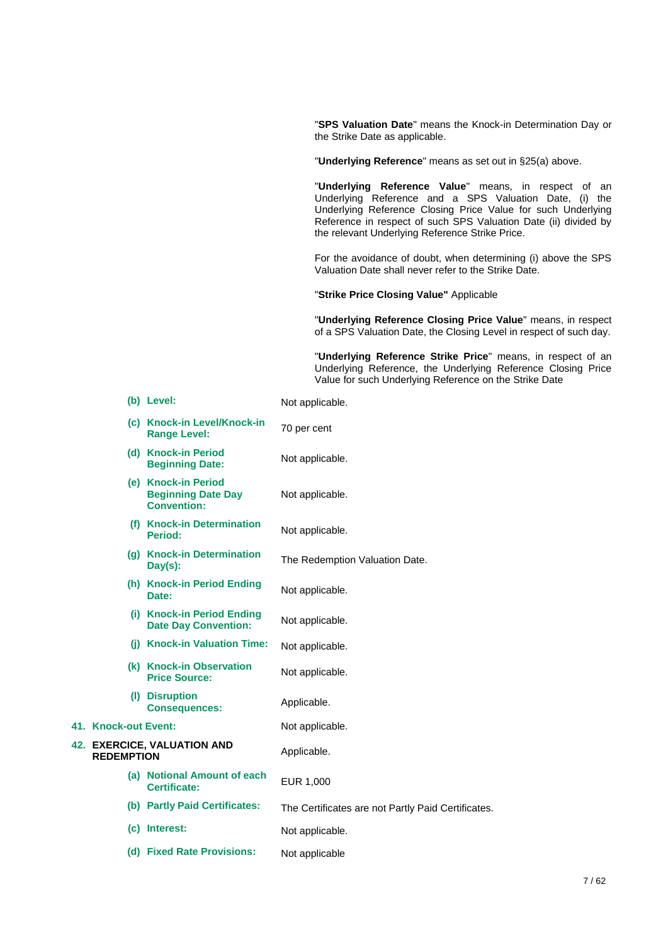"**SPS Valuation Date**" means the Knock-in Determination Day or the Strike Date as applicable.

"**Underlying Reference**" means as set out in §25(a) above.

"**Underlying Reference Value**" means, in respect of an Underlying Reference and a SPS Valuation Date, (i) the Underlying Reference Closing Price Value for such Underlying Reference in respect of such SPS Valuation Date (ii) divided by the relevant Underlying Reference Strike Price.

For the avoidance of doubt, when determining (i) above the SPS Valuation Date shall never refer to the Strike Date.

"**Strike Price Closing Value"** Applicable

"**Underlying Reference Closing Price Value**" means, in respect of a SPS Valuation Date, the Closing Level in respect of such day.

"**Underlying Reference Strike Price**" means, in respect of an Underlying Reference, the Underlying Reference Closing Price Value for such Underlying Reference on the Strike Date

|                      | (b) Level:                                                             | Not applicable.                                    |
|----------------------|------------------------------------------------------------------------|----------------------------------------------------|
|                      | (c) Knock-in Level/Knock-in<br><b>Range Level:</b>                     | 70 per cent                                        |
|                      | (d) Knock-in Period<br><b>Beginning Date:</b>                          | Not applicable.                                    |
|                      | (e) Knock-in Period<br><b>Beginning Date Day</b><br><b>Convention:</b> | Not applicable.                                    |
|                      | (f) Knock-in Determination<br>Period:                                  | Not applicable.                                    |
|                      | (g) Knock-in Determination<br>$Day(s)$ :                               | The Redemption Valuation Date.                     |
|                      | (h) Knock-in Period Ending<br>Date:                                    | Not applicable.                                    |
|                      | (i) Knock-in Period Ending<br><b>Date Day Convention:</b>              | Not applicable.                                    |
|                      | (i) Knock-in Valuation Time:                                           | Not applicable.                                    |
|                      | (k) Knock-in Observation<br><b>Price Source:</b>                       | Not applicable.                                    |
|                      | (I) Disruption<br><b>Consequences:</b>                                 | Applicable.                                        |
| 41. Knock-out Event: |                                                                        | Not applicable.                                    |
| <b>REDEMPTION</b>    | 42. EXERCICE, VALUATION AND                                            | Applicable.                                        |
|                      | (a) Notional Amount of each<br><b>Certificate:</b>                     | EUR 1,000                                          |
|                      | (b) Partly Paid Certificates:                                          | The Certificates are not Partly Paid Certificates. |
|                      | (c) Interest:                                                          | Not applicable.                                    |
|                      | (d) Fixed Rate Provisions:                                             | Not applicable                                     |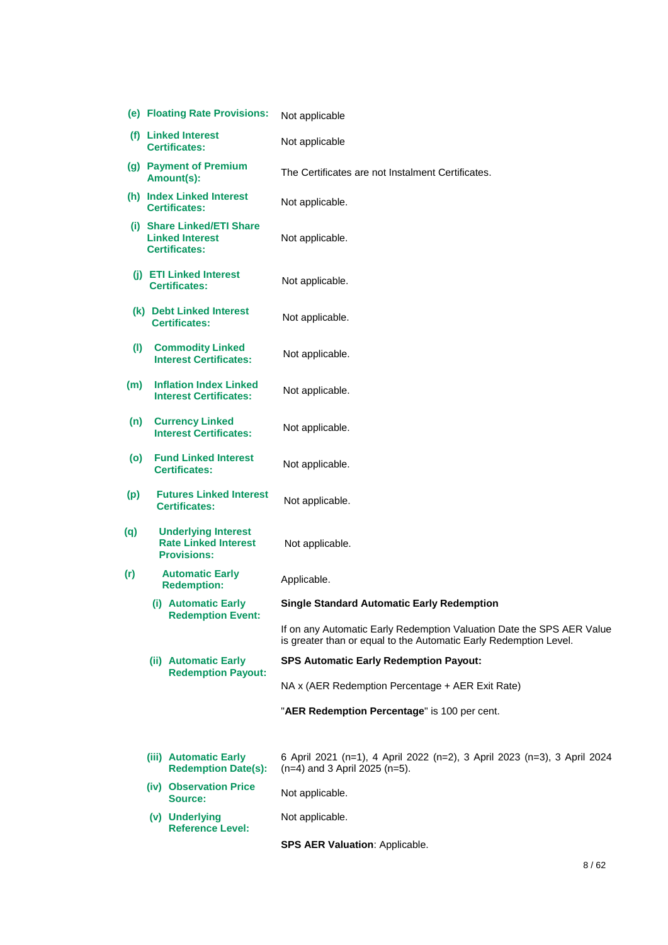|     | (e) Floating Rate Provisions:                          |                                                                                 | Not applicable                                                                                                                             |
|-----|--------------------------------------------------------|---------------------------------------------------------------------------------|--------------------------------------------------------------------------------------------------------------------------------------------|
|     | (f) Linked Interest<br><b>Certificates:</b>            |                                                                                 | Not applicable                                                                                                                             |
|     | (g) Payment of Premium<br>Amount(s):                   |                                                                                 | The Certificates are not Instalment Certificates.                                                                                          |
|     |                                                        | (h) Index Linked Interest<br><b>Certificates:</b>                               | Not applicable.                                                                                                                            |
|     |                                                        | (i) Share Linked/ETI Share<br><b>Linked Interest</b><br><b>Certificates:</b>    | Not applicable.                                                                                                                            |
|     |                                                        | (i) ETI Linked Interest<br><b>Certificates:</b>                                 | Not applicable.                                                                                                                            |
|     |                                                        | (k) Debt Linked Interest<br><b>Certificates:</b>                                | Not applicable.                                                                                                                            |
| (1) |                                                        | <b>Commodity Linked</b><br><b>Interest Certificates:</b>                        | Not applicable.                                                                                                                            |
| (m) |                                                        | <b>Inflation Index Linked</b><br><b>Interest Certificates:</b>                  | Not applicable.                                                                                                                            |
| (n) |                                                        | <b>Currency Linked</b><br><b>Interest Certificates:</b>                         | Not applicable.                                                                                                                            |
| (o) | <b>Fund Linked Interest</b><br><b>Certificates:</b>    |                                                                                 | Not applicable.                                                                                                                            |
| (p) | <b>Futures Linked Interest</b><br><b>Certificates:</b> |                                                                                 | Not applicable.                                                                                                                            |
| (q) |                                                        | <b>Underlying Interest</b><br><b>Rate Linked Interest</b><br><b>Provisions:</b> | Not applicable.                                                                                                                            |
| (r) |                                                        | <b>Automatic Early</b><br><b>Redemption:</b>                                    | Applicable.                                                                                                                                |
|     |                                                        | (i) Automatic Early<br><b>Redemption Event:</b>                                 | <b>Single Standard Automatic Early Redemption</b>                                                                                          |
|     |                                                        |                                                                                 | If on any Automatic Early Redemption Valuation Date the SPS AER Value<br>is greater than or equal to the Automatic Early Redemption Level. |
|     |                                                        | (ii) Automatic Early<br><b>Redemption Payout:</b>                               | <b>SPS Automatic Early Redemption Payout:</b>                                                                                              |
|     |                                                        |                                                                                 | NA x (AER Redemption Percentage + AER Exit Rate)                                                                                           |
|     |                                                        |                                                                                 | "AER Redemption Percentage" is 100 per cent.                                                                                               |
|     |                                                        | (iii) Automatic Early<br><b>Redemption Date(s):</b>                             | 6 April 2021 (n=1), 4 April 2022 (n=2), 3 April 2023 (n=3), 3 April 2024<br>$(n=4)$ and 3 April 2025 (n=5).                                |
|     |                                                        | (iv) Observation Price<br>Source:                                               | Not applicable.                                                                                                                            |
|     |                                                        | (v) Underlying<br><b>Reference Level:</b>                                       | Not applicable.                                                                                                                            |
|     |                                                        |                                                                                 | SPS AER Valuation: Applicable.                                                                                                             |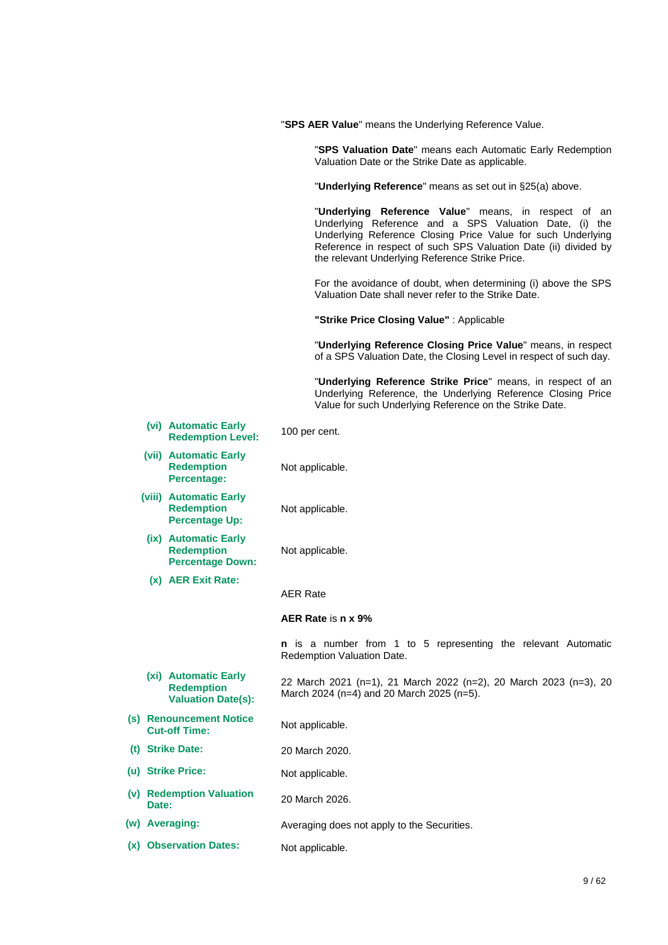|       |                                                                        | "SPS AER Value" means the Underlying Reference Value.                                                                                                                                                                                                                                                |  |
|-------|------------------------------------------------------------------------|------------------------------------------------------------------------------------------------------------------------------------------------------------------------------------------------------------------------------------------------------------------------------------------------------|--|
|       |                                                                        | "SPS Valuation Date" means each Automatic Early Redemption<br>Valuation Date or the Strike Date as applicable.                                                                                                                                                                                       |  |
|       |                                                                        | "Underlying Reference" means as set out in §25(a) above.                                                                                                                                                                                                                                             |  |
|       |                                                                        | "Underlying Reference Value" means, in respect of an<br>Underlying Reference and a SPS Valuation Date, (i) the<br>Underlying Reference Closing Price Value for such Underlying<br>Reference in respect of such SPS Valuation Date (ii) divided by<br>the relevant Underlying Reference Strike Price. |  |
|       |                                                                        | For the avoidance of doubt, when determining (i) above the SPS<br>Valuation Date shall never refer to the Strike Date.                                                                                                                                                                               |  |
|       |                                                                        | "Strike Price Closing Value": Applicable                                                                                                                                                                                                                                                             |  |
|       |                                                                        | "Underlying Reference Closing Price Value" means, in respect<br>of a SPS Valuation Date, the Closing Level in respect of such day.                                                                                                                                                                   |  |
|       |                                                                        | "Underlying Reference Strike Price" means, in respect of an<br>Underlying Reference, the Underlying Reference Closing Price<br>Value for such Underlying Reference on the Strike Date.                                                                                                               |  |
|       | (vi) Automatic Early<br><b>Redemption Level:</b>                       | 100 per cent.                                                                                                                                                                                                                                                                                        |  |
|       | (vii) Automatic Early<br><b>Redemption</b><br>Percentage:              | Not applicable.                                                                                                                                                                                                                                                                                      |  |
|       | (viii) Automatic Early<br><b>Redemption</b><br><b>Percentage Up:</b>   | Not applicable.                                                                                                                                                                                                                                                                                      |  |
|       | (ix) Automatic Early<br><b>Redemption</b><br><b>Percentage Down:</b>   | Not applicable.                                                                                                                                                                                                                                                                                      |  |
|       | (x) AER Exit Rate:                                                     | <b>AER Rate</b>                                                                                                                                                                                                                                                                                      |  |
|       |                                                                        | AER Rate is n x 9%                                                                                                                                                                                                                                                                                   |  |
|       |                                                                        | n is a number from 1 to 5 representing the relevant Automatic<br>Redemption Valuation Date.                                                                                                                                                                                                          |  |
|       | (xi) Automatic Early<br><b>Redemption</b><br><b>Valuation Date(s):</b> | 22 March 2021 (n=1), 21 March 2022 (n=2), 20 March 2023 (n=3), 20<br>March 2024 (n=4) and 20 March 2025 (n=5).                                                                                                                                                                                       |  |
|       | (s) Renouncement Notice<br><b>Cut-off Time:</b>                        | Not applicable.                                                                                                                                                                                                                                                                                      |  |
|       | (t) Strike Date:                                                       | 20 March 2020.                                                                                                                                                                                                                                                                                       |  |
|       | (u) Strike Price:                                                      | Not applicable.                                                                                                                                                                                                                                                                                      |  |
| Date: | (v) Redemption Valuation                                               | 20 March 2026.                                                                                                                                                                                                                                                                                       |  |
|       | (w) Averaging:                                                         | Averaging does not apply to the Securities.                                                                                                                                                                                                                                                          |  |
|       | (x) Observation Dates:                                                 | Not applicable.                                                                                                                                                                                                                                                                                      |  |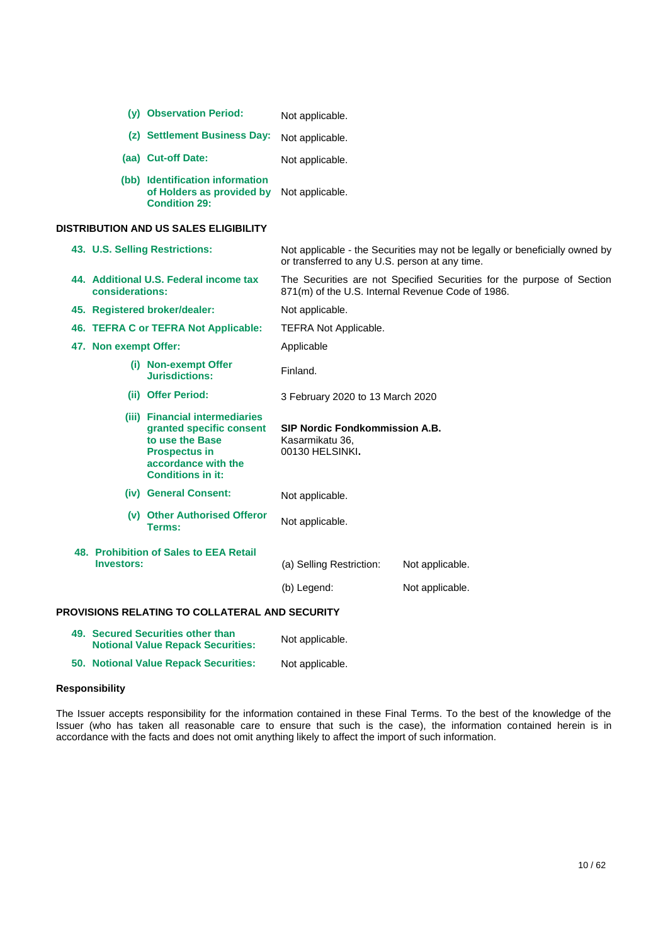| (v) | <b>Observation Period:</b>                                                           | Not applicable. |
|-----|--------------------------------------------------------------------------------------|-----------------|
|     | (z) Settlement Business Day:                                                         | Not applicable. |
|     | (aa) Cut-off Date:                                                                   | Not applicable. |
|     | (bb) Identification information<br>of Holders as provided by<br><b>Condition 29:</b> | Not applicable. |

### **DISTRIBUTION AND US SALES ELIGIBILITY**

|                                                           | 43. U.S. Selling Restrictions:                                                                                                                           | or transferred to any U.S. person at any time.                              | Not applicable - the Securities may not be legally or beneficially owned by |  |  |
|-----------------------------------------------------------|----------------------------------------------------------------------------------------------------------------------------------------------------------|-----------------------------------------------------------------------------|-----------------------------------------------------------------------------|--|--|
| 44. Additional U.S. Federal income tax<br>considerations: |                                                                                                                                                          | 871(m) of the U.S. Internal Revenue Code of 1986.                           | The Securities are not Specified Securities for the purpose of Section      |  |  |
| 45. Registered broker/dealer:                             |                                                                                                                                                          | Not applicable.                                                             |                                                                             |  |  |
|                                                           | 46. TEFRA C or TEFRA Not Applicable:                                                                                                                     | <b>TEFRA Not Applicable.</b>                                                |                                                                             |  |  |
| 47. Non exempt Offer:                                     |                                                                                                                                                          | Applicable                                                                  |                                                                             |  |  |
|                                                           | (i) Non-exempt Offer<br>Jurisdictions:                                                                                                                   | Finland.                                                                    |                                                                             |  |  |
|                                                           | (ii) Offer Period:                                                                                                                                       | 3 February 2020 to 13 March 2020                                            |                                                                             |  |  |
|                                                           | (iii) Financial intermediaries<br>granted specific consent<br>to use the Base<br><b>Prospectus in</b><br>accordance with the<br><b>Conditions in it:</b> | <b>SIP Nordic Fondkommission A.B.</b><br>Kasarmikatu 36,<br>00130 HELSINKI. |                                                                             |  |  |
|                                                           | (iv) General Consent:                                                                                                                                    | Not applicable.                                                             |                                                                             |  |  |
|                                                           | (v) Other Authorised Offeror<br>Terms:                                                                                                                   | Not applicable.                                                             |                                                                             |  |  |
| <b>Investors:</b>                                         | 48. Prohibition of Sales to EEA Retail                                                                                                                   | (a) Selling Restriction:                                                    | Not applicable.                                                             |  |  |
|                                                           |                                                                                                                                                          | (b) Legend:                                                                 | Not applicable.                                                             |  |  |
|                                                           | <b>PROVISIONS RELATING TO COLLATERAL AND SECURITY</b>                                                                                                    |                                                                             |                                                                             |  |  |
|                                                           | 49. Secured Securities other than<br><b>Notional Value Repack Securities:</b>                                                                            | Not applicable.                                                             |                                                                             |  |  |

**50. Notional Value Repack Securities:** Not applicable.

## **Responsibility**

The Issuer accepts responsibility for the information contained in these Final Terms. To the best of the knowledge of the Issuer (who has taken all reasonable care to ensure that such is the case), the information contained herein is in accordance with the facts and does not omit anything likely to affect the import of such information.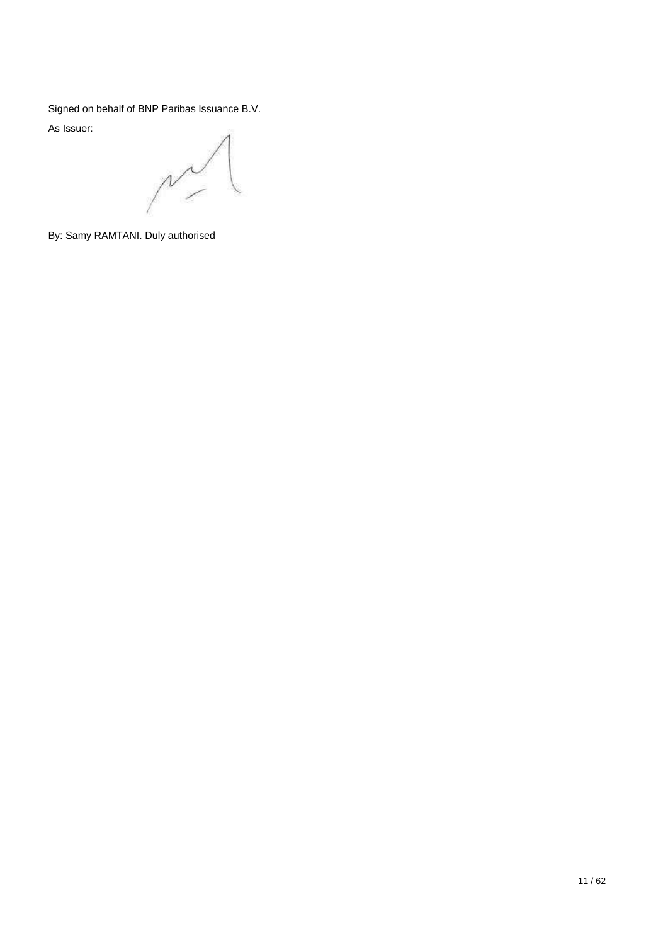Signed on behalf of BNP Paribas Issuance B.V.

As Issuer:

 $\mathbb{Z}^{\prime}$ 

By: Samy RAMTANI. Duly authorised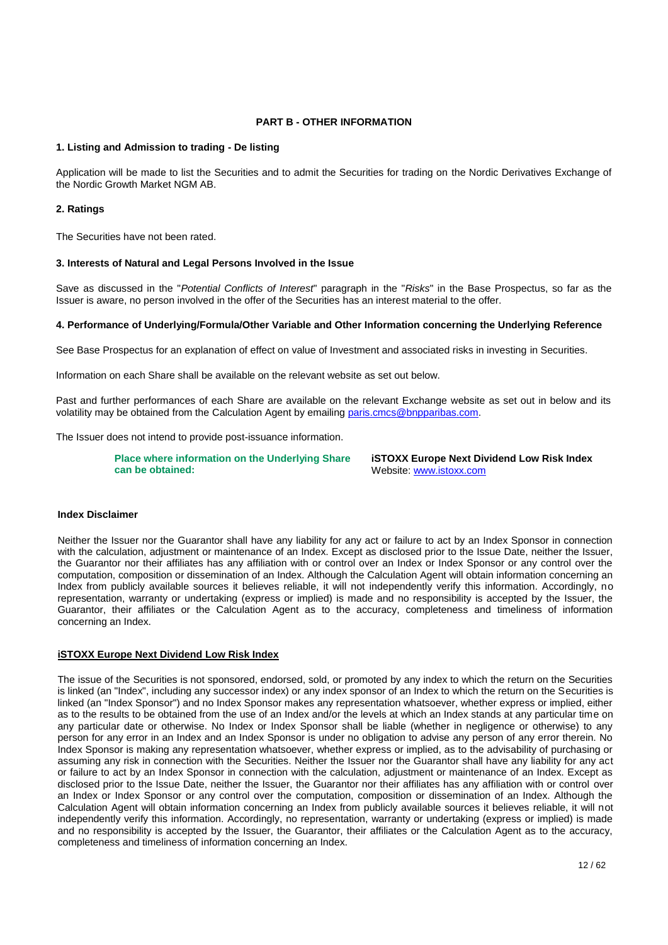### **PART B - OTHER INFORMATION**

## **1. Listing and Admission to trading - De listing**

Application will be made to list the Securities and to admit the Securities for trading on the Nordic Derivatives Exchange of the Nordic Growth Market NGM AB.

### **2. Ratings**

The Securities have not been rated.

### **3. Interests of Natural and Legal Persons Involved in the Issue**

Save as discussed in the "*Potential Conflicts of Interest*" paragraph in the "*Risks*" in the Base Prospectus, so far as the Issuer is aware, no person involved in the offer of the Securities has an interest material to the offer.

### **4. Performance of Underlying/Formula/Other Variable and Other Information concerning the Underlying Reference**

See Base Prospectus for an explanation of effect on value of Investment and associated risks in investing in Securities.

Information on each Share shall be available on the relevant website as set out below.

Past and further performances of each Share are available on the relevant Exchange website as set out in below and its volatility may be obtained from the Calculation Agent by emailing [paris.cmcs@bnpparibas.com.](mailto:paris.cmcs@bnpparibas.com)

The Issuer does not intend to provide post-issuance information.

**Place where information on the Underlying Share can be obtained:**

**iSTOXX Europe Next Dividend Low Risk Index** Website[: www.istoxx.com](http://www.istoxx.com/)

### **Index Disclaimer**

Neither the Issuer nor the Guarantor shall have any liability for any act or failure to act by an Index Sponsor in connection with the calculation, adjustment or maintenance of an Index. Except as disclosed prior to the Issue Date, neither the Issuer, the Guarantor nor their affiliates has any affiliation with or control over an Index or Index Sponsor or any control over the computation, composition or dissemination of an Index. Although the Calculation Agent will obtain information concerning an Index from publicly available sources it believes reliable, it will not independently verify this information. Accordingly, no representation, warranty or undertaking (express or implied) is made and no responsibility is accepted by the Issuer, the Guarantor, their affiliates or the Calculation Agent as to the accuracy, completeness and timeliness of information concerning an Index.

#### **iSTOXX Europe Next Dividend Low Risk Index**

The issue of the Securities is not sponsored, endorsed, sold, or promoted by any index to which the return on the Securities is linked (an "Index", including any successor index) or any index sponsor of an Index to which the return on the Securities is linked (an "Index Sponsor") and no Index Sponsor makes any representation whatsoever, whether express or implied, either as to the results to be obtained from the use of an Index and/or the levels at which an Index stands at any particular time on any particular date or otherwise. No Index or Index Sponsor shall be liable (whether in negligence or otherwise) to any person for any error in an Index and an Index Sponsor is under no obligation to advise any person of any error therein. No Index Sponsor is making any representation whatsoever, whether express or implied, as to the advisability of purchasing or assuming any risk in connection with the Securities. Neither the Issuer nor the Guarantor shall have any liability for any act or failure to act by an Index Sponsor in connection with the calculation, adjustment or maintenance of an Index. Except as disclosed prior to the Issue Date, neither the Issuer, the Guarantor nor their affiliates has any affiliation with or control over an Index or Index Sponsor or any control over the computation, composition or dissemination of an Index. Although the Calculation Agent will obtain information concerning an Index from publicly available sources it believes reliable, it will not independently verify this information. Accordingly, no representation, warranty or undertaking (express or implied) is made and no responsibility is accepted by the Issuer, the Guarantor, their affiliates or the Calculation Agent as to the accuracy, completeness and timeliness of information concerning an Index.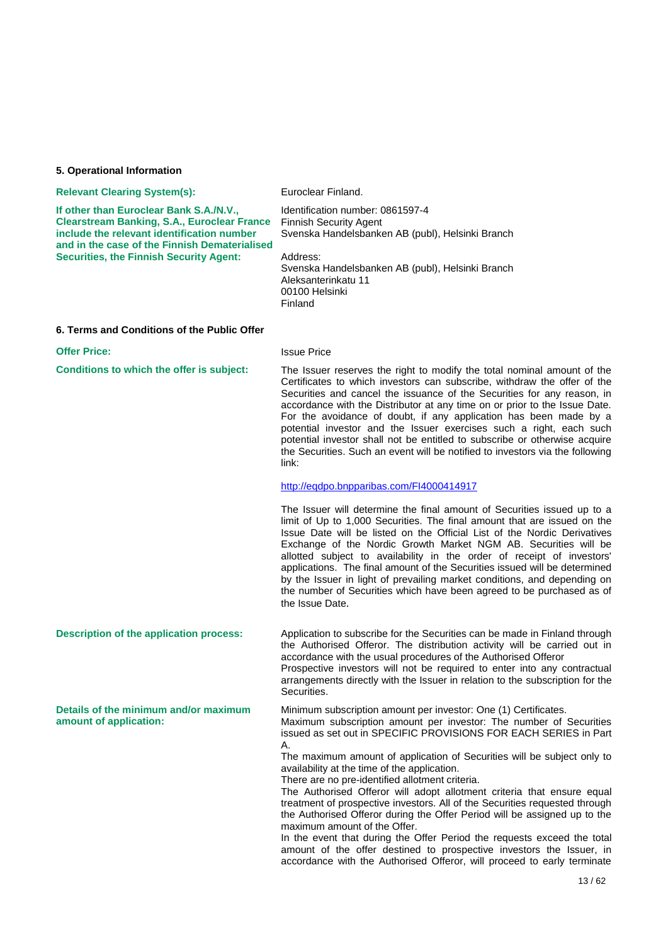#### **5. Operational Information**

#### **Relevant Clearing System(s):** Euroclear Finland.

Identification number: 0861597-4

**If other than Euroclear Bank S.A./N.V., Clearstream Banking, S.A., Euroclear France include the relevant identification number and in the case of the Finnish Dematerialised Securities, the Finnish Security Agent:**

Finnish Security Agent Svenska Handelsbanken AB (publ), Helsinki Branch Address: Svenska Handelsbanken AB (publ), Helsinki Branch Aleksanterinkatu 11 00100 Helsinki Finland

#### **6. Terms and Conditions of the Public Offer**

### **Offer Price:** Issue Price

**amount of application:**

**Conditions to which the offer is subject:** The Issuer reserves the right to modify the total nominal amount of the Certificates to which investors can subscribe, withdraw the offer of the Securities and cancel the issuance of the Securities for any reason, in accordance with the Distributor at any time on or prior to the Issue Date. For the avoidance of doubt, if any application has been made by a potential investor and the Issuer exercises such a right, each such potential investor shall not be entitled to subscribe or otherwise acquire the Securities. Such an event will be notified to investors via the following link:

#### <http://eqdpo.bnpparibas.com/FI4000414917>

The Issuer will determine the final amount of Securities issued up to a limit of Up to 1,000 Securities. The final amount that are issued on the Issue Date will be listed on the Official List of the Nordic Derivatives Exchange of the Nordic Growth Market NGM AB. Securities will be allotted subject to availability in the order of receipt of investors' applications. The final amount of the Securities issued will be determined by the Issuer in light of prevailing market conditions, and depending on the number of Securities which have been agreed to be purchased as of the Issue Date.

**Description of the application process:** Application to subscribe for the Securities can be made in Finland through the Authorised Offeror. The distribution activity will be carried out in accordance with the usual procedures of the Authorised Offeror Prospective investors will not be required to enter into any contractual arrangements directly with the Issuer in relation to the subscription for the Securities.

**Details of the minimum and/or maximum**  Minimum subscription amount per investor: One (1) Certificates. Maximum subscription amount per investor: The number of Securities issued as set out in SPECIFIC PROVISIONS FOR EACH SERIES in Part A.

The maximum amount of application of Securities will be subject only to availability at the time of the application.

There are no pre-identified allotment criteria.

The Authorised Offeror will adopt allotment criteria that ensure equal treatment of prospective investors. All of the Securities requested through the Authorised Offeror during the Offer Period will be assigned up to the maximum amount of the Offer.

In the event that during the Offer Period the requests exceed the total amount of the offer destined to prospective investors the Issuer, in accordance with the Authorised Offeror, will proceed to early terminate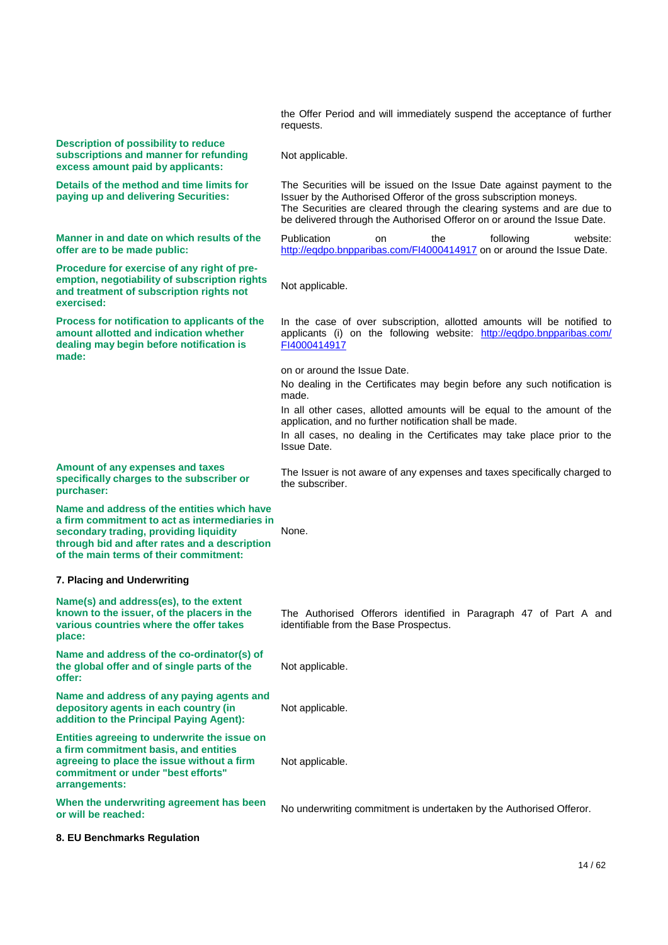|                                                                                                                                                                                                                                   | the Offer Period and will immediately suspend the acceptance of further<br>requests.                                                                                                                                                                                                               |
|-----------------------------------------------------------------------------------------------------------------------------------------------------------------------------------------------------------------------------------|----------------------------------------------------------------------------------------------------------------------------------------------------------------------------------------------------------------------------------------------------------------------------------------------------|
| <b>Description of possibility to reduce</b><br>subscriptions and manner for refunding<br>excess amount paid by applicants:                                                                                                        | Not applicable.                                                                                                                                                                                                                                                                                    |
| Details of the method and time limits for<br>paying up and delivering Securities:                                                                                                                                                 | The Securities will be issued on the Issue Date against payment to the<br>Issuer by the Authorised Offeror of the gross subscription moneys.<br>The Securities are cleared through the clearing systems and are due to<br>be delivered through the Authorised Offeror on or around the Issue Date. |
| Manner in and date on which results of the<br>offer are to be made public:                                                                                                                                                        | Publication<br>the<br>following<br>website:<br>on<br>http://eqdpo.bnpparibas.com/FI4000414917 on or around the Issue Date.                                                                                                                                                                         |
| Procedure for exercise of any right of pre-<br>emption, negotiability of subscription rights<br>and treatment of subscription rights not<br>exercised:                                                                            | Not applicable.                                                                                                                                                                                                                                                                                    |
| Process for notification to applicants of the<br>amount allotted and indication whether<br>dealing may begin before notification is<br>made:                                                                                      | In the case of over subscription, allotted amounts will be notified to<br>applicants (i) on the following website: http://eqdpo.bnpparibas.com/<br>FI4000414917                                                                                                                                    |
|                                                                                                                                                                                                                                   | on or around the Issue Date.                                                                                                                                                                                                                                                                       |
|                                                                                                                                                                                                                                   | No dealing in the Certificates may begin before any such notification is                                                                                                                                                                                                                           |
|                                                                                                                                                                                                                                   | made.<br>In all other cases, allotted amounts will be equal to the amount of the                                                                                                                                                                                                                   |
|                                                                                                                                                                                                                                   | application, and no further notification shall be made.                                                                                                                                                                                                                                            |
|                                                                                                                                                                                                                                   | In all cases, no dealing in the Certificates may take place prior to the<br><b>Issue Date.</b>                                                                                                                                                                                                     |
| Amount of any expenses and taxes<br>specifically charges to the subscriber or<br>purchaser:                                                                                                                                       | The Issuer is not aware of any expenses and taxes specifically charged to<br>the subscriber.                                                                                                                                                                                                       |
| Name and address of the entities which have<br>a firm commitment to act as intermediaries in<br>secondary trading, providing liquidity<br>through bid and after rates and a description<br>of the main terms of their commitment: | None.                                                                                                                                                                                                                                                                                              |
| 7. Placing and Underwriting                                                                                                                                                                                                       |                                                                                                                                                                                                                                                                                                    |
| Name(s) and address(es), to the extent<br>known to the issuer, of the placers in the<br>various countries where the offer takes<br>place:                                                                                         | The Authorised Offerors identified in Paragraph 47 of Part A and<br>identifiable from the Base Prospectus.                                                                                                                                                                                         |
| Name and address of the co-ordinator(s) of<br>the global offer and of single parts of the<br>offer:                                                                                                                               | Not applicable.                                                                                                                                                                                                                                                                                    |
| Name and address of any paying agents and<br>depository agents in each country (in<br>addition to the Principal Paying Agent):                                                                                                    | Not applicable.                                                                                                                                                                                                                                                                                    |
| Entities agreeing to underwrite the issue on<br>a firm commitment basis, and entities<br>agreeing to place the issue without a firm<br>commitment or under "best efforts"<br>arrangements:                                        | Not applicable.                                                                                                                                                                                                                                                                                    |
| When the underwriting agreement has been<br>or will be reached:                                                                                                                                                                   | No underwriting commitment is undertaken by the Authorised Offeror.                                                                                                                                                                                                                                |
| 8. EU Benchmarks Regulation                                                                                                                                                                                                       |                                                                                                                                                                                                                                                                                                    |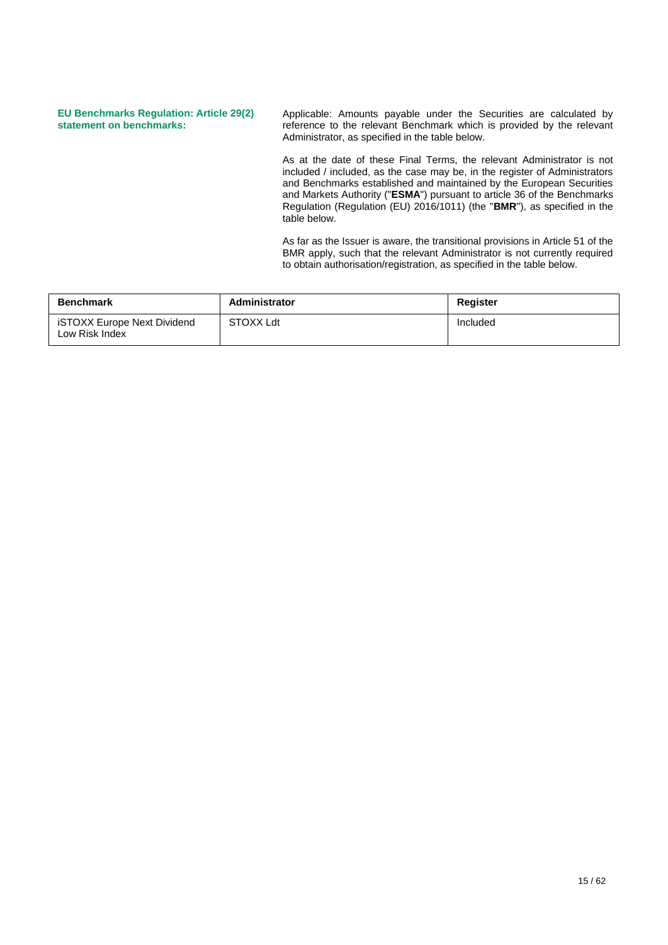### **EU Benchmarks Regulation: Article 29(2) statement on benchmarks:**

Applicable: Amounts payable under the Securities are calculated by reference to the relevant Benchmark which is provided by the relevant Administrator, as specified in the table below.

As at the date of these Final Terms, the relevant Administrator is not included / included, as the case may be, in the register of Administrators and Benchmarks established and maintained by the European Securities and Markets Authority ("**ESMA**") pursuant to article 36 of the Benchmarks Regulation (Regulation (EU) 2016/1011) (the "**BMR**"), as specified in the table below.

As far as the Issuer is aware, the transitional provisions in Article 51 of the BMR apply, such that the relevant Administrator is not currently required to obtain authorisation/registration, as specified in the table below.

| <b>Benchmark</b>                              | Administrator    | <b>Register</b> |
|-----------------------------------------------|------------------|-----------------|
| iSTOXX Europe Next Dividend<br>Low Risk Index | <b>STOXX Ldt</b> | Included        |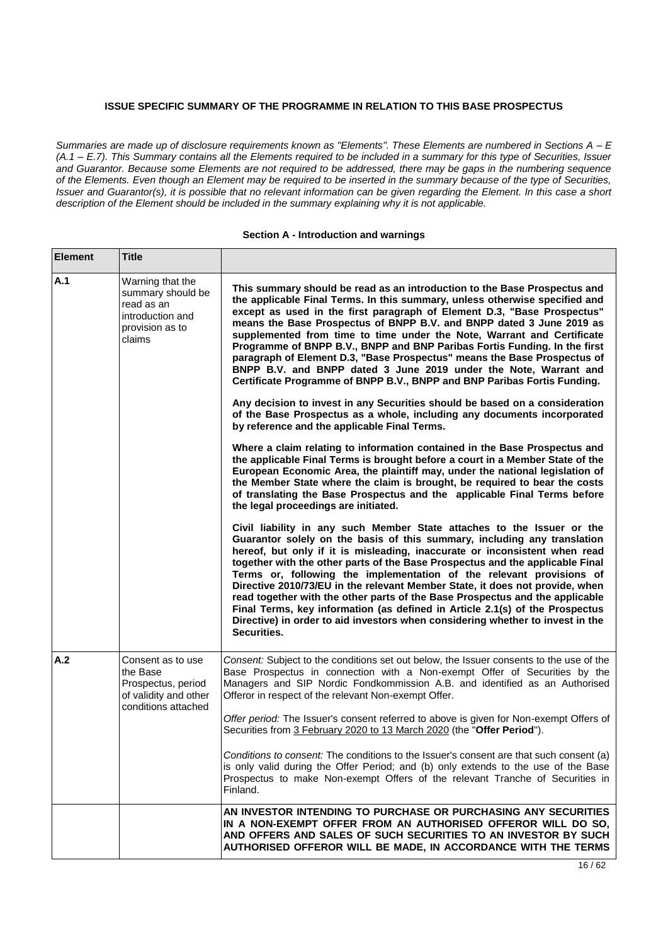## **ISSUE SPECIFIC SUMMARY OF THE PROGRAMME IN RELATION TO THIS BASE PROSPECTUS**

*Summaries are made up of disclosure requirements known as "Elements". These Elements are numbered in Sections A - E (A.1 – E.7). This Summary contains all the Elements required to be included in a summary for this type of Securities, Issuer and Guarantor. Because some Elements are not required to be addressed, there may be gaps in the numbering sequence of the Elements. Even though an Element may be required to be inserted in the summary because of the type of Securities, Issuer and Guarantor(s), it is possible that no relevant information can be given regarding the Element. In this case a short description of the Element should be included in the summary explaining why it is not applicable.*

#### **Section A - Introduction and warnings**

| <b>Element</b> | <b>Title</b>                                                                                         |                                                                                                                                                                                                                                                                                                                                                                                                                                                                                                                                                                                                                                                                                                                                            |
|----------------|------------------------------------------------------------------------------------------------------|--------------------------------------------------------------------------------------------------------------------------------------------------------------------------------------------------------------------------------------------------------------------------------------------------------------------------------------------------------------------------------------------------------------------------------------------------------------------------------------------------------------------------------------------------------------------------------------------------------------------------------------------------------------------------------------------------------------------------------------------|
| A.1            | Warning that the<br>summary should be<br>read as an<br>introduction and<br>provision as to<br>claims | This summary should be read as an introduction to the Base Prospectus and<br>the applicable Final Terms. In this summary, unless otherwise specified and<br>except as used in the first paragraph of Element D.3, "Base Prospectus"<br>means the Base Prospectus of BNPP B.V. and BNPP dated 3 June 2019 as<br>supplemented from time to time under the Note, Warrant and Certificate<br>Programme of BNPP B.V., BNPP and BNP Paribas Fortis Funding. In the first<br>paragraph of Element D.3, "Base Prospectus" means the Base Prospectus of<br>BNPP B.V. and BNPP dated 3 June 2019 under the Note, Warrant and<br>Certificate Programme of BNPP B.V., BNPP and BNP Paribas Fortis Funding.                                             |
|                |                                                                                                      | Any decision to invest in any Securities should be based on a consideration<br>of the Base Prospectus as a whole, including any documents incorporated<br>by reference and the applicable Final Terms.                                                                                                                                                                                                                                                                                                                                                                                                                                                                                                                                     |
|                |                                                                                                      | Where a claim relating to information contained in the Base Prospectus and<br>the applicable Final Terms is brought before a court in a Member State of the<br>European Economic Area, the plaintiff may, under the national legislation of<br>the Member State where the claim is brought, be required to bear the costs<br>of translating the Base Prospectus and the applicable Final Terms before<br>the legal proceedings are initiated.                                                                                                                                                                                                                                                                                              |
|                |                                                                                                      | Civil liability in any such Member State attaches to the Issuer or the<br>Guarantor solely on the basis of this summary, including any translation<br>hereof, but only if it is misleading, inaccurate or inconsistent when read<br>together with the other parts of the Base Prospectus and the applicable Final<br>Terms or, following the implementation of the relevant provisions of<br>Directive 2010/73/EU in the relevant Member State, it does not provide, when<br>read together with the other parts of the Base Prospectus and the applicable<br>Final Terms, key information (as defined in Article 2.1(s) of the Prospectus<br>Directive) in order to aid investors when considering whether to invest in the<br>Securities. |
| A.2            | Consent as to use<br>the Base<br>Prospectus, period<br>of validity and other<br>conditions attached  | Consent: Subject to the conditions set out below, the Issuer consents to the use of the<br>Base Prospectus in connection with a Non-exempt Offer of Securities by the<br>Managers and SIP Nordic Fondkommission A.B. and identified as an Authorised<br>Offeror in respect of the relevant Non-exempt Offer.                                                                                                                                                                                                                                                                                                                                                                                                                               |
|                |                                                                                                      | Offer period: The Issuer's consent referred to above is given for Non-exempt Offers of<br>Securities from 3 February 2020 to 13 March 2020 (the "Offer Period").                                                                                                                                                                                                                                                                                                                                                                                                                                                                                                                                                                           |
|                |                                                                                                      | Conditions to consent: The conditions to the Issuer's consent are that such consent (a)<br>is only valid during the Offer Period; and (b) only extends to the use of the Base<br>Prospectus to make Non-exempt Offers of the relevant Tranche of Securities in<br>Finland.                                                                                                                                                                                                                                                                                                                                                                                                                                                                 |
|                |                                                                                                      | AN INVESTOR INTENDING TO PURCHASE OR PURCHASING ANY SECURITIES<br>IN A NON-EXEMPT OFFER FROM AN AUTHORISED OFFEROR WILL DO SO,<br>AND OFFERS AND SALES OF SUCH SECURITIES TO AN INVESTOR BY SUCH<br>AUTHORISED OFFEROR WILL BE MADE, IN ACCORDANCE WITH THE TERMS                                                                                                                                                                                                                                                                                                                                                                                                                                                                          |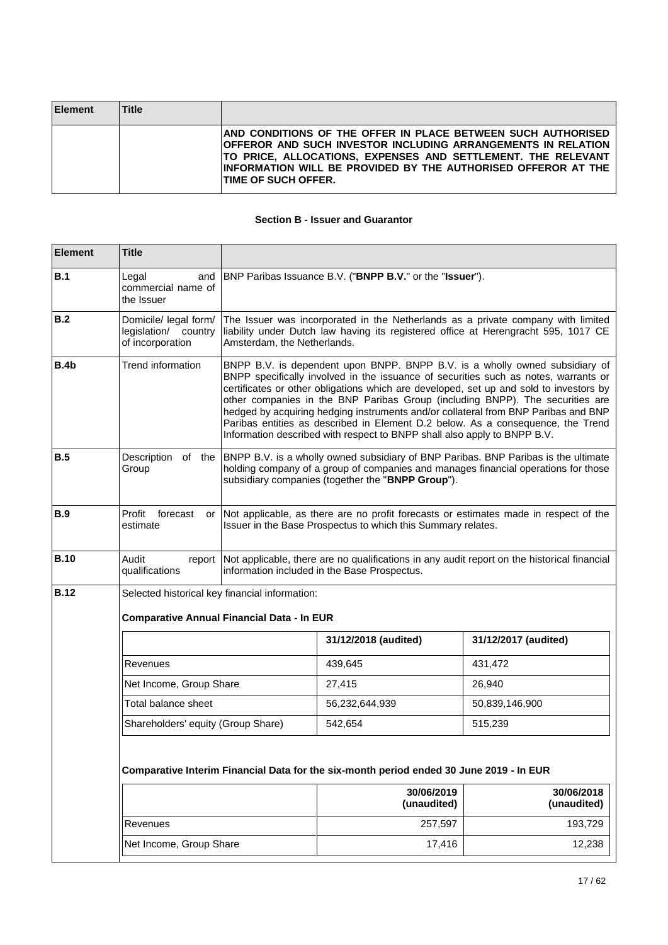| <b>Element</b> | <b>Title</b> |                                                                                                                                                                                                                                                                                               |
|----------------|--------------|-----------------------------------------------------------------------------------------------------------------------------------------------------------------------------------------------------------------------------------------------------------------------------------------------|
|                |              | AND CONDITIONS OF THE OFFER IN PLACE BETWEEN SUCH AUTHORISED<br>OFFEROR AND SUCH INVESTOR INCLUDING ARRANGEMENTS IN RELATION<br>TO PRICE, ALLOCATIONS, EXPENSES AND SETTLEMENT. THE RELEVANT<br>IINFORMATION WILL BE PROVIDED BY THE AUTHORISED OFFEROR AT THE<br><b>ITIME OF SUCH OFFER.</b> |

## **Section B - Issuer and Guarantor**

| <b>Element</b> | <b>Title</b>                                                                            |                                                                                                                                                                                                                                                                                                                                                                                                                                                                                                                                                                                                    |                                                                                                                                         |                                                                                      |  |
|----------------|-----------------------------------------------------------------------------------------|----------------------------------------------------------------------------------------------------------------------------------------------------------------------------------------------------------------------------------------------------------------------------------------------------------------------------------------------------------------------------------------------------------------------------------------------------------------------------------------------------------------------------------------------------------------------------------------------------|-----------------------------------------------------------------------------------------------------------------------------------------|--------------------------------------------------------------------------------------|--|
| B.1            | Legal<br>and<br>commercial name of<br>the Issuer                                        |                                                                                                                                                                                                                                                                                                                                                                                                                                                                                                                                                                                                    | BNP Paribas Issuance B.V. ("BNPP B.V." or the "Issuer").                                                                                |                                                                                      |  |
| B.2            | Domicile/ legal form/<br>legislation/ country<br>of incorporation                       | The Issuer was incorporated in the Netherlands as a private company with limited<br>liability under Dutch law having its registered office at Herengracht 595, 1017 CE<br>Amsterdam, the Netherlands.                                                                                                                                                                                                                                                                                                                                                                                              |                                                                                                                                         |                                                                                      |  |
| B.4b           | Trend information                                                                       | BNPP B.V. is dependent upon BNPP. BNPP B.V. is a wholly owned subsidiary of<br>BNPP specifically involved in the issuance of securities such as notes, warrants or<br>certificates or other obligations which are developed, set up and sold to investors by<br>other companies in the BNP Paribas Group (including BNPP). The securities are<br>hedged by acquiring hedging instruments and/or collateral from BNP Paribas and BNP<br>Paribas entities as described in Element D.2 below. As a consequence, the Trend<br>Information described with respect to BNPP shall also apply to BNPP B.V. |                                                                                                                                         |                                                                                      |  |
| <b>B.5</b>     | Description of the<br>Group                                                             |                                                                                                                                                                                                                                                                                                                                                                                                                                                                                                                                                                                                    | BNPP B.V. is a wholly owned subsidiary of BNP Paribas. BNP Paribas is the ultimate<br>subsidiary companies (together the "BNPP Group"). | holding company of a group of companies and manages financial operations for those   |  |
| <b>B.9</b>     | Profit<br>forecast<br>or<br>estimate                                                    |                                                                                                                                                                                                                                                                                                                                                                                                                                                                                                                                                                                                    | Issuer in the Base Prospectus to which this Summary relates.                                                                            | Not applicable, as there are no profit forecasts or estimates made in respect of the |  |
| <b>B.10</b>    | Audit<br>report<br>qualifications                                                       | Not applicable, there are no qualifications in any audit report on the historical financial<br>information included in the Base Prospectus.                                                                                                                                                                                                                                                                                                                                                                                                                                                        |                                                                                                                                         |                                                                                      |  |
| <b>B.12</b>    | Selected historical key financial information:                                          |                                                                                                                                                                                                                                                                                                                                                                                                                                                                                                                                                                                                    |                                                                                                                                         |                                                                                      |  |
|                | <b>Comparative Annual Financial Data - In EUR</b>                                       |                                                                                                                                                                                                                                                                                                                                                                                                                                                                                                                                                                                                    |                                                                                                                                         |                                                                                      |  |
|                |                                                                                         |                                                                                                                                                                                                                                                                                                                                                                                                                                                                                                                                                                                                    | 31/12/2018 (audited)                                                                                                                    | 31/12/2017 (audited)                                                                 |  |
|                | Revenues                                                                                |                                                                                                                                                                                                                                                                                                                                                                                                                                                                                                                                                                                                    | 439,645                                                                                                                                 | 431,472                                                                              |  |
|                | Net Income, Group Share                                                                 |                                                                                                                                                                                                                                                                                                                                                                                                                                                                                                                                                                                                    | 27,415                                                                                                                                  | 26,940                                                                               |  |
|                | Total balance sheet                                                                     |                                                                                                                                                                                                                                                                                                                                                                                                                                                                                                                                                                                                    | 56,232,644,939                                                                                                                          | 50,839,146,900                                                                       |  |
|                | Shareholders' equity (Group Share)                                                      |                                                                                                                                                                                                                                                                                                                                                                                                                                                                                                                                                                                                    | 542,654                                                                                                                                 | 515,239                                                                              |  |
|                | Comparative Interim Financial Data for the six-month period ended 30 June 2019 - In EUR |                                                                                                                                                                                                                                                                                                                                                                                                                                                                                                                                                                                                    |                                                                                                                                         |                                                                                      |  |
|                |                                                                                         |                                                                                                                                                                                                                                                                                                                                                                                                                                                                                                                                                                                                    | 30/06/2019<br>(unaudited)                                                                                                               | 30/06/2018<br>(unaudited)                                                            |  |
|                | Revenues                                                                                |                                                                                                                                                                                                                                                                                                                                                                                                                                                                                                                                                                                                    | 257,597                                                                                                                                 | 193,729                                                                              |  |
|                | Net Income, Group Share                                                                 |                                                                                                                                                                                                                                                                                                                                                                                                                                                                                                                                                                                                    | 17,416                                                                                                                                  | 12,238                                                                               |  |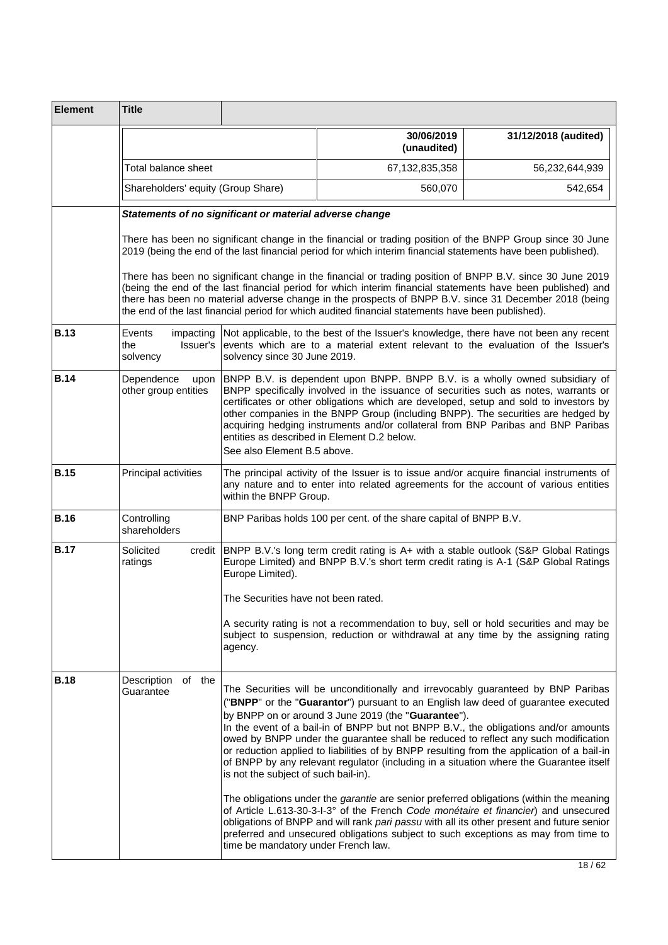| <b>Element</b> | <b>Title</b>                                            |                                                                             |                                                                                                                                                                                                                                                                                                                                                                                                                                                                                                                                                                                                                                                                                                                                                                                                                                                                                                                                                                               |                                                                                          |
|----------------|---------------------------------------------------------|-----------------------------------------------------------------------------|-------------------------------------------------------------------------------------------------------------------------------------------------------------------------------------------------------------------------------------------------------------------------------------------------------------------------------------------------------------------------------------------------------------------------------------------------------------------------------------------------------------------------------------------------------------------------------------------------------------------------------------------------------------------------------------------------------------------------------------------------------------------------------------------------------------------------------------------------------------------------------------------------------------------------------------------------------------------------------|------------------------------------------------------------------------------------------|
|                |                                                         |                                                                             | 30/06/2019<br>(unaudited)                                                                                                                                                                                                                                                                                                                                                                                                                                                                                                                                                                                                                                                                                                                                                                                                                                                                                                                                                     | 31/12/2018 (audited)                                                                     |
|                | Total balance sheet                                     |                                                                             | 67,132,835,358                                                                                                                                                                                                                                                                                                                                                                                                                                                                                                                                                                                                                                                                                                                                                                                                                                                                                                                                                                | 56,232,644,939                                                                           |
|                | Shareholders' equity (Group Share)                      |                                                                             | 560,070                                                                                                                                                                                                                                                                                                                                                                                                                                                                                                                                                                                                                                                                                                                                                                                                                                                                                                                                                                       | 542,654                                                                                  |
|                | Statements of no significant or material adverse change |                                                                             |                                                                                                                                                                                                                                                                                                                                                                                                                                                                                                                                                                                                                                                                                                                                                                                                                                                                                                                                                                               |                                                                                          |
|                |                                                         |                                                                             | There has been no significant change in the financial or trading position of the BNPP Group since 30 June<br>2019 (being the end of the last financial period for which interim financial statements have been published).                                                                                                                                                                                                                                                                                                                                                                                                                                                                                                                                                                                                                                                                                                                                                    |                                                                                          |
|                |                                                         |                                                                             | There has been no significant change in the financial or trading position of BNPP B.V. since 30 June 2019<br>(being the end of the last financial period for which interim financial statements have been published) and<br>there has been no material adverse change in the prospects of BNPP B.V. since 31 December 2018 (being<br>the end of the last financial period for which audited financial statements have been published).                                                                                                                                                                                                                                                                                                                                                                                                                                                                                                                                        |                                                                                          |
| <b>B.13</b>    | Events<br>impacting<br>the<br>Issuer's<br>solvency      | solvency since 30 June 2019.                                                | Not applicable, to the best of the Issuer's knowledge, there have not been any recent<br>events which are to a material extent relevant to the evaluation of the Issuer's                                                                                                                                                                                                                                                                                                                                                                                                                                                                                                                                                                                                                                                                                                                                                                                                     |                                                                                          |
| <b>B.14</b>    | Dependence<br>upon<br>other group entities              | See also Element B.5 above.                                                 | BNPP B.V. is dependent upon BNPP. BNPP B.V. is a wholly owned subsidiary of<br>BNPP specifically involved in the issuance of securities such as notes, warrants or<br>certificates or other obligations which are developed, setup and sold to investors by<br>other companies in the BNPP Group (including BNPP). The securities are hedged by<br>acquiring hedging instruments and/or collateral from BNP Paribas and BNP Paribas<br>entities as described in Element D.2 below.                                                                                                                                                                                                                                                                                                                                                                                                                                                                                            |                                                                                          |
| <b>B.15</b>    | Principal activities                                    | within the BNPP Group.                                                      | any nature and to enter into related agreements for the account of various entities                                                                                                                                                                                                                                                                                                                                                                                                                                                                                                                                                                                                                                                                                                                                                                                                                                                                                           | The principal activity of the Issuer is to issue and/or acquire financial instruments of |
| <b>B.16</b>    | Controlling<br>shareholders                             |                                                                             | BNP Paribas holds 100 per cent. of the share capital of BNPP B.V.                                                                                                                                                                                                                                                                                                                                                                                                                                                                                                                                                                                                                                                                                                                                                                                                                                                                                                             |                                                                                          |
| <b>B.17</b>    | Solicited<br>credit<br>ratings                          | Europe Limited).<br>The Securities have not been rated.                     | BNPP B.V.'s long term credit rating is A+ with a stable outlook (S&P Global Ratings<br>Europe Limited) and BNPP B.V.'s short term credit rating is A-1 (S&P Global Ratings                                                                                                                                                                                                                                                                                                                                                                                                                                                                                                                                                                                                                                                                                                                                                                                                    |                                                                                          |
|                |                                                         | agency.                                                                     | A security rating is not a recommendation to buy, sell or hold securities and may be<br>subject to suspension, reduction or withdrawal at any time by the assigning rating                                                                                                                                                                                                                                                                                                                                                                                                                                                                                                                                                                                                                                                                                                                                                                                                    |                                                                                          |
| <b>B.18</b>    | Description<br>of the<br>Guarantee                      | is not the subject of such bail-in).<br>time be mandatory under French law. | The Securities will be unconditionally and irrevocably guaranteed by BNP Paribas<br>("BNPP" or the "Guarantor") pursuant to an English law deed of guarantee executed<br>by BNPP on or around 3 June 2019 (the "Guarantee").<br>In the event of a bail-in of BNPP but not BNPP B.V., the obligations and/or amounts<br>owed by BNPP under the guarantee shall be reduced to reflect any such modification<br>or reduction applied to liabilities of by BNPP resulting from the application of a bail-in<br>of BNPP by any relevant regulator (including in a situation where the Guarantee itself<br>The obligations under the <i>garantie</i> are senior preferred obligations (within the meaning<br>of Article L.613-30-3-I-3° of the French Code monétaire et financier) and unsecured<br>obligations of BNPP and will rank pari passu with all its other present and future senior<br>preferred and unsecured obligations subject to such exceptions as may from time to |                                                                                          |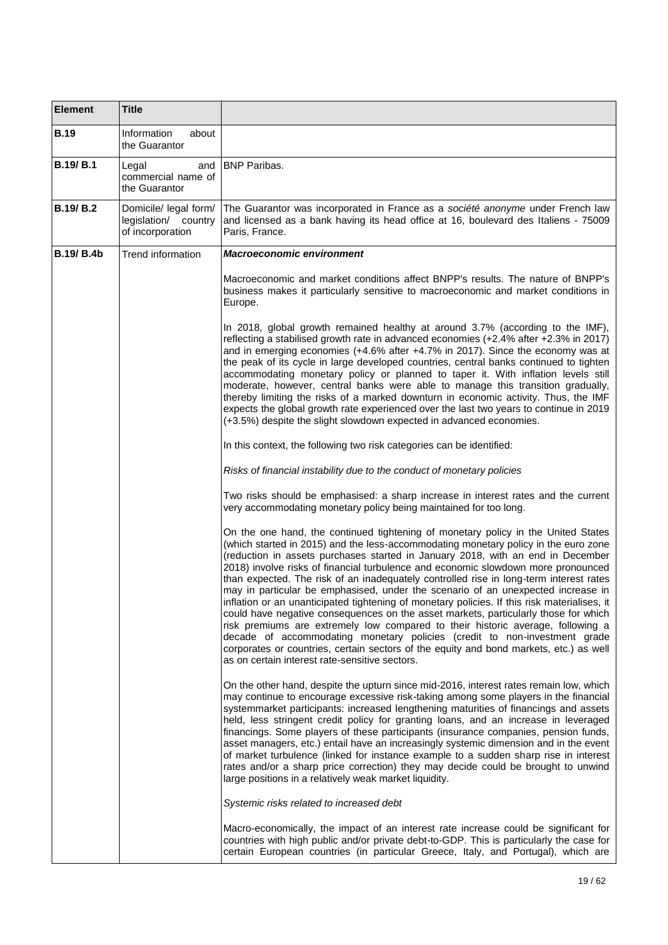| <b>Element</b>    | <b>Title</b>                                                      |                                                                                                                                                                                                                                                                                                                                                                                                                                                                                                                                                                                                                                                                                                                                                                                                                                                                                                                                                                                                                                   |  |
|-------------------|-------------------------------------------------------------------|-----------------------------------------------------------------------------------------------------------------------------------------------------------------------------------------------------------------------------------------------------------------------------------------------------------------------------------------------------------------------------------------------------------------------------------------------------------------------------------------------------------------------------------------------------------------------------------------------------------------------------------------------------------------------------------------------------------------------------------------------------------------------------------------------------------------------------------------------------------------------------------------------------------------------------------------------------------------------------------------------------------------------------------|--|
| <b>B.19</b>       | Information<br>about<br>the Guarantor                             |                                                                                                                                                                                                                                                                                                                                                                                                                                                                                                                                                                                                                                                                                                                                                                                                                                                                                                                                                                                                                                   |  |
| <b>B.19/B.1</b>   | Legal<br>and<br>commercial name of<br>the Guarantor               | <b>IBNP Paribas.</b>                                                                                                                                                                                                                                                                                                                                                                                                                                                                                                                                                                                                                                                                                                                                                                                                                                                                                                                                                                                                              |  |
| <b>B.19/B.2</b>   | Domicile/ legal form/<br>legislation/ country<br>of incorporation | The Guarantor was incorporated in France as a société anonyme under French law<br>and licensed as a bank having its head office at 16, boulevard des Italiens - 75009<br>Paris, France.                                                                                                                                                                                                                                                                                                                                                                                                                                                                                                                                                                                                                                                                                                                                                                                                                                           |  |
| <b>B.19/ B.4b</b> | Trend information                                                 | <b>Macroeconomic environment</b>                                                                                                                                                                                                                                                                                                                                                                                                                                                                                                                                                                                                                                                                                                                                                                                                                                                                                                                                                                                                  |  |
|                   |                                                                   | Macroeconomic and market conditions affect BNPP's results. The nature of BNPP's<br>business makes it particularly sensitive to macroeconomic and market conditions in<br>Europe.                                                                                                                                                                                                                                                                                                                                                                                                                                                                                                                                                                                                                                                                                                                                                                                                                                                  |  |
|                   |                                                                   | In 2018, global growth remained healthy at around 3.7% (according to the IMF),<br>reflecting a stabilised growth rate in advanced economies (+2.4% after +2.3% in 2017)<br>and in emerging economies (+4.6% after +4.7% in 2017). Since the economy was at<br>the peak of its cycle in large developed countries, central banks continued to tighten<br>accommodating monetary policy or planned to taper it. With inflation levels still<br>moderate, however, central banks were able to manage this transition gradually,<br>thereby limiting the risks of a marked downturn in economic activity. Thus, the IMF<br>expects the global growth rate experienced over the last two years to continue in 2019<br>(+3.5%) despite the slight slowdown expected in advanced economies.                                                                                                                                                                                                                                              |  |
|                   |                                                                   | In this context, the following two risk categories can be identified:                                                                                                                                                                                                                                                                                                                                                                                                                                                                                                                                                                                                                                                                                                                                                                                                                                                                                                                                                             |  |
|                   |                                                                   | Risks of financial instability due to the conduct of monetary policies                                                                                                                                                                                                                                                                                                                                                                                                                                                                                                                                                                                                                                                                                                                                                                                                                                                                                                                                                            |  |
|                   |                                                                   | Two risks should be emphasised: a sharp increase in interest rates and the current<br>very accommodating monetary policy being maintained for too long.                                                                                                                                                                                                                                                                                                                                                                                                                                                                                                                                                                                                                                                                                                                                                                                                                                                                           |  |
|                   |                                                                   | On the one hand, the continued tightening of monetary policy in the United States<br>(which started in 2015) and the less-accommodating monetary policy in the euro zone<br>(reduction in assets purchases started in January 2018, with an end in December<br>2018) involve risks of financial turbulence and economic slowdown more pronounced<br>than expected. The risk of an inadequately controlled rise in long-term interest rates<br>may in particular be emphasised, under the scenario of an unexpected increase in<br>inflation or an unanticipated tightening of monetary policies. If this risk materialises, it<br>could have negative consequences on the asset markets, particularly those for which<br>risk premiums are extremely low compared to their historic average, following a<br>decade of accommodating monetary policies (credit to non-investment grade<br>corporates or countries, certain sectors of the equity and bond markets, etc.) as well<br>as on certain interest rate-sensitive sectors. |  |
|                   |                                                                   | On the other hand, despite the upturn since mid-2016, interest rates remain low, which<br>may continue to encourage excessive risk-taking among some players in the financial<br>systemmarket participants: increased lengthening maturities of financings and assets<br>held, less stringent credit policy for granting loans, and an increase in leveraged<br>financings. Some players of these participants (insurance companies, pension funds,<br>asset managers, etc.) entail have an increasingly systemic dimension and in the event<br>of market turbulence (linked for instance example to a sudden sharp rise in interest<br>rates and/or a sharp price correction) they may decide could be brought to unwind<br>large positions in a relatively weak market liquidity.                                                                                                                                                                                                                                               |  |
|                   |                                                                   | Systemic risks related to increased debt                                                                                                                                                                                                                                                                                                                                                                                                                                                                                                                                                                                                                                                                                                                                                                                                                                                                                                                                                                                          |  |
|                   |                                                                   | Macro-economically, the impact of an interest rate increase could be significant for<br>countries with high public and/or private debt-to-GDP. This is particularly the case for<br>certain European countries (in particular Greece, Italy, and Portugal), which are                                                                                                                                                                                                                                                                                                                                                                                                                                                                                                                                                                                                                                                                                                                                                             |  |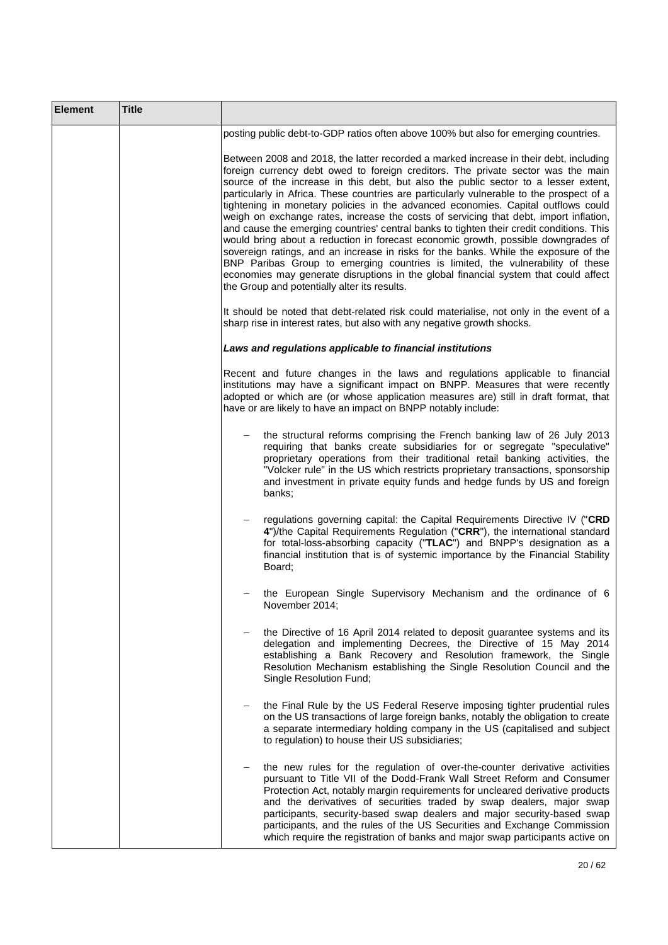| <b>Element</b> | <b>Title</b> |                                                                                                                                                                                                                                                                                                                                                                                                                                                                                                                                                                                                                                                                                                                                                                                                                                                                                                                                                                                                                                              |
|----------------|--------------|----------------------------------------------------------------------------------------------------------------------------------------------------------------------------------------------------------------------------------------------------------------------------------------------------------------------------------------------------------------------------------------------------------------------------------------------------------------------------------------------------------------------------------------------------------------------------------------------------------------------------------------------------------------------------------------------------------------------------------------------------------------------------------------------------------------------------------------------------------------------------------------------------------------------------------------------------------------------------------------------------------------------------------------------|
|                |              | posting public debt-to-GDP ratios often above 100% but also for emerging countries.                                                                                                                                                                                                                                                                                                                                                                                                                                                                                                                                                                                                                                                                                                                                                                                                                                                                                                                                                          |
|                |              | Between 2008 and 2018, the latter recorded a marked increase in their debt, including<br>foreign currency debt owed to foreign creditors. The private sector was the main<br>source of the increase in this debt, but also the public sector to a lesser extent,<br>particularly in Africa. These countries are particularly vulnerable to the prospect of a<br>tightening in monetary policies in the advanced economies. Capital outflows could<br>weigh on exchange rates, increase the costs of servicing that debt, import inflation,<br>and cause the emerging countries' central banks to tighten their credit conditions. This<br>would bring about a reduction in forecast economic growth, possible downgrades of<br>sovereign ratings, and an increase in risks for the banks. While the exposure of the<br>BNP Paribas Group to emerging countries is limited, the vulnerability of these<br>economies may generate disruptions in the global financial system that could affect<br>the Group and potentially alter its results. |
|                |              | It should be noted that debt-related risk could materialise, not only in the event of a<br>sharp rise in interest rates, but also with any negative growth shocks.                                                                                                                                                                                                                                                                                                                                                                                                                                                                                                                                                                                                                                                                                                                                                                                                                                                                           |
|                |              | Laws and regulations applicable to financial institutions                                                                                                                                                                                                                                                                                                                                                                                                                                                                                                                                                                                                                                                                                                                                                                                                                                                                                                                                                                                    |
|                |              | Recent and future changes in the laws and regulations applicable to financial<br>institutions may have a significant impact on BNPP. Measures that were recently<br>adopted or which are (or whose application measures are) still in draft format, that<br>have or are likely to have an impact on BNPP notably include:                                                                                                                                                                                                                                                                                                                                                                                                                                                                                                                                                                                                                                                                                                                    |
|                |              | the structural reforms comprising the French banking law of 26 July 2013<br>requiring that banks create subsidiaries for or segregate "speculative"<br>proprietary operations from their traditional retail banking activities, the<br>"Volcker rule" in the US which restricts proprietary transactions, sponsorship<br>and investment in private equity funds and hedge funds by US and foreign<br>banks;                                                                                                                                                                                                                                                                                                                                                                                                                                                                                                                                                                                                                                  |
|                |              | regulations governing capital: the Capital Requirements Directive IV ("CRD<br>4")/the Capital Requirements Regulation ("CRR"), the international standard<br>for total-loss-absorbing capacity ("TLAC") and BNPP's designation as a<br>financial institution that is of systemic importance by the Financial Stability<br>Board;                                                                                                                                                                                                                                                                                                                                                                                                                                                                                                                                                                                                                                                                                                             |
|                |              | the European Single Supervisory Mechanism and the ordinance of 6<br>November 2014;                                                                                                                                                                                                                                                                                                                                                                                                                                                                                                                                                                                                                                                                                                                                                                                                                                                                                                                                                           |
|                |              | the Directive of 16 April 2014 related to deposit guarantee systems and its<br>delegation and implementing Decrees, the Directive of 15 May 2014<br>establishing a Bank Recovery and Resolution framework, the Single<br>Resolution Mechanism establishing the Single Resolution Council and the<br>Single Resolution Fund;                                                                                                                                                                                                                                                                                                                                                                                                                                                                                                                                                                                                                                                                                                                  |
|                |              | the Final Rule by the US Federal Reserve imposing tighter prudential rules<br>on the US transactions of large foreign banks, notably the obligation to create<br>a separate intermediary holding company in the US (capitalised and subject<br>to regulation) to house their US subsidiaries;                                                                                                                                                                                                                                                                                                                                                                                                                                                                                                                                                                                                                                                                                                                                                |
|                |              | the new rules for the regulation of over-the-counter derivative activities<br>pursuant to Title VII of the Dodd-Frank Wall Street Reform and Consumer<br>Protection Act, notably margin requirements for uncleared derivative products<br>and the derivatives of securities traded by swap dealers, major swap<br>participants, security-based swap dealers and major security-based swap<br>participants, and the rules of the US Securities and Exchange Commission<br>which require the registration of banks and major swap participants active on                                                                                                                                                                                                                                                                                                                                                                                                                                                                                       |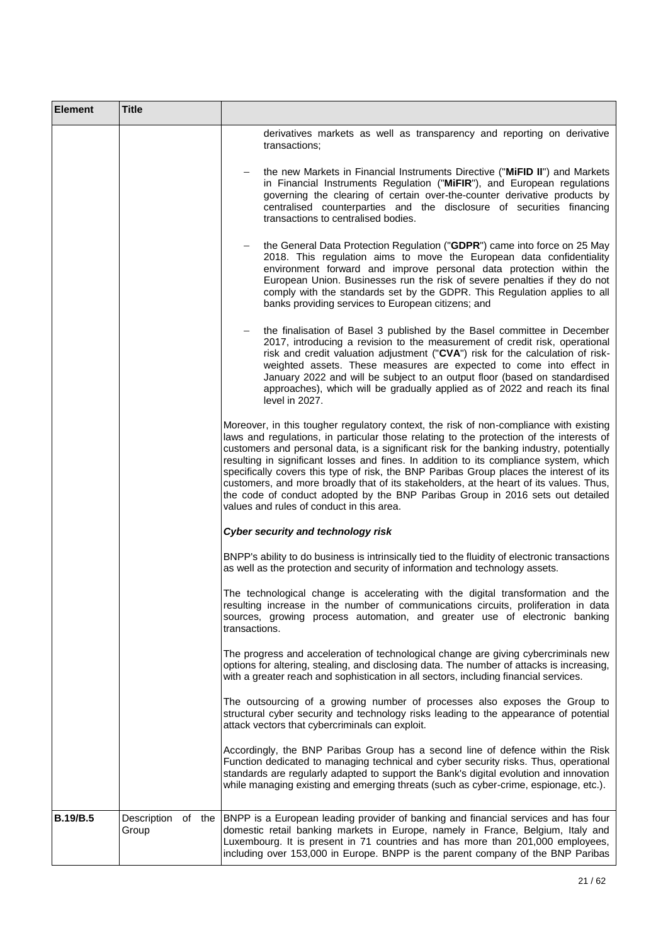| <b>Element</b>  | <b>Title</b>         |                                                                                                                                                                                                                                                                                                                                                                                                                                                                                                                                                                                                                                                                                               |
|-----------------|----------------------|-----------------------------------------------------------------------------------------------------------------------------------------------------------------------------------------------------------------------------------------------------------------------------------------------------------------------------------------------------------------------------------------------------------------------------------------------------------------------------------------------------------------------------------------------------------------------------------------------------------------------------------------------------------------------------------------------|
|                 |                      | derivatives markets as well as transparency and reporting on derivative<br>transactions;                                                                                                                                                                                                                                                                                                                                                                                                                                                                                                                                                                                                      |
|                 |                      | the new Markets in Financial Instruments Directive ("MiFID II") and Markets<br>in Financial Instruments Regulation ("MiFIR"), and European regulations<br>governing the clearing of certain over-the-counter derivative products by<br>centralised counterparties and the disclosure of securities financing<br>transactions to centralised bodies.                                                                                                                                                                                                                                                                                                                                           |
|                 |                      | the General Data Protection Regulation ("GDPR") came into force on 25 May<br>2018. This regulation aims to move the European data confidentiality<br>environment forward and improve personal data protection within the<br>European Union. Businesses run the risk of severe penalties if they do not<br>comply with the standards set by the GDPR. This Regulation applies to all<br>banks providing services to European citizens; and                                                                                                                                                                                                                                                     |
|                 |                      | the finalisation of Basel 3 published by the Basel committee in December<br>$-$<br>2017, introducing a revision to the measurement of credit risk, operational<br>risk and credit valuation adjustment ("CVA") risk for the calculation of risk-<br>weighted assets. These measures are expected to come into effect in<br>January 2022 and will be subject to an output floor (based on standardised<br>approaches), which will be gradually applied as of 2022 and reach its final<br>level in 2027.                                                                                                                                                                                        |
|                 |                      | Moreover, in this tougher regulatory context, the risk of non-compliance with existing<br>laws and regulations, in particular those relating to the protection of the interests of<br>customers and personal data, is a significant risk for the banking industry, potentially<br>resulting in significant losses and fines. In addition to its compliance system, which<br>specifically covers this type of risk, the BNP Paribas Group places the interest of its<br>customers, and more broadly that of its stakeholders, at the heart of its values. Thus,<br>the code of conduct adopted by the BNP Paribas Group in 2016 sets out detailed<br>values and rules of conduct in this area. |
|                 |                      | Cyber security and technology risk                                                                                                                                                                                                                                                                                                                                                                                                                                                                                                                                                                                                                                                            |
|                 |                      | BNPP's ability to do business is intrinsically tied to the fluidity of electronic transactions<br>as well as the protection and security of information and technology assets.                                                                                                                                                                                                                                                                                                                                                                                                                                                                                                                |
|                 |                      | The technological change is accelerating with the digital transformation and the<br>resulting increase in the number of communications circuits, proliferation in data<br>sources, growing process automation, and greater use of electronic banking<br>transactions.                                                                                                                                                                                                                                                                                                                                                                                                                         |
|                 |                      | The progress and acceleration of technological change are giving cybercriminals new<br>options for altering, stealing, and disclosing data. The number of attacks is increasing,<br>with a greater reach and sophistication in all sectors, including financial services.                                                                                                                                                                                                                                                                                                                                                                                                                     |
|                 |                      | The outsourcing of a growing number of processes also exposes the Group to<br>structural cyber security and technology risks leading to the appearance of potential<br>attack vectors that cybercriminals can exploit.                                                                                                                                                                                                                                                                                                                                                                                                                                                                        |
|                 |                      | Accordingly, the BNP Paribas Group has a second line of defence within the Risk<br>Function dedicated to managing technical and cyber security risks. Thus, operational<br>standards are regularly adapted to support the Bank's digital evolution and innovation<br>while managing existing and emerging threats (such as cyber-crime, espionage, etc.).                                                                                                                                                                                                                                                                                                                                     |
| <b>B.19/B.5</b> | Description<br>Group | of the BNPP is a European leading provider of banking and financial services and has four<br>domestic retail banking markets in Europe, namely in France, Belgium, Italy and<br>Luxembourg. It is present in 71 countries and has more than 201,000 employees,<br>including over 153,000 in Europe. BNPP is the parent company of the BNP Paribas                                                                                                                                                                                                                                                                                                                                             |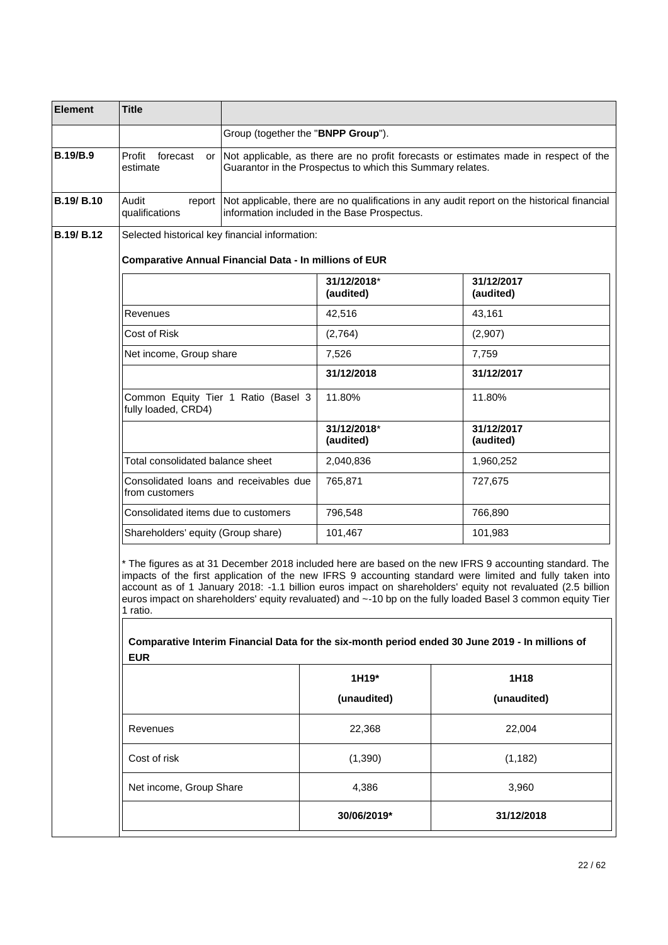| <b>Element</b>    | <b>Title</b>                                                                                                                                                                                                                                                                                                                                                                                                                                                                                                                                                                   |                                    |                                                                                                                                             |          |                                                                                      |
|-------------------|--------------------------------------------------------------------------------------------------------------------------------------------------------------------------------------------------------------------------------------------------------------------------------------------------------------------------------------------------------------------------------------------------------------------------------------------------------------------------------------------------------------------------------------------------------------------------------|------------------------------------|---------------------------------------------------------------------------------------------------------------------------------------------|----------|--------------------------------------------------------------------------------------|
|                   |                                                                                                                                                                                                                                                                                                                                                                                                                                                                                                                                                                                | Group (together the "BNPP Group"). |                                                                                                                                             |          |                                                                                      |
| <b>B.19/B.9</b>   | Profit<br>forecast<br>or<br>estimate                                                                                                                                                                                                                                                                                                                                                                                                                                                                                                                                           |                                    | Guarantor in the Prospectus to which this Summary relates.                                                                                  |          | Not applicable, as there are no profit forecasts or estimates made in respect of the |
| <b>B.19/ B.10</b> | Audit<br>report<br>qualifications                                                                                                                                                                                                                                                                                                                                                                                                                                                                                                                                              |                                    | Not applicable, there are no qualifications in any audit report on the historical financial<br>information included in the Base Prospectus. |          |                                                                                      |
| <b>B.19/ B.12</b> | Selected historical key financial information:                                                                                                                                                                                                                                                                                                                                                                                                                                                                                                                                 |                                    |                                                                                                                                             |          |                                                                                      |
|                   | <b>Comparative Annual Financial Data - In millions of EUR</b>                                                                                                                                                                                                                                                                                                                                                                                                                                                                                                                  |                                    |                                                                                                                                             |          |                                                                                      |
|                   |                                                                                                                                                                                                                                                                                                                                                                                                                                                                                                                                                                                |                                    | 31/12/2018*<br>(audited)                                                                                                                    |          | 31/12/2017<br>(audited)                                                              |
|                   | Revenues                                                                                                                                                                                                                                                                                                                                                                                                                                                                                                                                                                       |                                    | 42,516                                                                                                                                      |          | 43,161                                                                               |
|                   | Cost of Risk                                                                                                                                                                                                                                                                                                                                                                                                                                                                                                                                                                   |                                    | (2,764)                                                                                                                                     |          | (2,907)                                                                              |
|                   | Net income, Group share                                                                                                                                                                                                                                                                                                                                                                                                                                                                                                                                                        |                                    | 7,526                                                                                                                                       |          | 7,759                                                                                |
|                   |                                                                                                                                                                                                                                                                                                                                                                                                                                                                                                                                                                                |                                    | 31/12/2018                                                                                                                                  |          | 31/12/2017                                                                           |
|                   | Common Equity Tier 1 Ratio (Basel 3<br>fully loaded, CRD4)                                                                                                                                                                                                                                                                                                                                                                                                                                                                                                                     |                                    | 11.80%                                                                                                                                      |          | 11.80%                                                                               |
|                   |                                                                                                                                                                                                                                                                                                                                                                                                                                                                                                                                                                                |                                    |                                                                                                                                             |          | 31/12/2017<br>(audited)                                                              |
|                   | Total consolidated balance sheet                                                                                                                                                                                                                                                                                                                                                                                                                                                                                                                                               |                                    | 2,040,836                                                                                                                                   |          | 1,960,252                                                                            |
|                   | Consolidated loans and receivables due<br>from customers                                                                                                                                                                                                                                                                                                                                                                                                                                                                                                                       |                                    | 765,871                                                                                                                                     |          | 727,675                                                                              |
|                   | Consolidated items due to customers                                                                                                                                                                                                                                                                                                                                                                                                                                                                                                                                            |                                    | 796,548                                                                                                                                     |          | 766,890                                                                              |
|                   | Shareholders' equity (Group share)                                                                                                                                                                                                                                                                                                                                                                                                                                                                                                                                             |                                    | 101,467                                                                                                                                     |          | 101,983                                                                              |
|                   | * The figures as at 31 December 2018 included here are based on the new IFRS 9 accounting standard. The<br>impacts of the first application of the new IFRS 9 accounting standard were limited and fully taken into<br>account as of 1 January 2018: -1.1 billion euros impact on shareholders' equity not revaluated (2.5 billion<br>euros impact on shareholders' equity revaluated) and ~-10 bp on the fully loaded Basel 3 common equity Tier<br>1 ratio.<br>Comparative Interim Financial Data for the six-month period ended 30 June 2019 - In millions of<br><b>EUR</b> |                                    |                                                                                                                                             |          |                                                                                      |
|                   |                                                                                                                                                                                                                                                                                                                                                                                                                                                                                                                                                                                |                                    | 1H19*                                                                                                                                       |          | 1H18                                                                                 |
|                   |                                                                                                                                                                                                                                                                                                                                                                                                                                                                                                                                                                                |                                    | (unaudited)                                                                                                                                 |          | (unaudited)                                                                          |
|                   | Revenues                                                                                                                                                                                                                                                                                                                                                                                                                                                                                                                                                                       |                                    | 22,368                                                                                                                                      | 22,004   |                                                                                      |
|                   | Cost of risk                                                                                                                                                                                                                                                                                                                                                                                                                                                                                                                                                                   |                                    | (1, 390)                                                                                                                                    | (1, 182) |                                                                                      |
|                   | Net income, Group Share                                                                                                                                                                                                                                                                                                                                                                                                                                                                                                                                                        |                                    | 4,386                                                                                                                                       |          | 3,960                                                                                |
|                   |                                                                                                                                                                                                                                                                                                                                                                                                                                                                                                                                                                                |                                    | 30/06/2019*                                                                                                                                 |          | 31/12/2018                                                                           |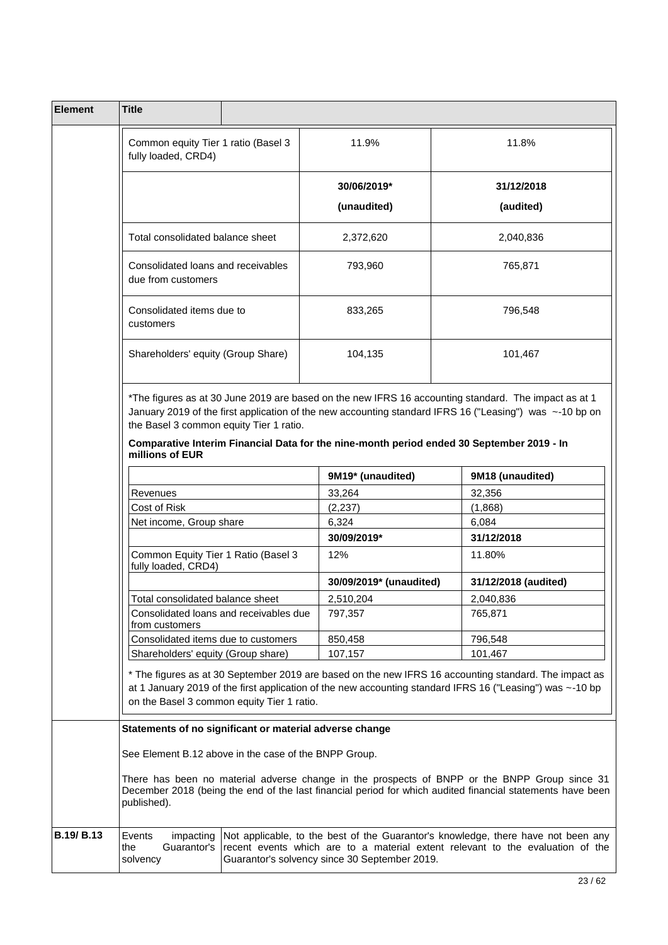| <b>Element</b>    | <b>Title</b>                                                                                                                                                                                                                                                                                                                                                               |  |                                               |  |                                                                                                                                                                                                             |  |
|-------------------|----------------------------------------------------------------------------------------------------------------------------------------------------------------------------------------------------------------------------------------------------------------------------------------------------------------------------------------------------------------------------|--|-----------------------------------------------|--|-------------------------------------------------------------------------------------------------------------------------------------------------------------------------------------------------------------|--|
|                   | Common equity Tier 1 ratio (Basel 3<br>fully loaded, CRD4)                                                                                                                                                                                                                                                                                                                 |  | 11.9%                                         |  | 11.8%                                                                                                                                                                                                       |  |
|                   | Total consolidated balance sheet                                                                                                                                                                                                                                                                                                                                           |  | 30/06/2019*                                   |  | 31/12/2018                                                                                                                                                                                                  |  |
|                   |                                                                                                                                                                                                                                                                                                                                                                            |  | (unaudited)                                   |  | (audited)                                                                                                                                                                                                   |  |
|                   |                                                                                                                                                                                                                                                                                                                                                                            |  | 2,372,620                                     |  | 2,040,836                                                                                                                                                                                                   |  |
|                   | Consolidated loans and receivables<br>due from customers                                                                                                                                                                                                                                                                                                                   |  | 793,960                                       |  | 765,871                                                                                                                                                                                                     |  |
|                   | Consolidated items due to<br>customers                                                                                                                                                                                                                                                                                                                                     |  | 833,265                                       |  | 796,548                                                                                                                                                                                                     |  |
|                   | Shareholders' equity (Group Share)                                                                                                                                                                                                                                                                                                                                         |  | 104,135                                       |  | 101,467                                                                                                                                                                                                     |  |
|                   | *The figures as at 30 June 2019 are based on the new IFRS 16 accounting standard. The impact as at 1<br>January 2019 of the first application of the new accounting standard IFRS 16 ("Leasing") was ~-10 bp on<br>the Basel 3 common equity Tier 1 ratio.<br>Comparative Interim Financial Data for the nine-month period ended 30 September 2019 - In<br>millions of EUR |  |                                               |  |                                                                                                                                                                                                             |  |
|                   |                                                                                                                                                                                                                                                                                                                                                                            |  | 9M19* (unaudited)                             |  | 9M18 (unaudited)                                                                                                                                                                                            |  |
|                   | Revenues                                                                                                                                                                                                                                                                                                                                                                   |  | 33,264                                        |  | 32,356                                                                                                                                                                                                      |  |
|                   | Cost of Risk                                                                                                                                                                                                                                                                                                                                                               |  | (2, 237)                                      |  |                                                                                                                                                                                                             |  |
|                   | Net income, Group share                                                                                                                                                                                                                                                                                                                                                    |  | 6,324                                         |  | 6,084                                                                                                                                                                                                       |  |
|                   |                                                                                                                                                                                                                                                                                                                                                                            |  | 30/09/2019*                                   |  | 31/12/2018                                                                                                                                                                                                  |  |
|                   | Common Equity Tier 1 Ratio (Basel 3<br>fully loaded, CRD4)                                                                                                                                                                                                                                                                                                                 |  | 12%                                           |  | 11.80%                                                                                                                                                                                                      |  |
|                   |                                                                                                                                                                                                                                                                                                                                                                            |  | 30/09/2019* (unaudited)                       |  | 31/12/2018 (audited)                                                                                                                                                                                        |  |
|                   | Total consolidated balance sheet                                                                                                                                                                                                                                                                                                                                           |  | 2,510,204                                     |  | 2.040.836                                                                                                                                                                                                   |  |
|                   | Consolidated loans and receivables due<br>from customers                                                                                                                                                                                                                                                                                                                   |  | 797,357                                       |  | 765,871                                                                                                                                                                                                     |  |
|                   | Consolidated items due to customers                                                                                                                                                                                                                                                                                                                                        |  | 850,458                                       |  |                                                                                                                                                                                                             |  |
|                   | Shareholders' equity (Group share)                                                                                                                                                                                                                                                                                                                                         |  | 107,157                                       |  | 101,467                                                                                                                                                                                                     |  |
|                   | * The figures as at 30 September 2019 are based on the new IFRS 16 accounting standard. The impact as<br>at 1 January 2019 of the first application of the new accounting standard IFRS 16 ("Leasing") was ~-10 bp<br>on the Basel 3 common equity Tier 1 ratio.                                                                                                           |  |                                               |  |                                                                                                                                                                                                             |  |
|                   | Statements of no significant or material adverse change                                                                                                                                                                                                                                                                                                                    |  |                                               |  |                                                                                                                                                                                                             |  |
|                   | See Element B.12 above in the case of the BNPP Group.                                                                                                                                                                                                                                                                                                                      |  |                                               |  |                                                                                                                                                                                                             |  |
|                   | published).                                                                                                                                                                                                                                                                                                                                                                |  |                                               |  | There has been no material adverse change in the prospects of BNPP or the BNPP Group since 31<br>December 2018 (being the end of the last financial period for which audited financial statements have been |  |
| <b>B.19/ B.13</b> | Events<br>impacting<br>Guarantor's<br>the<br>solvency                                                                                                                                                                                                                                                                                                                      |  | Guarantor's solvency since 30 September 2019. |  | Not applicable, to the best of the Guarantor's knowledge, there have not been any<br>recent events which are to a material extent relevant to the evaluation of the                                         |  |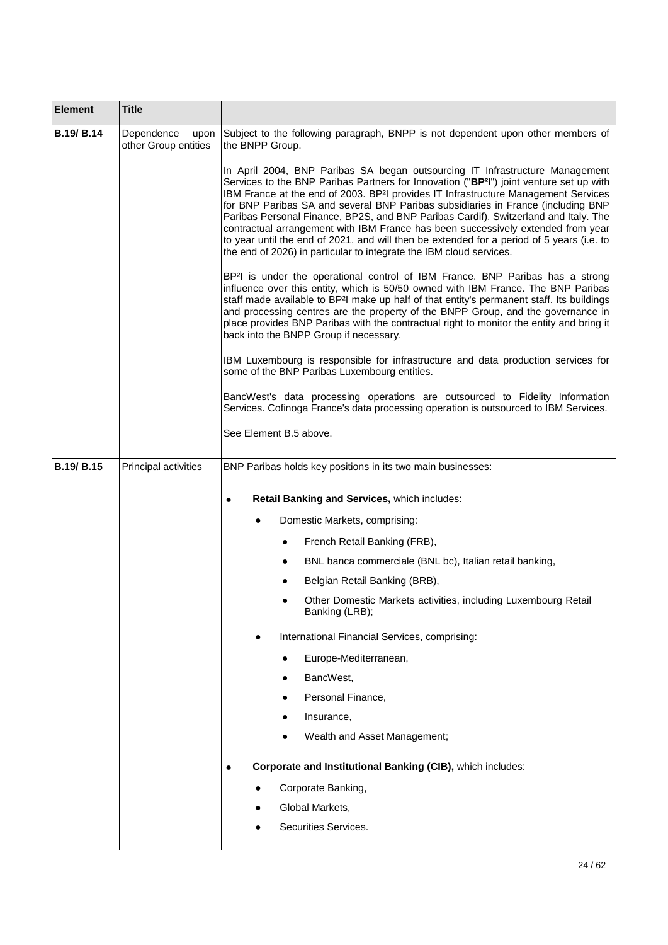| <b>Element</b>    | <b>Title</b>                               |                                                                                                                                                                                                                                                                                                                                                                                                                                                                                                                                                                                                                                                                                                                           |
|-------------------|--------------------------------------------|---------------------------------------------------------------------------------------------------------------------------------------------------------------------------------------------------------------------------------------------------------------------------------------------------------------------------------------------------------------------------------------------------------------------------------------------------------------------------------------------------------------------------------------------------------------------------------------------------------------------------------------------------------------------------------------------------------------------------|
| <b>B.19/ B.14</b> | Dependence<br>upon<br>other Group entities | Subject to the following paragraph, BNPP is not dependent upon other members of<br>the BNPP Group.                                                                                                                                                                                                                                                                                                                                                                                                                                                                                                                                                                                                                        |
|                   |                                            | In April 2004, BNP Paribas SA began outsourcing IT Infrastructure Management<br>Services to the BNP Paribas Partners for Innovation ("BP <sup>2</sup> I") joint venture set up with<br>IBM France at the end of 2003. BP <sup>2</sup> I provides IT Infrastructure Management Services<br>for BNP Paribas SA and several BNP Paribas subsidiaries in France (including BNP<br>Paribas Personal Finance, BP2S, and BNP Paribas Cardif), Switzerland and Italy. The<br>contractual arrangement with IBM France has been successively extended from year<br>to year until the end of 2021, and will then be extended for a period of 5 years (i.e. to<br>the end of 2026) in particular to integrate the IBM cloud services. |
|                   |                                            | BP <sup>2</sup> I is under the operational control of IBM France. BNP Paribas has a strong<br>influence over this entity, which is 50/50 owned with IBM France. The BNP Paribas<br>staff made available to BP <sup>2</sup> I make up half of that entity's permanent staff. Its buildings<br>and processing centres are the property of the BNPP Group, and the governance in<br>place provides BNP Paribas with the contractual right to monitor the entity and bring it<br>back into the BNPP Group if necessary.                                                                                                                                                                                                       |
|                   |                                            | IBM Luxembourg is responsible for infrastructure and data production services for<br>some of the BNP Paribas Luxembourg entities.                                                                                                                                                                                                                                                                                                                                                                                                                                                                                                                                                                                         |
|                   |                                            | BancWest's data processing operations are outsourced to Fidelity Information<br>Services. Cofinoga France's data processing operation is outsourced to IBM Services.                                                                                                                                                                                                                                                                                                                                                                                                                                                                                                                                                      |
|                   |                                            | See Element B.5 above.                                                                                                                                                                                                                                                                                                                                                                                                                                                                                                                                                                                                                                                                                                    |
| <b>B.19/ B.15</b> | Principal activities                       | BNP Paribas holds key positions in its two main businesses:                                                                                                                                                                                                                                                                                                                                                                                                                                                                                                                                                                                                                                                               |
|                   |                                            | Retail Banking and Services, which includes:<br>$\bullet$                                                                                                                                                                                                                                                                                                                                                                                                                                                                                                                                                                                                                                                                 |
|                   |                                            | Domestic Markets, comprising:                                                                                                                                                                                                                                                                                                                                                                                                                                                                                                                                                                                                                                                                                             |
|                   |                                            | French Retail Banking (FRB),<br>٠                                                                                                                                                                                                                                                                                                                                                                                                                                                                                                                                                                                                                                                                                         |
|                   |                                            | BNL banca commerciale (BNL bc), Italian retail banking,<br>٠                                                                                                                                                                                                                                                                                                                                                                                                                                                                                                                                                                                                                                                              |
|                   |                                            | Belgian Retail Banking (BRB),                                                                                                                                                                                                                                                                                                                                                                                                                                                                                                                                                                                                                                                                                             |
|                   |                                            | Other Domestic Markets activities, including Luxembourg Retail<br>Banking (LRB);                                                                                                                                                                                                                                                                                                                                                                                                                                                                                                                                                                                                                                          |
|                   |                                            | International Financial Services, comprising:                                                                                                                                                                                                                                                                                                                                                                                                                                                                                                                                                                                                                                                                             |
|                   |                                            | Europe-Mediterranean,                                                                                                                                                                                                                                                                                                                                                                                                                                                                                                                                                                                                                                                                                                     |
|                   |                                            | BancWest,                                                                                                                                                                                                                                                                                                                                                                                                                                                                                                                                                                                                                                                                                                                 |
|                   |                                            | Personal Finance,                                                                                                                                                                                                                                                                                                                                                                                                                                                                                                                                                                                                                                                                                                         |
|                   |                                            | Insurance,                                                                                                                                                                                                                                                                                                                                                                                                                                                                                                                                                                                                                                                                                                                |
|                   |                                            | Wealth and Asset Management;                                                                                                                                                                                                                                                                                                                                                                                                                                                                                                                                                                                                                                                                                              |
|                   |                                            | Corporate and Institutional Banking (CIB), which includes:<br>$\bullet$                                                                                                                                                                                                                                                                                                                                                                                                                                                                                                                                                                                                                                                   |
|                   |                                            | Corporate Banking,                                                                                                                                                                                                                                                                                                                                                                                                                                                                                                                                                                                                                                                                                                        |
|                   |                                            | Global Markets,                                                                                                                                                                                                                                                                                                                                                                                                                                                                                                                                                                                                                                                                                                           |
|                   |                                            | Securities Services.                                                                                                                                                                                                                                                                                                                                                                                                                                                                                                                                                                                                                                                                                                      |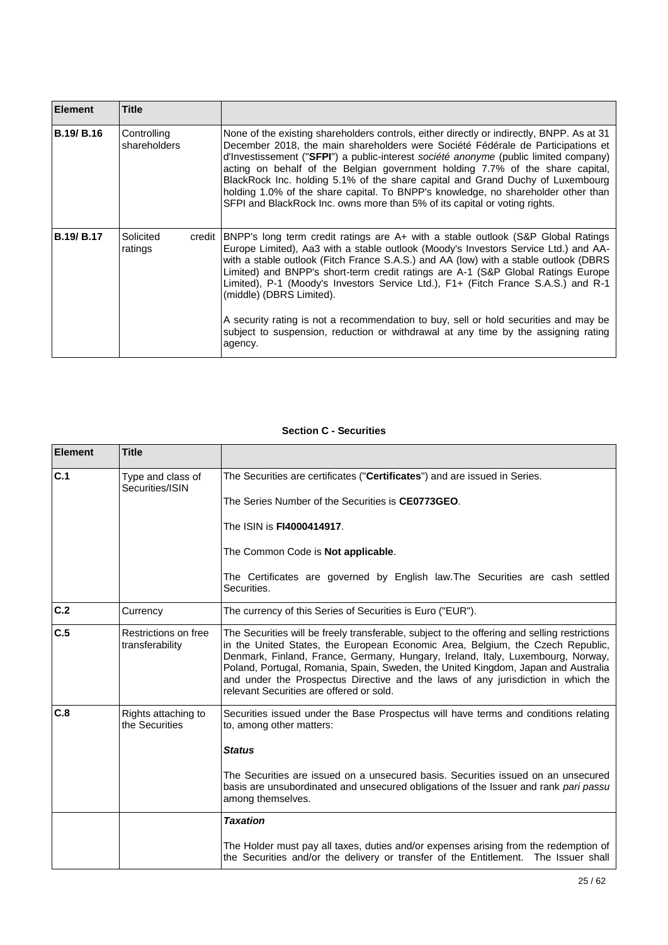| <b>Element</b>    | <b>Title</b>                |        |                                                                                                                                                                                                                                                                                                                                                                                                                                                                                                                                                                                                                                                               |
|-------------------|-----------------------------|--------|---------------------------------------------------------------------------------------------------------------------------------------------------------------------------------------------------------------------------------------------------------------------------------------------------------------------------------------------------------------------------------------------------------------------------------------------------------------------------------------------------------------------------------------------------------------------------------------------------------------------------------------------------------------|
| <b>B.19/ B.16</b> | Controlling<br>shareholders |        | None of the existing shareholders controls, either directly or indirectly, BNPP. As at 31<br>December 2018, the main shareholders were Société Fédérale de Participations et<br>d'Investissement ("SFPI") a public-interest société anonyme (public limited company)<br>acting on behalf of the Belgian government holding 7.7% of the share capital,<br>BlackRock Inc. holding 5.1% of the share capital and Grand Duchy of Luxembourg<br>holding 1.0% of the share capital. To BNPP's knowledge, no shareholder other than<br>SFPI and BlackRock Inc. owns more than 5% of its capital or voting rights.                                                    |
| <b>B.19/ B.17</b> | Solicited<br>ratings        | credit | BNPP's long term credit ratings are A+ with a stable outlook (S&P Global Ratings<br>Europe Limited), Aa3 with a stable outlook (Moody's Investors Service Ltd.) and AA-<br>with a stable outlook (Fitch France S.A.S.) and AA (low) with a stable outlook (DBRS<br>Limited) and BNPP's short-term credit ratings are A-1 (S&P Global Ratings Europe<br>Limited), P-1 (Moody's Investors Service Ltd.), F1+ (Fitch France S.A.S.) and R-1<br>(middle) (DBRS Limited).<br>A security rating is not a recommendation to buy, sell or hold securities and may be<br>subject to suspension, reduction or withdrawal at any time by the assigning rating<br>agency. |

## **Section C - Securities**

 $\Gamma$ 

| <b>Element</b> | <b>Title</b>                            |                                                                                                                                                                                                                                                                                                                                                                                                                                                                                        |
|----------------|-----------------------------------------|----------------------------------------------------------------------------------------------------------------------------------------------------------------------------------------------------------------------------------------------------------------------------------------------------------------------------------------------------------------------------------------------------------------------------------------------------------------------------------------|
| C.1            | Type and class of<br>Securities/ISIN    | The Securities are certificates ("Certificates") and are issued in Series.                                                                                                                                                                                                                                                                                                                                                                                                             |
|                |                                         | The Series Number of the Securities is CE0773GEO.                                                                                                                                                                                                                                                                                                                                                                                                                                      |
|                |                                         | The ISIN is <b>FI4000414917</b> .                                                                                                                                                                                                                                                                                                                                                                                                                                                      |
|                |                                         | The Common Code is Not applicable.                                                                                                                                                                                                                                                                                                                                                                                                                                                     |
|                |                                         | The Certificates are governed by English law. The Securities are cash settled<br>Securities.                                                                                                                                                                                                                                                                                                                                                                                           |
| C.2            | Currency                                | The currency of this Series of Securities is Euro ("EUR").                                                                                                                                                                                                                                                                                                                                                                                                                             |
| C.5            | Restrictions on free<br>transferability | The Securities will be freely transferable, subject to the offering and selling restrictions<br>in the United States, the European Economic Area, Belgium, the Czech Republic,<br>Denmark, Finland, France, Germany, Hungary, Ireland, Italy, Luxembourg, Norway,<br>Poland, Portugal, Romania, Spain, Sweden, the United Kingdom, Japan and Australia<br>and under the Prospectus Directive and the laws of any jurisdiction in which the<br>relevant Securities are offered or sold. |
| C.8            | Rights attaching to<br>the Securities   | Securities issued under the Base Prospectus will have terms and conditions relating<br>to, among other matters:<br><b>Status</b>                                                                                                                                                                                                                                                                                                                                                       |
|                |                                         |                                                                                                                                                                                                                                                                                                                                                                                                                                                                                        |
|                |                                         | The Securities are issued on a unsecured basis. Securities issued on an unsecured<br>basis are unsubordinated and unsecured obligations of the Issuer and rank pari passu<br>among themselves.                                                                                                                                                                                                                                                                                         |
|                |                                         | <b>Taxation</b>                                                                                                                                                                                                                                                                                                                                                                                                                                                                        |
|                |                                         | The Holder must pay all taxes, duties and/or expenses arising from the redemption of<br>the Securities and/or the delivery or transfer of the Entitlement. The Issuer shall                                                                                                                                                                                                                                                                                                            |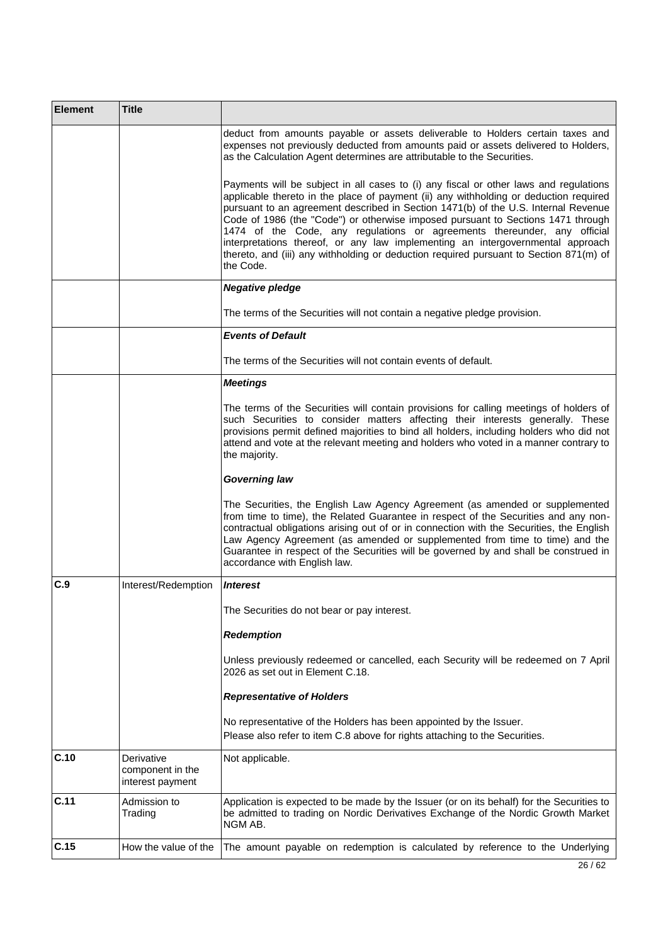| <b>Element</b> | <b>Title</b>                                       |                                                                                                                                                                                                                                                                                                                                                                                                                                                                                                                                                                                                                               |
|----------------|----------------------------------------------------|-------------------------------------------------------------------------------------------------------------------------------------------------------------------------------------------------------------------------------------------------------------------------------------------------------------------------------------------------------------------------------------------------------------------------------------------------------------------------------------------------------------------------------------------------------------------------------------------------------------------------------|
|                |                                                    | deduct from amounts payable or assets deliverable to Holders certain taxes and<br>expenses not previously deducted from amounts paid or assets delivered to Holders,<br>as the Calculation Agent determines are attributable to the Securities.                                                                                                                                                                                                                                                                                                                                                                               |
|                |                                                    | Payments will be subject in all cases to (i) any fiscal or other laws and regulations<br>applicable thereto in the place of payment (ii) any withholding or deduction required<br>pursuant to an agreement described in Section 1471(b) of the U.S. Internal Revenue<br>Code of 1986 (the "Code") or otherwise imposed pursuant to Sections 1471 through<br>1474 of the Code, any regulations or agreements thereunder, any official<br>interpretations thereof, or any law implementing an intergovernmental approach<br>thereto, and (iii) any withholding or deduction required pursuant to Section 871(m) of<br>the Code. |
|                |                                                    | <b>Negative pledge</b>                                                                                                                                                                                                                                                                                                                                                                                                                                                                                                                                                                                                        |
|                |                                                    | The terms of the Securities will not contain a negative pledge provision.                                                                                                                                                                                                                                                                                                                                                                                                                                                                                                                                                     |
|                |                                                    | <b>Events of Default</b>                                                                                                                                                                                                                                                                                                                                                                                                                                                                                                                                                                                                      |
|                |                                                    | The terms of the Securities will not contain events of default.                                                                                                                                                                                                                                                                                                                                                                                                                                                                                                                                                               |
|                |                                                    | <b>Meetings</b>                                                                                                                                                                                                                                                                                                                                                                                                                                                                                                                                                                                                               |
|                |                                                    | The terms of the Securities will contain provisions for calling meetings of holders of<br>such Securities to consider matters affecting their interests generally. These<br>provisions permit defined majorities to bind all holders, including holders who did not<br>attend and vote at the relevant meeting and holders who voted in a manner contrary to<br>the majority.                                                                                                                                                                                                                                                 |
|                |                                                    | <b>Governing law</b>                                                                                                                                                                                                                                                                                                                                                                                                                                                                                                                                                                                                          |
|                |                                                    | The Securities, the English Law Agency Agreement (as amended or supplemented<br>from time to time), the Related Guarantee in respect of the Securities and any non-<br>contractual obligations arising out of or in connection with the Securities, the English<br>Law Agency Agreement (as amended or supplemented from time to time) and the<br>Guarantee in respect of the Securities will be governed by and shall be construed in<br>accordance with English law.                                                                                                                                                        |
| C.9            | Interest/Redemption                                | <i><b>Interest</b></i>                                                                                                                                                                                                                                                                                                                                                                                                                                                                                                                                                                                                        |
|                |                                                    | The Securities do not bear or pay interest.                                                                                                                                                                                                                                                                                                                                                                                                                                                                                                                                                                                   |
|                |                                                    | <b>Redemption</b>                                                                                                                                                                                                                                                                                                                                                                                                                                                                                                                                                                                                             |
|                |                                                    | Unless previously redeemed or cancelled, each Security will be redeemed on 7 April<br>2026 as set out in Element C.18.                                                                                                                                                                                                                                                                                                                                                                                                                                                                                                        |
|                |                                                    | <b>Representative of Holders</b>                                                                                                                                                                                                                                                                                                                                                                                                                                                                                                                                                                                              |
|                |                                                    | No representative of the Holders has been appointed by the Issuer.<br>Please also refer to item C.8 above for rights attaching to the Securities.                                                                                                                                                                                                                                                                                                                                                                                                                                                                             |
| C.10           | Derivative<br>component in the<br>interest payment | Not applicable.                                                                                                                                                                                                                                                                                                                                                                                                                                                                                                                                                                                                               |
| C.11           | Admission to<br>Trading                            | Application is expected to be made by the Issuer (or on its behalf) for the Securities to<br>be admitted to trading on Nordic Derivatives Exchange of the Nordic Growth Market<br>NGM AB.                                                                                                                                                                                                                                                                                                                                                                                                                                     |
| C.15           | How the value of the                               | The amount payable on redemption is calculated by reference to the Underlying                                                                                                                                                                                                                                                                                                                                                                                                                                                                                                                                                 |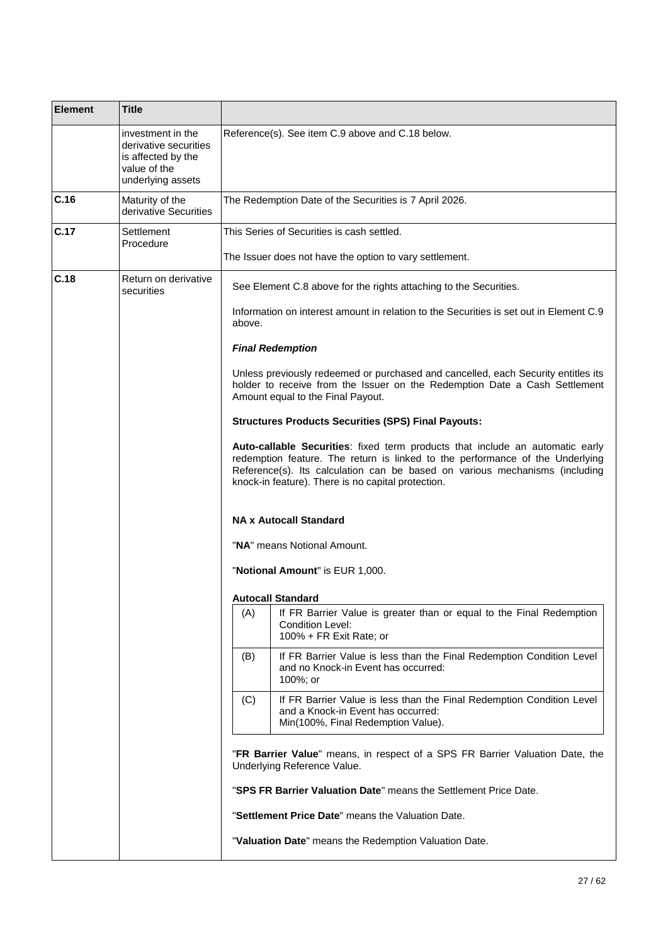| <b>Element</b> | <b>Title</b>                                                                                          |                                                                                                                                                                                                                                                                                                                                      |  |  |  |
|----------------|-------------------------------------------------------------------------------------------------------|--------------------------------------------------------------------------------------------------------------------------------------------------------------------------------------------------------------------------------------------------------------------------------------------------------------------------------------|--|--|--|
|                | investment in the<br>derivative securities<br>is affected by the<br>value of the<br>underlying assets | Reference(s). See item C.9 above and C.18 below.                                                                                                                                                                                                                                                                                     |  |  |  |
| C.16           | Maturity of the<br>derivative Securities                                                              | The Redemption Date of the Securities is 7 April 2026.                                                                                                                                                                                                                                                                               |  |  |  |
| C.17           | Settlement<br>Procedure                                                                               | This Series of Securities is cash settled.                                                                                                                                                                                                                                                                                           |  |  |  |
|                |                                                                                                       | The Issuer does not have the option to vary settlement.                                                                                                                                                                                                                                                                              |  |  |  |
| C.18           | Return on derivative<br>securities                                                                    | See Element C.8 above for the rights attaching to the Securities.                                                                                                                                                                                                                                                                    |  |  |  |
|                |                                                                                                       | Information on interest amount in relation to the Securities is set out in Element C.9<br>above.                                                                                                                                                                                                                                     |  |  |  |
|                |                                                                                                       | <b>Final Redemption</b>                                                                                                                                                                                                                                                                                                              |  |  |  |
|                |                                                                                                       | Unless previously redeemed or purchased and cancelled, each Security entitles its<br>holder to receive from the Issuer on the Redemption Date a Cash Settlement<br>Amount equal to the Final Payout.                                                                                                                                 |  |  |  |
|                |                                                                                                       | <b>Structures Products Securities (SPS) Final Payouts:</b>                                                                                                                                                                                                                                                                           |  |  |  |
|                |                                                                                                       | Auto-callable Securities: fixed term products that include an automatic early<br>redemption feature. The return is linked to the performance of the Underlying<br>Reference(s). Its calculation can be based on various mechanisms (including<br>knock-in feature). There is no capital protection.<br><b>NA x Autocall Standard</b> |  |  |  |
|                |                                                                                                       |                                                                                                                                                                                                                                                                                                                                      |  |  |  |
|                |                                                                                                       | "NA" means Notional Amount.                                                                                                                                                                                                                                                                                                          |  |  |  |
|                |                                                                                                       | "Notional Amount" is EUR 1,000.                                                                                                                                                                                                                                                                                                      |  |  |  |
|                |                                                                                                       | <b>Autocall Standard</b>                                                                                                                                                                                                                                                                                                             |  |  |  |
|                |                                                                                                       | If FR Barrier Value is greater than or equal to the Final Redemption<br>(A)<br><b>Condition Level:</b><br>100% + FR Exit Rate; or                                                                                                                                                                                                    |  |  |  |
|                |                                                                                                       | (B)<br>If FR Barrier Value is less than the Final Redemption Condition Level<br>and no Knock-in Event has occurred:<br>100%; or                                                                                                                                                                                                      |  |  |  |
|                |                                                                                                       | (C)<br>If FR Barrier Value is less than the Final Redemption Condition Level<br>and a Knock-in Event has occurred:<br>Min(100%, Final Redemption Value).                                                                                                                                                                             |  |  |  |
|                |                                                                                                       | "FR Barrier Value" means, in respect of a SPS FR Barrier Valuation Date, the<br>Underlying Reference Value.                                                                                                                                                                                                                          |  |  |  |
|                |                                                                                                       | "SPS FR Barrier Valuation Date" means the Settlement Price Date.                                                                                                                                                                                                                                                                     |  |  |  |
|                |                                                                                                       | "Settlement Price Date" means the Valuation Date.                                                                                                                                                                                                                                                                                    |  |  |  |
|                |                                                                                                       | "Valuation Date" means the Redemption Valuation Date.                                                                                                                                                                                                                                                                                |  |  |  |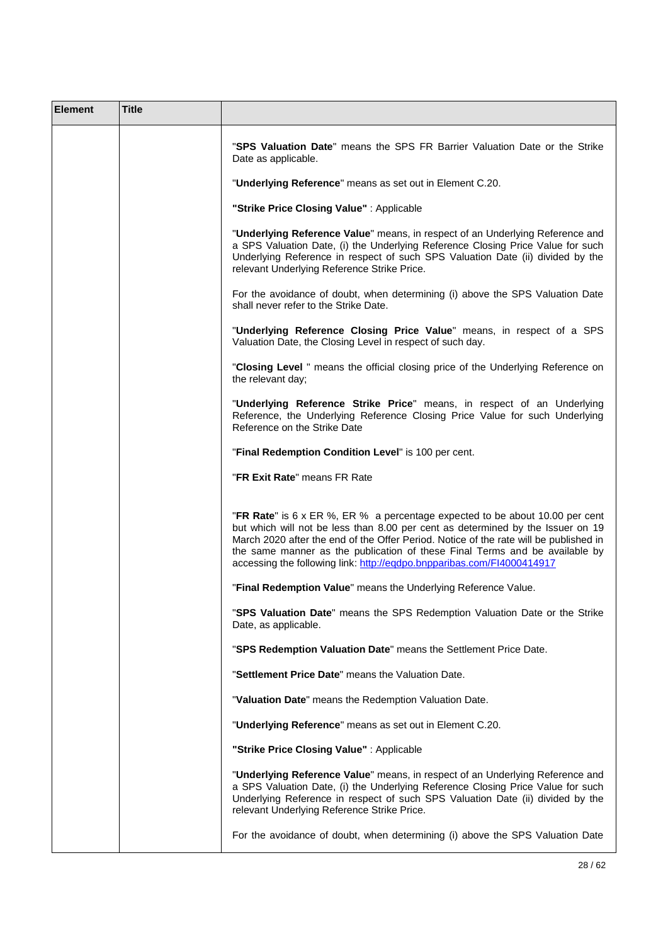| <b>Element</b> | <b>Title</b> |                                                                                                                                                                                                                                                                                                                                                                                                                   |
|----------------|--------------|-------------------------------------------------------------------------------------------------------------------------------------------------------------------------------------------------------------------------------------------------------------------------------------------------------------------------------------------------------------------------------------------------------------------|
|                |              | "SPS Valuation Date" means the SPS FR Barrier Valuation Date or the Strike<br>Date as applicable.                                                                                                                                                                                                                                                                                                                 |
|                |              | "Underlying Reference" means as set out in Element C.20.                                                                                                                                                                                                                                                                                                                                                          |
|                |              | "Strike Price Closing Value": Applicable                                                                                                                                                                                                                                                                                                                                                                          |
|                |              | "Underlying Reference Value" means, in respect of an Underlying Reference and<br>a SPS Valuation Date, (i) the Underlying Reference Closing Price Value for such<br>Underlying Reference in respect of such SPS Valuation Date (ii) divided by the<br>relevant Underlying Reference Strike Price.                                                                                                                 |
|                |              | For the avoidance of doubt, when determining (i) above the SPS Valuation Date<br>shall never refer to the Strike Date.                                                                                                                                                                                                                                                                                            |
|                |              | "Underlying Reference Closing Price Value" means, in respect of a SPS<br>Valuation Date, the Closing Level in respect of such day.                                                                                                                                                                                                                                                                                |
|                |              | "Closing Level " means the official closing price of the Underlying Reference on<br>the relevant day;                                                                                                                                                                                                                                                                                                             |
|                |              | "Underlying Reference Strike Price" means, in respect of an Underlying<br>Reference, the Underlying Reference Closing Price Value for such Underlying<br>Reference on the Strike Date                                                                                                                                                                                                                             |
|                |              | "Final Redemption Condition Level" is 100 per cent.                                                                                                                                                                                                                                                                                                                                                               |
|                |              | "FR Exit Rate" means FR Rate                                                                                                                                                                                                                                                                                                                                                                                      |
|                |              | "FR Rate" is 6 x ER %, ER % a percentage expected to be about 10.00 per cent<br>but which will not be less than 8.00 per cent as determined by the Issuer on 19<br>March 2020 after the end of the Offer Period. Notice of the rate will be published in<br>the same manner as the publication of these Final Terms and be available by<br>accessing the following link: http://eqdpo.bnpparibas.com/FI4000414917 |
|                |              | "Final Redemption Value" means the Underlying Reference Value.                                                                                                                                                                                                                                                                                                                                                    |
|                |              | "SPS Valuation Date" means the SPS Redemption Valuation Date or the Strike<br>Date, as applicable.                                                                                                                                                                                                                                                                                                                |
|                |              | "SPS Redemption Valuation Date" means the Settlement Price Date.                                                                                                                                                                                                                                                                                                                                                  |
|                |              | "Settlement Price Date" means the Valuation Date.                                                                                                                                                                                                                                                                                                                                                                 |
|                |              | "Valuation Date" means the Redemption Valuation Date.                                                                                                                                                                                                                                                                                                                                                             |
|                |              | "Underlying Reference" means as set out in Element C.20.                                                                                                                                                                                                                                                                                                                                                          |
|                |              | "Strike Price Closing Value": Applicable                                                                                                                                                                                                                                                                                                                                                                          |
|                |              | "Underlying Reference Value" means, in respect of an Underlying Reference and<br>a SPS Valuation Date, (i) the Underlying Reference Closing Price Value for such<br>Underlying Reference in respect of such SPS Valuation Date (ii) divided by the<br>relevant Underlying Reference Strike Price.                                                                                                                 |
|                |              | For the avoidance of doubt, when determining (i) above the SPS Valuation Date                                                                                                                                                                                                                                                                                                                                     |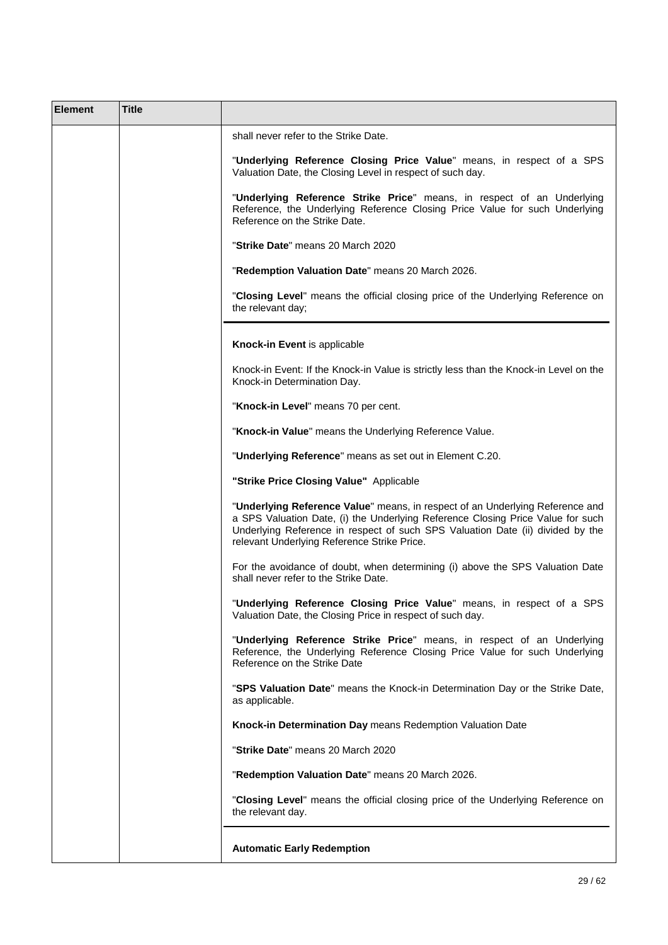| <b>Element</b> | <b>Title</b> |                                                                                                                                                                                                                                                                                                   |
|----------------|--------------|---------------------------------------------------------------------------------------------------------------------------------------------------------------------------------------------------------------------------------------------------------------------------------------------------|
|                |              | shall never refer to the Strike Date.                                                                                                                                                                                                                                                             |
|                |              | "Underlying Reference Closing Price Value" means, in respect of a SPS<br>Valuation Date, the Closing Level in respect of such day.                                                                                                                                                                |
|                |              | "Underlying Reference Strike Price" means, in respect of an Underlying<br>Reference, the Underlying Reference Closing Price Value for such Underlying<br>Reference on the Strike Date.                                                                                                            |
|                |              | "Strike Date" means 20 March 2020                                                                                                                                                                                                                                                                 |
|                |              | "Redemption Valuation Date" means 20 March 2026.                                                                                                                                                                                                                                                  |
|                |              | "Closing Level" means the official closing price of the Underlying Reference on<br>the relevant day;                                                                                                                                                                                              |
|                |              | Knock-in Event is applicable                                                                                                                                                                                                                                                                      |
|                |              | Knock-in Event: If the Knock-in Value is strictly less than the Knock-in Level on the<br>Knock-in Determination Day.                                                                                                                                                                              |
|                |              | "Knock-in Level" means 70 per cent.                                                                                                                                                                                                                                                               |
|                |              | "Knock-in Value" means the Underlying Reference Value.                                                                                                                                                                                                                                            |
|                |              | "Underlying Reference" means as set out in Element C.20.                                                                                                                                                                                                                                          |
|                |              | "Strike Price Closing Value" Applicable                                                                                                                                                                                                                                                           |
|                |              | "Underlying Reference Value" means, in respect of an Underlying Reference and<br>a SPS Valuation Date, (i) the Underlying Reference Closing Price Value for such<br>Underlying Reference in respect of such SPS Valuation Date (ii) divided by the<br>relevant Underlying Reference Strike Price. |
|                |              | For the avoidance of doubt, when determining (i) above the SPS Valuation Date<br>shall never refer to the Strike Date.                                                                                                                                                                            |
|                |              | "Underlying Reference Closing Price Value" means, in respect of a SPS<br>Valuation Date, the Closing Price in respect of such day.                                                                                                                                                                |
|                |              | "Underlying Reference Strike Price" means, in respect of an Underlying<br>Reference, the Underlying Reference Closing Price Value for such Underlying<br>Reference on the Strike Date                                                                                                             |
|                |              | "SPS Valuation Date" means the Knock-in Determination Day or the Strike Date,<br>as applicable.                                                                                                                                                                                                   |
|                |              | Knock-in Determination Day means Redemption Valuation Date                                                                                                                                                                                                                                        |
|                |              | "Strike Date" means 20 March 2020                                                                                                                                                                                                                                                                 |
|                |              | "Redemption Valuation Date" means 20 March 2026.                                                                                                                                                                                                                                                  |
|                |              | "Closing Level" means the official closing price of the Underlying Reference on<br>the relevant day.                                                                                                                                                                                              |
|                |              | <b>Automatic Early Redemption</b>                                                                                                                                                                                                                                                                 |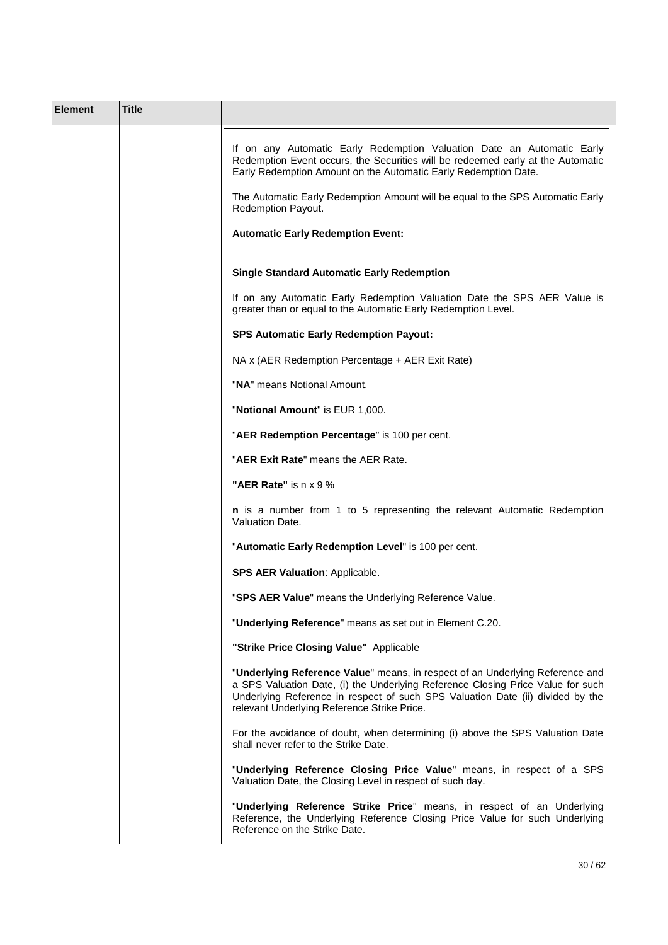| <b>Element</b> | Title |                                                                                                                                                                                                                                                                                                                                      |
|----------------|-------|--------------------------------------------------------------------------------------------------------------------------------------------------------------------------------------------------------------------------------------------------------------------------------------------------------------------------------------|
|                |       | If on any Automatic Early Redemption Valuation Date an Automatic Early<br>Redemption Event occurs, the Securities will be redeemed early at the Automatic<br>Early Redemption Amount on the Automatic Early Redemption Date.<br>The Automatic Early Redemption Amount will be equal to the SPS Automatic Early<br>Redemption Payout. |
|                |       | <b>Automatic Early Redemption Event:</b>                                                                                                                                                                                                                                                                                             |
|                |       | <b>Single Standard Automatic Early Redemption</b>                                                                                                                                                                                                                                                                                    |
|                |       | If on any Automatic Early Redemption Valuation Date the SPS AER Value is<br>greater than or equal to the Automatic Early Redemption Level.                                                                                                                                                                                           |
|                |       | <b>SPS Automatic Early Redemption Payout:</b>                                                                                                                                                                                                                                                                                        |
|                |       | NA x (AER Redemption Percentage + AER Exit Rate)                                                                                                                                                                                                                                                                                     |
|                |       | "NA" means Notional Amount.                                                                                                                                                                                                                                                                                                          |
|                |       | "Notional Amount" is EUR 1,000.                                                                                                                                                                                                                                                                                                      |
|                |       | "AER Redemption Percentage" is 100 per cent.                                                                                                                                                                                                                                                                                         |
|                |       | "AER Exit Rate" means the AER Rate.                                                                                                                                                                                                                                                                                                  |
|                |       | "AER Rate" is n x 9 %                                                                                                                                                                                                                                                                                                                |
|                |       | n is a number from 1 to 5 representing the relevant Automatic Redemption<br>Valuation Date.                                                                                                                                                                                                                                          |
|                |       | "Automatic Early Redemption Level" is 100 per cent.                                                                                                                                                                                                                                                                                  |
|                |       | <b>SPS AER Valuation: Applicable.</b>                                                                                                                                                                                                                                                                                                |
|                |       | "SPS AER Value" means the Underlying Reference Value.                                                                                                                                                                                                                                                                                |
|                |       | "Underlying Reference" means as set out in Element C.20.                                                                                                                                                                                                                                                                             |
|                |       | "Strike Price Closing Value" Applicable                                                                                                                                                                                                                                                                                              |
|                |       | "Underlying Reference Value" means, in respect of an Underlying Reference and<br>a SPS Valuation Date, (i) the Underlying Reference Closing Price Value for such<br>Underlying Reference in respect of such SPS Valuation Date (ii) divided by the<br>relevant Underlying Reference Strike Price.                                    |
|                |       | For the avoidance of doubt, when determining (i) above the SPS Valuation Date<br>shall never refer to the Strike Date.                                                                                                                                                                                                               |
|                |       | "Underlying Reference Closing Price Value" means, in respect of a SPS<br>Valuation Date, the Closing Level in respect of such day.                                                                                                                                                                                                   |
|                |       | "Underlying Reference Strike Price" means, in respect of an Underlying<br>Reference, the Underlying Reference Closing Price Value for such Underlying<br>Reference on the Strike Date.                                                                                                                                               |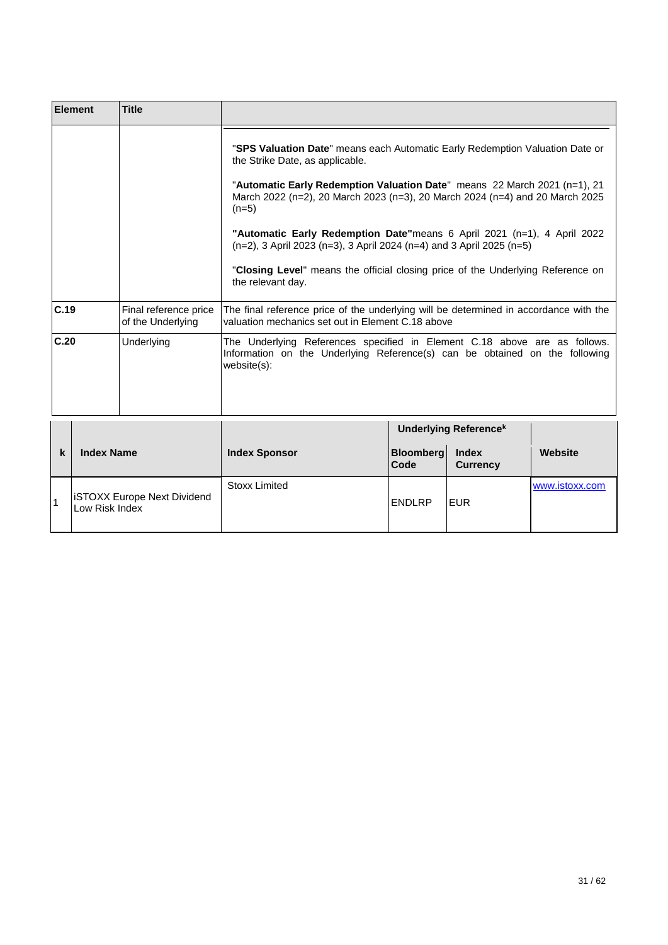| <b>Element</b> | <b>Title</b>                               |                                                                                                                                                                                                                                                                                                                                                                                                                                                                                                                                                       |
|----------------|--------------------------------------------|-------------------------------------------------------------------------------------------------------------------------------------------------------------------------------------------------------------------------------------------------------------------------------------------------------------------------------------------------------------------------------------------------------------------------------------------------------------------------------------------------------------------------------------------------------|
|                |                                            | "SPS Valuation Date" means each Automatic Early Redemption Valuation Date or<br>the Strike Date, as applicable.<br>"Automatic Early Redemption Valuation Date" means 22 March 2021 (n=1), 21<br>March 2022 (n=2), 20 March 2023 (n=3), 20 March 2024 (n=4) and 20 March 2025<br>$(n=5)$<br>"Automatic Early Redemption Date"means 6 April 2021 (n=1), 4 April 2022<br>$(n=2)$ , 3 April 2023 (n=3), 3 April 2024 (n=4) and 3 April 2025 (n=5)<br>"Closing Level" means the official closing price of the Underlying Reference on<br>the relevant day. |
| C.19           | Final reference price<br>of the Underlying | The final reference price of the underlying will be determined in accordance with the<br>valuation mechanics set out in Element C.18 above                                                                                                                                                                                                                                                                                                                                                                                                            |
| C.20           | Underlying                                 | The Underlying References specified in Element C.18 above are as follows.<br>Information on the Underlying Reference(s) can be obtained on the following<br>$website(s)$ :                                                                                                                                                                                                                                                                                                                                                                            |

|        |                                                      |                      | <b>Underlying Referencek</b> |                                 |                |
|--------|------------------------------------------------------|----------------------|------------------------------|---------------------------------|----------------|
| L<br>N | <b>Index Name</b>                                    | <b>Index Sponsor</b> | <b>Bloomberg</b><br>Code     | <b>Index</b><br><b>Currency</b> | Website        |
|        | <b>ISTOXX Europe Next Dividend</b><br>Low Risk Index | <b>Stoxx Limited</b> | <b>ENDLRP</b>                | IEUR                            | www.istoxx.com |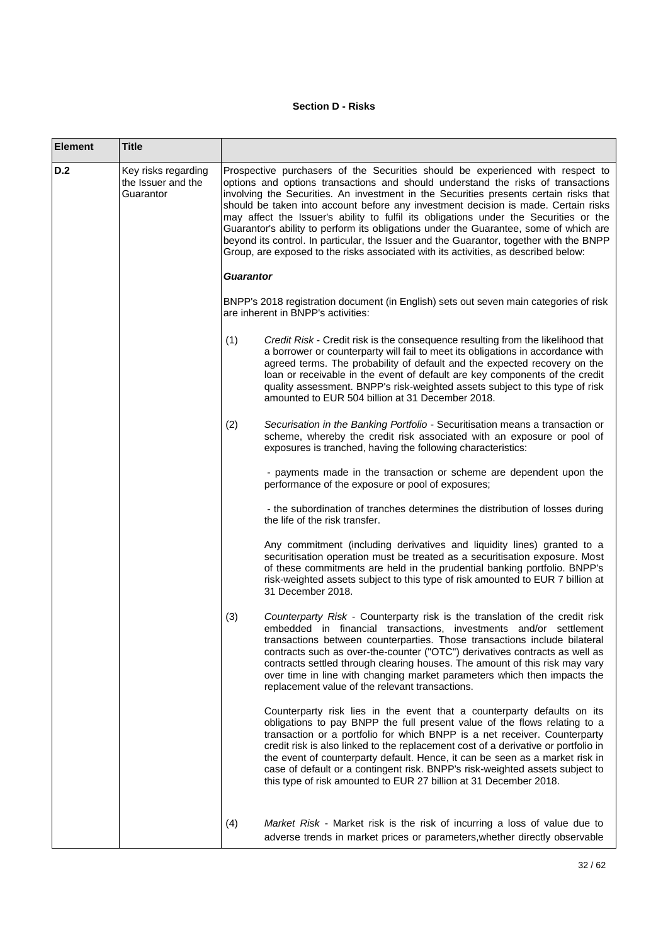## **Section D - Risks**

| <b>Element</b> | <b>Title</b>                                           |                                                                                                                                                                                                                                                                                                                                                                                                                                                                                                                                                                                                                                                                                                                       |                                                                                                                                                                                                                                                                                                                                                                                                                                                                                                                                                              |  |
|----------------|--------------------------------------------------------|-----------------------------------------------------------------------------------------------------------------------------------------------------------------------------------------------------------------------------------------------------------------------------------------------------------------------------------------------------------------------------------------------------------------------------------------------------------------------------------------------------------------------------------------------------------------------------------------------------------------------------------------------------------------------------------------------------------------------|--------------------------------------------------------------------------------------------------------------------------------------------------------------------------------------------------------------------------------------------------------------------------------------------------------------------------------------------------------------------------------------------------------------------------------------------------------------------------------------------------------------------------------------------------------------|--|
| D.2            | Key risks regarding<br>the Issuer and the<br>Guarantor | Prospective purchasers of the Securities should be experienced with respect to<br>options and options transactions and should understand the risks of transactions<br>involving the Securities. An investment in the Securities presents certain risks that<br>should be taken into account before any investment decision is made. Certain risks<br>may affect the Issuer's ability to fulfil its obligations under the Securities or the<br>Guarantor's ability to perform its obligations under the Guarantee, some of which are<br>beyond its control. In particular, the Issuer and the Guarantor, together with the BNPP<br>Group, are exposed to the risks associated with its activities, as described below: |                                                                                                                                                                                                                                                                                                                                                                                                                                                                                                                                                              |  |
|                |                                                        | <b>Guarantor</b>                                                                                                                                                                                                                                                                                                                                                                                                                                                                                                                                                                                                                                                                                                      |                                                                                                                                                                                                                                                                                                                                                                                                                                                                                                                                                              |  |
|                |                                                        | BNPP's 2018 registration document (in English) sets out seven main categories of risk<br>are inherent in BNPP's activities:                                                                                                                                                                                                                                                                                                                                                                                                                                                                                                                                                                                           |                                                                                                                                                                                                                                                                                                                                                                                                                                                                                                                                                              |  |
|                |                                                        | (1)                                                                                                                                                                                                                                                                                                                                                                                                                                                                                                                                                                                                                                                                                                                   | Credit Risk - Credit risk is the consequence resulting from the likelihood that<br>a borrower or counterparty will fail to meet its obligations in accordance with<br>agreed terms. The probability of default and the expected recovery on the<br>loan or receivable in the event of default are key components of the credit<br>quality assessment. BNPP's risk-weighted assets subject to this type of risk<br>amounted to EUR 504 billion at 31 December 2018.                                                                                           |  |
|                |                                                        | (2)                                                                                                                                                                                                                                                                                                                                                                                                                                                                                                                                                                                                                                                                                                                   | Securisation in the Banking Portfolio - Securitisation means a transaction or<br>scheme, whereby the credit risk associated with an exposure or pool of<br>exposures is tranched, having the following characteristics:                                                                                                                                                                                                                                                                                                                                      |  |
|                |                                                        |                                                                                                                                                                                                                                                                                                                                                                                                                                                                                                                                                                                                                                                                                                                       | - payments made in the transaction or scheme are dependent upon the<br>performance of the exposure or pool of exposures;                                                                                                                                                                                                                                                                                                                                                                                                                                     |  |
|                |                                                        |                                                                                                                                                                                                                                                                                                                                                                                                                                                                                                                                                                                                                                                                                                                       | - the subordination of tranches determines the distribution of losses during<br>the life of the risk transfer.                                                                                                                                                                                                                                                                                                                                                                                                                                               |  |
|                |                                                        |                                                                                                                                                                                                                                                                                                                                                                                                                                                                                                                                                                                                                                                                                                                       | Any commitment (including derivatives and liquidity lines) granted to a<br>securitisation operation must be treated as a securitisation exposure. Most<br>of these commitments are held in the prudential banking portfolio. BNPP's<br>risk-weighted assets subject to this type of risk amounted to EUR 7 billion at<br>31 December 2018.                                                                                                                                                                                                                   |  |
|                |                                                        | (3)                                                                                                                                                                                                                                                                                                                                                                                                                                                                                                                                                                                                                                                                                                                   | Counterparty Risk - Counterparty risk is the translation of the credit risk<br>embedded in financial transactions, investments and/or settlement<br>transactions between counterparties. Those transactions include bilateral<br>contracts such as over-the-counter ("OTC") derivatives contracts as well as<br>contracts settled through clearing houses. The amount of this risk may vary<br>over time in line with changing market parameters which then impacts the<br>replacement value of the relevant transactions.                                   |  |
|                |                                                        |                                                                                                                                                                                                                                                                                                                                                                                                                                                                                                                                                                                                                                                                                                                       | Counterparty risk lies in the event that a counterparty defaults on its<br>obligations to pay BNPP the full present value of the flows relating to a<br>transaction or a portfolio for which BNPP is a net receiver. Counterparty<br>credit risk is also linked to the replacement cost of a derivative or portfolio in<br>the event of counterparty default. Hence, it can be seen as a market risk in<br>case of default or a contingent risk. BNPP's risk-weighted assets subject to<br>this type of risk amounted to EUR 27 billion at 31 December 2018. |  |
|                |                                                        | (4)                                                                                                                                                                                                                                                                                                                                                                                                                                                                                                                                                                                                                                                                                                                   | Market Risk - Market risk is the risk of incurring a loss of value due to<br>adverse trends in market prices or parameters, whether directly observable                                                                                                                                                                                                                                                                                                                                                                                                      |  |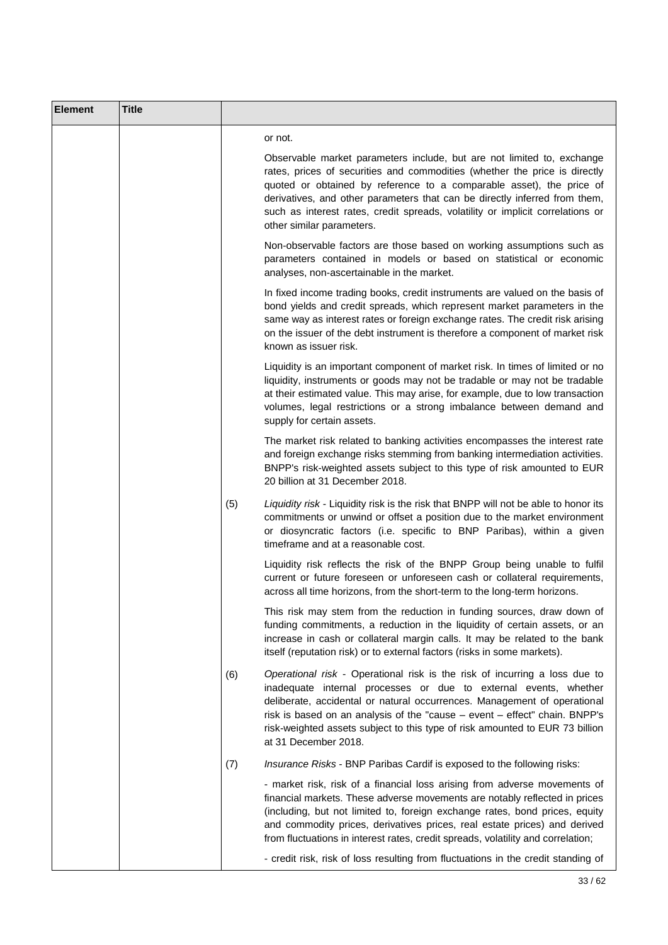| <b>Element</b> | <b>Title</b> |     |                                                                                                                                                                                                                                                                                                                                                                                                                           |
|----------------|--------------|-----|---------------------------------------------------------------------------------------------------------------------------------------------------------------------------------------------------------------------------------------------------------------------------------------------------------------------------------------------------------------------------------------------------------------------------|
|                |              |     | or not.                                                                                                                                                                                                                                                                                                                                                                                                                   |
|                |              |     | Observable market parameters include, but are not limited to, exchange<br>rates, prices of securities and commodities (whether the price is directly<br>quoted or obtained by reference to a comparable asset), the price of<br>derivatives, and other parameters that can be directly inferred from them,<br>such as interest rates, credit spreads, volatility or implicit correlations or<br>other similar parameters. |
|                |              |     | Non-observable factors are those based on working assumptions such as<br>parameters contained in models or based on statistical or economic<br>analyses, non-ascertainable in the market.                                                                                                                                                                                                                                 |
|                |              |     | In fixed income trading books, credit instruments are valued on the basis of<br>bond yields and credit spreads, which represent market parameters in the<br>same way as interest rates or foreign exchange rates. The credit risk arising<br>on the issuer of the debt instrument is therefore a component of market risk<br>known as issuer risk.                                                                        |
|                |              |     | Liquidity is an important component of market risk. In times of limited or no<br>liquidity, instruments or goods may not be tradable or may not be tradable<br>at their estimated value. This may arise, for example, due to low transaction<br>volumes, legal restrictions or a strong imbalance between demand and<br>supply for certain assets.                                                                        |
|                |              |     | The market risk related to banking activities encompasses the interest rate<br>and foreign exchange risks stemming from banking intermediation activities.<br>BNPP's risk-weighted assets subject to this type of risk amounted to EUR<br>20 billion at 31 December 2018.                                                                                                                                                 |
|                |              | (5) | Liquidity risk - Liquidity risk is the risk that BNPP will not be able to honor its<br>commitments or unwind or offset a position due to the market environment<br>or diosyncratic factors (i.e. specific to BNP Paribas), within a given<br>timeframe and at a reasonable cost.                                                                                                                                          |
|                |              |     | Liquidity risk reflects the risk of the BNPP Group being unable to fulfil<br>current or future foreseen or unforeseen cash or collateral requirements,<br>across all time horizons, from the short-term to the long-term horizons.                                                                                                                                                                                        |
|                |              |     | This risk may stem from the reduction in funding sources, draw down of<br>funding commitments, a reduction in the liquidity of certain assets, or an<br>increase in cash or collateral margin calls. It may be related to the bank<br>itself (reputation risk) or to external factors (risks in some markets).                                                                                                            |
|                |              | (6) | Operational risk - Operational risk is the risk of incurring a loss due to<br>inadequate internal processes or due to external events, whether<br>deliberate, accidental or natural occurrences. Management of operational<br>risk is based on an analysis of the "cause - event - effect" chain. BNPP's<br>risk-weighted assets subject to this type of risk amounted to EUR 73 billion<br>at 31 December 2018.          |
|                |              | (7) | Insurance Risks - BNP Paribas Cardif is exposed to the following risks:                                                                                                                                                                                                                                                                                                                                                   |
|                |              |     | - market risk, risk of a financial loss arising from adverse movements of<br>financial markets. These adverse movements are notably reflected in prices<br>(including, but not limited to, foreign exchange rates, bond prices, equity<br>and commodity prices, derivatives prices, real estate prices) and derived<br>from fluctuations in interest rates, credit spreads, volatility and correlation;                   |
|                |              |     | - credit risk, risk of loss resulting from fluctuations in the credit standing of                                                                                                                                                                                                                                                                                                                                         |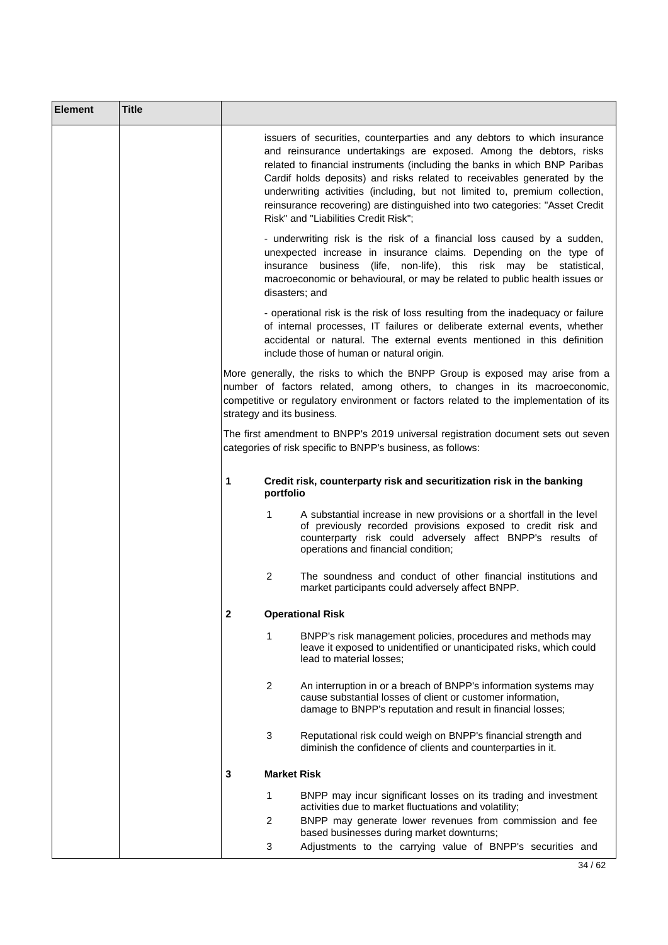| <b>Element</b> | <b>Title</b> |                            |                    |                                                                                                                                                                                                                                                                                                                                                                                                                                                                                                                 |
|----------------|--------------|----------------------------|--------------------|-----------------------------------------------------------------------------------------------------------------------------------------------------------------------------------------------------------------------------------------------------------------------------------------------------------------------------------------------------------------------------------------------------------------------------------------------------------------------------------------------------------------|
|                |              |                            |                    | issuers of securities, counterparties and any debtors to which insurance<br>and reinsurance undertakings are exposed. Among the debtors, risks<br>related to financial instruments (including the banks in which BNP Paribas<br>Cardif holds deposits) and risks related to receivables generated by the<br>underwriting activities (including, but not limited to, premium collection,<br>reinsurance recovering) are distinguished into two categories: "Asset Credit<br>Risk" and "Liabilities Credit Risk"; |
|                |              |                            | disasters; and     | - underwriting risk is the risk of a financial loss caused by a sudden,<br>unexpected increase in insurance claims. Depending on the type of<br>insurance business (life, non-life), this risk may be statistical,<br>macroeconomic or behavioural, or may be related to public health issues or                                                                                                                                                                                                                |
|                |              |                            |                    | - operational risk is the risk of loss resulting from the inadequacy or failure<br>of internal processes, IT failures or deliberate external events, whether<br>accidental or natural. The external events mentioned in this definition<br>include those of human or natural origin.                                                                                                                                                                                                                            |
|                |              | strategy and its business. |                    | More generally, the risks to which the BNPP Group is exposed may arise from a<br>number of factors related, among others, to changes in its macroeconomic,<br>competitive or regulatory environment or factors related to the implementation of its                                                                                                                                                                                                                                                             |
|                |              |                            |                    | The first amendment to BNPP's 2019 universal registration document sets out seven<br>categories of risk specific to BNPP's business, as follows:                                                                                                                                                                                                                                                                                                                                                                |
|                |              | 1                          | portfolio          | Credit risk, counterparty risk and securitization risk in the banking                                                                                                                                                                                                                                                                                                                                                                                                                                           |
|                |              |                            | 1                  | A substantial increase in new provisions or a shortfall in the level<br>of previously recorded provisions exposed to credit risk and<br>counterparty risk could adversely affect BNPP's results of<br>operations and financial condition;                                                                                                                                                                                                                                                                       |
|                |              |                            | 2                  | The soundness and conduct of other financial institutions and<br>market participants could adversely affect BNPP.                                                                                                                                                                                                                                                                                                                                                                                               |
|                |              | 2                          |                    | <b>Operational Risk</b>                                                                                                                                                                                                                                                                                                                                                                                                                                                                                         |
|                |              |                            | 1                  | BNPP's risk management policies, procedures and methods may<br>leave it exposed to unidentified or unanticipated risks, which could<br>lead to material losses;                                                                                                                                                                                                                                                                                                                                                 |
|                |              |                            | 2                  | An interruption in or a breach of BNPP's information systems may<br>cause substantial losses of client or customer information,<br>damage to BNPP's reputation and result in financial losses;                                                                                                                                                                                                                                                                                                                  |
|                |              |                            | 3                  | Reputational risk could weigh on BNPP's financial strength and<br>diminish the confidence of clients and counterparties in it.                                                                                                                                                                                                                                                                                                                                                                                  |
|                |              | 3                          | <b>Market Risk</b> |                                                                                                                                                                                                                                                                                                                                                                                                                                                                                                                 |
|                |              |                            | 1                  | BNPP may incur significant losses on its trading and investment<br>activities due to market fluctuations and volatility;                                                                                                                                                                                                                                                                                                                                                                                        |
|                |              |                            | 2                  | BNPP may generate lower revenues from commission and fee<br>based businesses during market downturns;                                                                                                                                                                                                                                                                                                                                                                                                           |
|                |              |                            | 3                  | Adjustments to the carrying value of BNPP's securities and                                                                                                                                                                                                                                                                                                                                                                                                                                                      |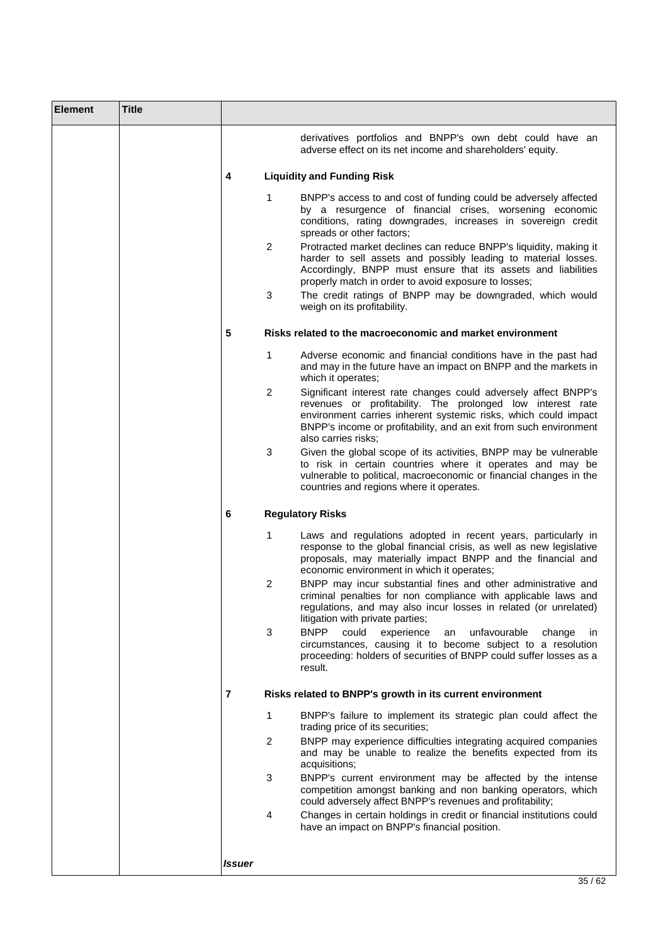| <b>Element</b> | <b>Title</b> |        |                          |                                                                                                                                                                                                                                                                                                                                                                                                                                                                                                                                                                                      |
|----------------|--------------|--------|--------------------------|--------------------------------------------------------------------------------------------------------------------------------------------------------------------------------------------------------------------------------------------------------------------------------------------------------------------------------------------------------------------------------------------------------------------------------------------------------------------------------------------------------------------------------------------------------------------------------------|
|                |              |        |                          | derivatives portfolios and BNPP's own debt could have an<br>adverse effect on its net income and shareholders' equity.                                                                                                                                                                                                                                                                                                                                                                                                                                                               |
|                |              | 4      |                          | <b>Liquidity and Funding Risk</b>                                                                                                                                                                                                                                                                                                                                                                                                                                                                                                                                                    |
|                |              |        | 1<br>$\overline{2}$<br>3 | BNPP's access to and cost of funding could be adversely affected<br>by a resurgence of financial crises, worsening economic<br>conditions, rating downgrades, increases in sovereign credit<br>spreads or other factors;<br>Protracted market declines can reduce BNPP's liquidity, making it<br>harder to sell assets and possibly leading to material losses.<br>Accordingly, BNPP must ensure that its assets and liabilities<br>properly match in order to avoid exposure to losses;<br>The credit ratings of BNPP may be downgraded, which would<br>weigh on its profitability. |
|                |              | 5      |                          | Risks related to the macroeconomic and market environment                                                                                                                                                                                                                                                                                                                                                                                                                                                                                                                            |
|                |              |        | 1<br>2                   | Adverse economic and financial conditions have in the past had<br>and may in the future have an impact on BNPP and the markets in<br>which it operates;<br>Significant interest rate changes could adversely affect BNPP's<br>revenues or profitability. The prolonged low interest rate<br>environment carries inherent systemic risks, which could impact                                                                                                                                                                                                                          |
|                |              |        | 3                        | BNPP's income or profitability, and an exit from such environment<br>also carries risks:<br>Given the global scope of its activities, BNPP may be vulnerable<br>to risk in certain countries where it operates and may be                                                                                                                                                                                                                                                                                                                                                            |
|                |              |        |                          | vulnerable to political, macroeconomic or financial changes in the<br>countries and regions where it operates.                                                                                                                                                                                                                                                                                                                                                                                                                                                                       |
|                |              | 6      |                          | <b>Regulatory Risks</b>                                                                                                                                                                                                                                                                                                                                                                                                                                                                                                                                                              |
|                |              |        | 1                        | Laws and regulations adopted in recent years, particularly in<br>response to the global financial crisis, as well as new legislative<br>proposals, may materially impact BNPP and the financial and<br>economic environment in which it operates;                                                                                                                                                                                                                                                                                                                                    |
|                |              |        | 2                        | BNPP may incur substantial fines and other administrative and<br>criminal penalties for non compliance with applicable laws and<br>regulations, and may also incur losses in related (or unrelated)<br>litigation with private parties;                                                                                                                                                                                                                                                                                                                                              |
|                |              |        | 3                        | <b>BNPP</b><br>could<br>unfavourable<br>experience<br>change<br>an<br>$\mathsf{I}$<br>circumstances, causing it to become subject to a resolution<br>proceeding: holders of securities of BNPP could suffer losses as a<br>result.                                                                                                                                                                                                                                                                                                                                                   |
|                |              | 7      |                          | Risks related to BNPP's growth in its current environment                                                                                                                                                                                                                                                                                                                                                                                                                                                                                                                            |
|                |              |        | 1                        | BNPP's failure to implement its strategic plan could affect the<br>trading price of its securities;                                                                                                                                                                                                                                                                                                                                                                                                                                                                                  |
|                |              |        | $\overline{2}$           | BNPP may experience difficulties integrating acquired companies<br>and may be unable to realize the benefits expected from its<br>acquisitions;                                                                                                                                                                                                                                                                                                                                                                                                                                      |
|                |              |        | 3                        | BNPP's current environment may be affected by the intense<br>competition amongst banking and non banking operators, which<br>could adversely affect BNPP's revenues and profitability;                                                                                                                                                                                                                                                                                                                                                                                               |
|                |              |        | 4                        | Changes in certain holdings in credit or financial institutions could<br>have an impact on BNPP's financial position.                                                                                                                                                                                                                                                                                                                                                                                                                                                                |
|                |              | Issuer |                          |                                                                                                                                                                                                                                                                                                                                                                                                                                                                                                                                                                                      |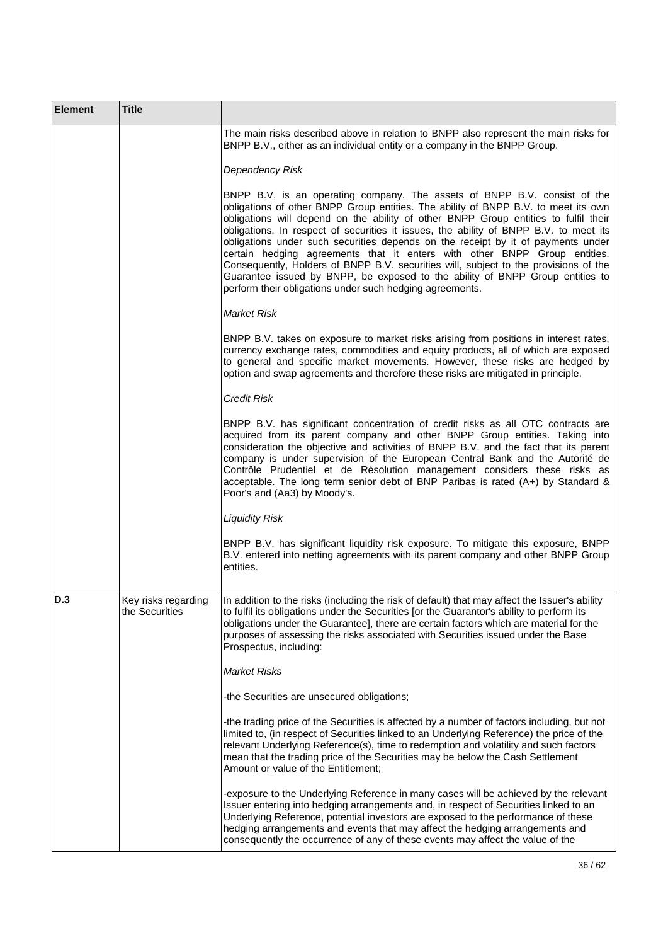| <b>Element</b> | <b>Title</b>                          |                                                                                                                                                                                                                                                                                                                                                                                                                                                                                                                                                                                                                                                                                                                                                       |
|----------------|---------------------------------------|-------------------------------------------------------------------------------------------------------------------------------------------------------------------------------------------------------------------------------------------------------------------------------------------------------------------------------------------------------------------------------------------------------------------------------------------------------------------------------------------------------------------------------------------------------------------------------------------------------------------------------------------------------------------------------------------------------------------------------------------------------|
|                |                                       | The main risks described above in relation to BNPP also represent the main risks for<br>BNPP B.V., either as an individual entity or a company in the BNPP Group.                                                                                                                                                                                                                                                                                                                                                                                                                                                                                                                                                                                     |
|                |                                       | Dependency Risk                                                                                                                                                                                                                                                                                                                                                                                                                                                                                                                                                                                                                                                                                                                                       |
|                |                                       | BNPP B.V. is an operating company. The assets of BNPP B.V. consist of the<br>obligations of other BNPP Group entities. The ability of BNPP B.V. to meet its own<br>obligations will depend on the ability of other BNPP Group entities to fulfil their<br>obligations. In respect of securities it issues, the ability of BNPP B.V. to meet its<br>obligations under such securities depends on the receipt by it of payments under<br>certain hedging agreements that it enters with other BNPP Group entities.<br>Consequently, Holders of BNPP B.V. securities will, subject to the provisions of the<br>Guarantee issued by BNPP, be exposed to the ability of BNPP Group entities to<br>perform their obligations under such hedging agreements. |
|                |                                       | <b>Market Risk</b>                                                                                                                                                                                                                                                                                                                                                                                                                                                                                                                                                                                                                                                                                                                                    |
|                |                                       | BNPP B.V. takes on exposure to market risks arising from positions in interest rates,<br>currency exchange rates, commodities and equity products, all of which are exposed<br>to general and specific market movements. However, these risks are hedged by<br>option and swap agreements and therefore these risks are mitigated in principle.                                                                                                                                                                                                                                                                                                                                                                                                       |
|                |                                       | <b>Credit Risk</b>                                                                                                                                                                                                                                                                                                                                                                                                                                                                                                                                                                                                                                                                                                                                    |
|                |                                       | BNPP B.V. has significant concentration of credit risks as all OTC contracts are<br>acquired from its parent company and other BNPP Group entities. Taking into<br>consideration the objective and activities of BNPP B.V. and the fact that its parent<br>company is under supervision of the European Central Bank and the Autorité de<br>Contrôle Prudentiel et de Résolution management considers these risks as<br>acceptable. The long term senior debt of BNP Paribas is rated (A+) by Standard &<br>Poor's and (Aa3) by Moody's.                                                                                                                                                                                                              |
|                |                                       | <b>Liquidity Risk</b>                                                                                                                                                                                                                                                                                                                                                                                                                                                                                                                                                                                                                                                                                                                                 |
|                |                                       | BNPP B.V. has significant liquidity risk exposure. To mitigate this exposure, BNPP<br>B.V. entered into netting agreements with its parent company and other BNPP Group<br>entities.                                                                                                                                                                                                                                                                                                                                                                                                                                                                                                                                                                  |
| D.3            | Key risks regarding<br>the Securities | In addition to the risks (including the risk of default) that may affect the Issuer's ability<br>to fulfil its obligations under the Securities [or the Guarantor's ability to perform its<br>obligations under the Guarantee], there are certain factors which are material for the<br>purposes of assessing the risks associated with Securities issued under the Base<br>Prospectus, including:                                                                                                                                                                                                                                                                                                                                                    |
|                |                                       | <b>Market Risks</b>                                                                                                                                                                                                                                                                                                                                                                                                                                                                                                                                                                                                                                                                                                                                   |
|                |                                       | -the Securities are unsecured obligations;                                                                                                                                                                                                                                                                                                                                                                                                                                                                                                                                                                                                                                                                                                            |
|                |                                       | -the trading price of the Securities is affected by a number of factors including, but not<br>limited to, (in respect of Securities linked to an Underlying Reference) the price of the<br>relevant Underlying Reference(s), time to redemption and volatility and such factors<br>mean that the trading price of the Securities may be below the Cash Settlement<br>Amount or value of the Entitlement;                                                                                                                                                                                                                                                                                                                                              |
|                |                                       | -exposure to the Underlying Reference in many cases will be achieved by the relevant<br>Issuer entering into hedging arrangements and, in respect of Securities linked to an<br>Underlying Reference, potential investors are exposed to the performance of these<br>hedging arrangements and events that may affect the hedging arrangements and<br>consequently the occurrence of any of these events may affect the value of the                                                                                                                                                                                                                                                                                                                   |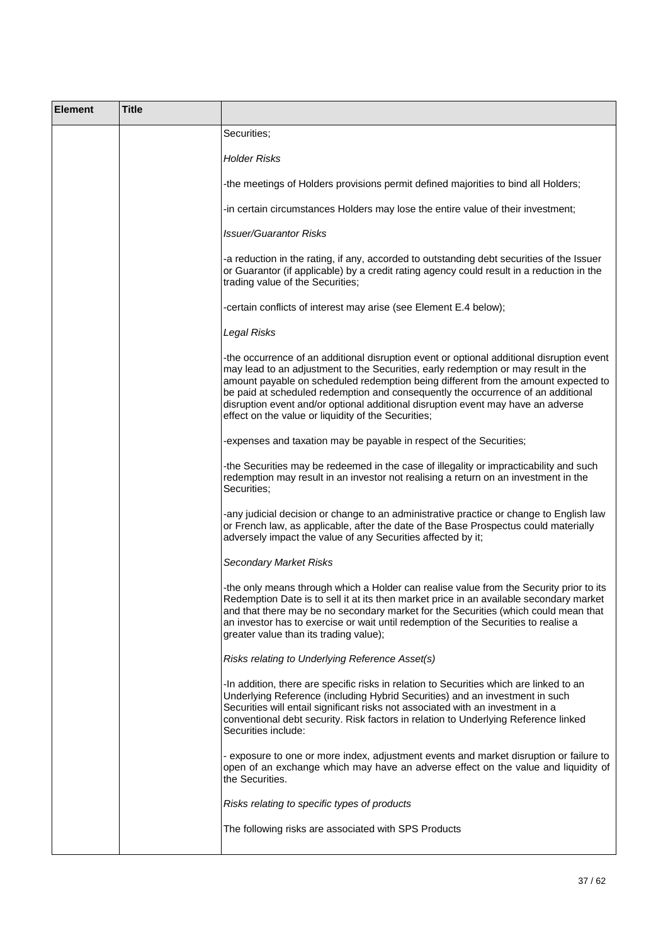| <b>Element</b> | <b>Title</b> |                                                                                                                                                                                                                                                                                                                                                                                                                                                                                                      |
|----------------|--------------|------------------------------------------------------------------------------------------------------------------------------------------------------------------------------------------------------------------------------------------------------------------------------------------------------------------------------------------------------------------------------------------------------------------------------------------------------------------------------------------------------|
|                |              | Securities;                                                                                                                                                                                                                                                                                                                                                                                                                                                                                          |
|                |              | Holder Risks                                                                                                                                                                                                                                                                                                                                                                                                                                                                                         |
|                |              | -the meetings of Holders provisions permit defined majorities to bind all Holders;                                                                                                                                                                                                                                                                                                                                                                                                                   |
|                |              | -in certain circumstances Holders may lose the entire value of their investment;                                                                                                                                                                                                                                                                                                                                                                                                                     |
|                |              | <b>Issuer/Guarantor Risks</b>                                                                                                                                                                                                                                                                                                                                                                                                                                                                        |
|                |              | -a reduction in the rating, if any, accorded to outstanding debt securities of the Issuer<br>or Guarantor (if applicable) by a credit rating agency could result in a reduction in the<br>trading value of the Securities;                                                                                                                                                                                                                                                                           |
|                |              | -certain conflicts of interest may arise (see Element E.4 below);                                                                                                                                                                                                                                                                                                                                                                                                                                    |
|                |              | Legal Risks                                                                                                                                                                                                                                                                                                                                                                                                                                                                                          |
|                |              | -the occurrence of an additional disruption event or optional additional disruption event<br>may lead to an adjustment to the Securities, early redemption or may result in the<br>amount payable on scheduled redemption being different from the amount expected to<br>be paid at scheduled redemption and consequently the occurrence of an additional<br>disruption event and/or optional additional disruption event may have an adverse<br>effect on the value or liquidity of the Securities; |
|                |              | -expenses and taxation may be payable in respect of the Securities;                                                                                                                                                                                                                                                                                                                                                                                                                                  |
|                |              | -the Securities may be redeemed in the case of illegality or impracticability and such<br>redemption may result in an investor not realising a return on an investment in the<br>Securities;                                                                                                                                                                                                                                                                                                         |
|                |              | -any judicial decision or change to an administrative practice or change to English law<br>or French law, as applicable, after the date of the Base Prospectus could materially<br>adversely impact the value of any Securities affected by it;                                                                                                                                                                                                                                                      |
|                |              | <b>Secondary Market Risks</b>                                                                                                                                                                                                                                                                                                                                                                                                                                                                        |
|                |              | -the only means through which a Holder can realise value from the Security prior to its<br>Redemption Date is to sell it at its then market price in an available secondary market<br>and that there may be no secondary market for the Securities (which could mean that<br>an investor has to exercise or wait until redemption of the Securities to realise a<br>greater value than its trading value);                                                                                           |
|                |              | Risks relating to Underlying Reference Asset(s)                                                                                                                                                                                                                                                                                                                                                                                                                                                      |
|                |              | -In addition, there are specific risks in relation to Securities which are linked to an<br>Underlying Reference (including Hybrid Securities) and an investment in such<br>Securities will entail significant risks not associated with an investment in a<br>conventional debt security. Risk factors in relation to Underlying Reference linked<br>Securities include:                                                                                                                             |
|                |              | - exposure to one or more index, adjustment events and market disruption or failure to<br>open of an exchange which may have an adverse effect on the value and liquidity of<br>the Securities.                                                                                                                                                                                                                                                                                                      |
|                |              | Risks relating to specific types of products                                                                                                                                                                                                                                                                                                                                                                                                                                                         |
|                |              | The following risks are associated with SPS Products                                                                                                                                                                                                                                                                                                                                                                                                                                                 |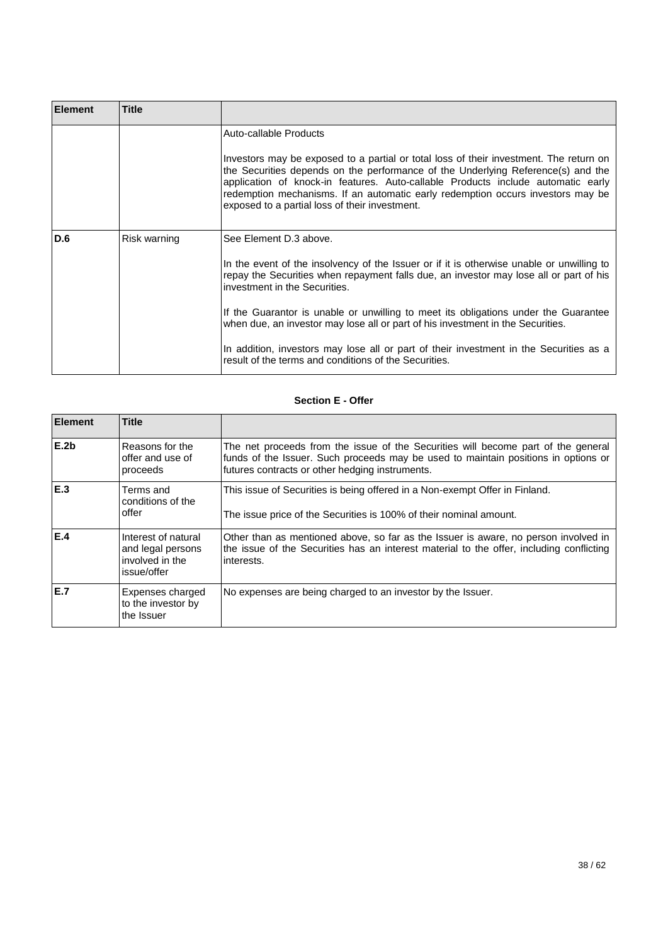| <b>Element</b> | <b>Title</b> |                                                                                                                                                                                                                                                                                                                                                                                                                                                                                                                                                                             |
|----------------|--------------|-----------------------------------------------------------------------------------------------------------------------------------------------------------------------------------------------------------------------------------------------------------------------------------------------------------------------------------------------------------------------------------------------------------------------------------------------------------------------------------------------------------------------------------------------------------------------------|
|                |              | Auto-callable Products<br>Investors may be exposed to a partial or total loss of their investment. The return on<br>the Securities depends on the performance of the Underlying Reference(s) and the<br>application of knock-in features. Auto-callable Products include automatic early<br>redemption mechanisms. If an automatic early redemption occurs investors may be<br>exposed to a partial loss of their investment.                                                                                                                                               |
| <b>D.6</b>     | Risk warning | See Element D.3 above.<br>In the event of the insolvency of the Issuer or if it is otherwise unable or unwilling to<br>repay the Securities when repayment falls due, an investor may lose all or part of his<br>investment in the Securities.<br>If the Guarantor is unable or unwilling to meet its obligations under the Guarantee<br>when due, an investor may lose all or part of his investment in the Securities.<br>In addition, investors may lose all or part of their investment in the Securities as a<br>result of the terms and conditions of the Securities. |

## **Section E - Offer**

| <b>Element</b>   | <b>Title</b>                                                               |                                                                                                                                                                                                                            |
|------------------|----------------------------------------------------------------------------|----------------------------------------------------------------------------------------------------------------------------------------------------------------------------------------------------------------------------|
| E.2 <sub>b</sub> | Reasons for the<br>offer and use of<br>proceeds                            | The net proceeds from the issue of the Securities will become part of the general<br>funds of the Issuer. Such proceeds may be used to maintain positions in options or<br>futures contracts or other hedging instruments. |
| E.3              | Terms and<br>conditions of the<br>offer                                    | This issue of Securities is being offered in a Non-exempt Offer in Finland.<br>The issue price of the Securities is 100% of their nominal amount.                                                                          |
| E.4              | Interest of natural<br>and legal persons<br>involved in the<br>issue/offer | Other than as mentioned above, so far as the Issuer is aware, no person involved in<br>the issue of the Securities has an interest material to the offer, including conflicting<br>interests.                              |
| E.7              | Expenses charged<br>to the investor by<br>the Issuer                       | No expenses are being charged to an investor by the Issuer.                                                                                                                                                                |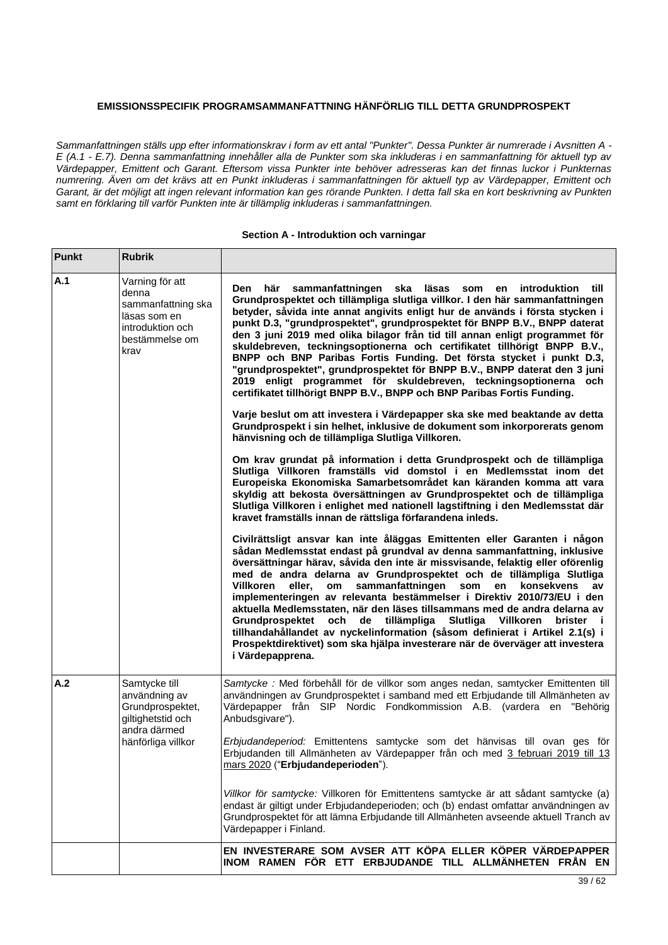## **EMISSIONSSPECIFIK PROGRAMSAMMANFATTNING HÄNFÖRLIG TILL DETTA GRUNDPROSPEKT**

*Sammanfattningen ställs upp efter informationskrav i form av ett antal "Punkter". Dessa Punkter är numrerade i Avsnitten A - E (A.1 - E.7). Denna sammanfattning innehåller alla de Punkter som ska inkluderas i en sammanfattning för aktuell typ av Värdepapper, Emittent och Garant. Eftersom vissa Punkter inte behöver adresseras kan det finnas luckor i Punkternas numrering. Även om det krävs att en Punkt inkluderas i sammanfattningen för aktuell typ av Värdepapper, Emittent och Garant, är det möjligt att ingen relevant information kan ges rörande Punkten. I detta fall ska en kort beskrivning av Punkten samt en förklaring till varför Punkten inte är tillämplig inkluderas i sammanfattningen.*

### **Section A - Introduktion och varningar**

| <b>Punkt</b> | <b>Rubrik</b>                                                                                                 |                                                                                                                                                                                                                                                                                                                                                                                                                                                                                                                                                                                                                                                                                                                                                                                                                           |
|--------------|---------------------------------------------------------------------------------------------------------------|---------------------------------------------------------------------------------------------------------------------------------------------------------------------------------------------------------------------------------------------------------------------------------------------------------------------------------------------------------------------------------------------------------------------------------------------------------------------------------------------------------------------------------------------------------------------------------------------------------------------------------------------------------------------------------------------------------------------------------------------------------------------------------------------------------------------------|
| A.1          | Varning för att<br>denna<br>sammanfattning ska<br>läsas som en<br>introduktion och<br>bestämmelse om<br>krav  | här<br>sammanfattningen<br>ska<br>läsas<br>Den<br>som<br><i>introduktion</i><br>till<br>en<br>Grundprospektet och tillämpliga slutliga villkor. I den här sammanfattningen<br>betyder, såvida inte annat angivits enligt hur de används i första stycken i<br>punkt D.3, "grundprospektet", grundprospektet för BNPP B.V., BNPP daterat<br>den 3 juni 2019 med olika bilagor från tid till annan enligt programmet för<br>skuldebreven, teckningsoptionerna och certifikatet tillhörigt BNPP B.V.,<br>BNPP och BNP Paribas Fortis Funding. Det första stycket i punkt D.3,<br>"grundprospektet", grundprospektet för BNPP B.V., BNPP daterat den 3 juni<br>2019 enligt programmet för skuldebreven, teckningsoptionerna och<br>certifikatet tillhörigt BNPP B.V., BNPP och BNP Paribas Fortis Funding.                    |
|              |                                                                                                               | Varje beslut om att investera i Värdepapper ska ske med beaktande av detta<br>Grundprospekt i sin helhet, inklusive de dokument som inkorporerats genom<br>hänvisning och de tillämpliga Slutliga Villkoren.                                                                                                                                                                                                                                                                                                                                                                                                                                                                                                                                                                                                              |
|              |                                                                                                               | Om krav grundat på information i detta Grundprospekt och de tillämpliga<br>Slutliga Villkoren framställs vid domstol i en Medlemsstat inom det<br>Europeiska Ekonomiska Samarbetsområdet kan käranden komma att vara<br>skyldig att bekosta översättningen av Grundprospektet och de tillämpliga<br>Slutliga Villkoren i enlighet med nationell lagstiftning i den Medlemsstat där<br>kravet framställs innan de rättsliga förfarandena inleds.                                                                                                                                                                                                                                                                                                                                                                           |
|              |                                                                                                               | Civilrättsligt ansvar kan inte åläggas Emittenten eller Garanten i någon<br>sådan Medlemsstat endast på grundval av denna sammanfattning, inklusive<br>översättningar härav, såvida den inte är missvisande, felaktig eller oförenlig<br>med de andra delarna av Grundprospektet och de tillämpliga Slutliga<br>sammanfattningen<br>Villkoren<br>eller,<br>som<br>en<br>konsekvens<br>om<br>av<br>implementeringen av relevanta bestämmelser i Direktiv 2010/73/EU i den<br>aktuella Medlemsstaten, när den läses tillsammans med de andra delarna av<br>och<br>de tillämpliga<br>Slutliga Villkoren<br>Grundprospektet<br>brister i<br>tillhandahållandet av nyckelinformation (såsom definierat i Artikel 2.1(s) i<br>Prospektdirektivet) som ska hjälpa investerare när de överväger att investera<br>i Värdepapprena. |
| A.2          | Samtycke till<br>användning av<br>Grundprospektet,<br>giltighetstid och<br>andra därmed<br>hänförliga villkor | Samtycke : Med förbehåll för de villkor som anges nedan, samtycker Emittenten till<br>användningen av Grundprospektet i samband med ett Erbjudande till Allmänheten av<br>Värdepapper från SIP Nordic Fondkommission A.B. (vardera en "Behörig<br>Anbudsgivare").                                                                                                                                                                                                                                                                                                                                                                                                                                                                                                                                                         |
|              |                                                                                                               | Erbjudandeperiod: Emittentens samtycke som det hänvisas till ovan ges för<br>Erbjudanden till Allmänheten av Värdepapper från och med 3 februari 2019 till 13<br>mars 2020 ("Erbjudandeperioden").                                                                                                                                                                                                                                                                                                                                                                                                                                                                                                                                                                                                                        |
|              |                                                                                                               | Villkor för samtycke: Villkoren för Emittentens samtycke är att sådant samtycke (a)<br>endast är giltigt under Erbjudandeperioden; och (b) endast omfattar användningen av<br>Grundprospektet för att lämna Erbjudande till Allmänheten avseende aktuell Tranch av<br>Värdepapper i Finland.                                                                                                                                                                                                                                                                                                                                                                                                                                                                                                                              |
|              |                                                                                                               | EN INVESTERARE SOM AVSER ATT KÖPA ELLER KÖPER VÄRDEPAPPER<br>INOM RAMEN FÖR ETT ERBJUDANDE TILL ALLMÄNHETEN FRÅN EN                                                                                                                                                                                                                                                                                                                                                                                                                                                                                                                                                                                                                                                                                                       |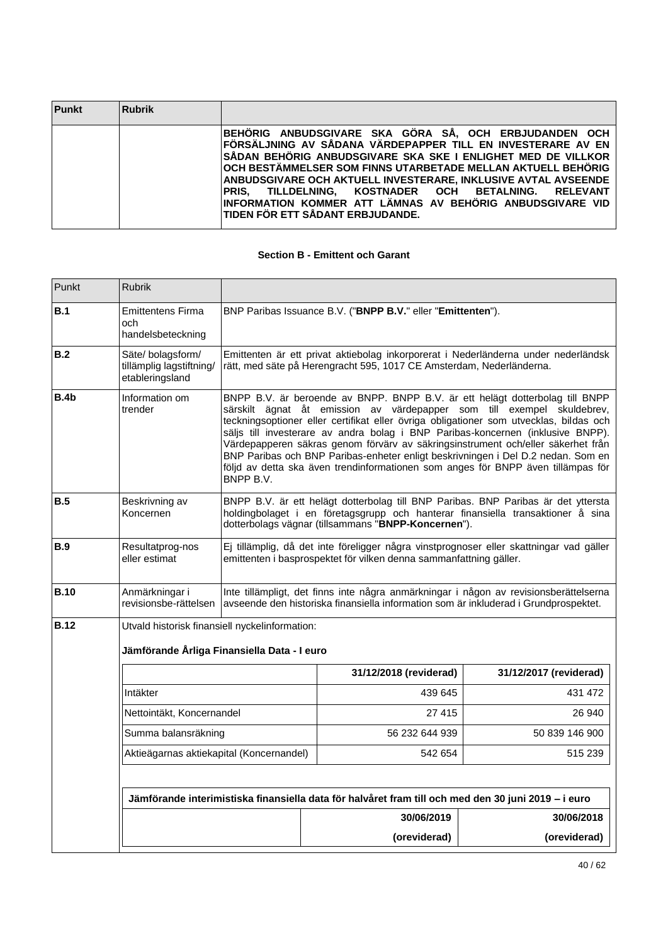| <b>Punkt</b> | Rubrik |                                                                                                                                                                                                                                                                                                                                                                                                                                                                                   |
|--------------|--------|-----------------------------------------------------------------------------------------------------------------------------------------------------------------------------------------------------------------------------------------------------------------------------------------------------------------------------------------------------------------------------------------------------------------------------------------------------------------------------------|
|              |        | BEHÖRIG ANBUDSGIVARE SKA GÖRA SÅ, OCH ERBJUDANDEN OCH<br>FÖRSÄLJNING AV SÅDANA VÄRDEPAPPER TILL EN INVESTERARE AV EN<br>ÍSÅDAN BEHÖRIG ANBUDSGIVARE SKA SKE I ENLIGHET MED DE VILLKOR<br>∣OCH BESTÄMMELSER SOM FINNS UTARBETADE MELLAN AKTUELL BEHÖRIG<br>ANBUDSGIVARE OCH AKTUELL INVESTERARE. INKLUSIVE AVTAL AVSEENDE<br>PRIS. TILLDELNING. KOSTNADER OCH BETALNING. RELEVANT<br>INFORMATION KOMMER ATT LÄMNAS AV BEHÖRIG ANBUDSGIVARE VID<br>TIDEN FÖR ETT SÅDANT ERBJUDANDE. |

### **Section B - Emittent och Garant**

| Punkt            | <b>Rubrik</b>                                                   |                                                                                                                                                                                                                                                                                                                                                                                                                                                                                                                                                                                                              |                                                                                                                                                                                                                             |                        |  |
|------------------|-----------------------------------------------------------------|--------------------------------------------------------------------------------------------------------------------------------------------------------------------------------------------------------------------------------------------------------------------------------------------------------------------------------------------------------------------------------------------------------------------------------------------------------------------------------------------------------------------------------------------------------------------------------------------------------------|-----------------------------------------------------------------------------------------------------------------------------------------------------------------------------------------------------------------------------|------------------------|--|
| B.1              | <b>Emittentens Firma</b><br>och<br>handelsbeteckning            |                                                                                                                                                                                                                                                                                                                                                                                                                                                                                                                                                                                                              | BNP Paribas Issuance B.V. ("BNPP B.V." eller "Emittenten").                                                                                                                                                                 |                        |  |
| B.2              | Säte/bolagsform/<br>tillämplig lagstiftning/<br>etableringsland |                                                                                                                                                                                                                                                                                                                                                                                                                                                                                                                                                                                                              | Emittenten är ett privat aktiebolag inkorporerat i Nederländerna under nederländsk<br>rätt, med säte på Herengracht 595, 1017 CE Amsterdam, Nederländerna.                                                                  |                        |  |
| B.4 <sub>b</sub> | Information om<br>trender                                       | BNPP B.V. är beroende av BNPP. BNPP B.V. är ett helägt dotterbolag till BNPP<br>särskilt ägnat åt emission av värdepapper som till exempel skuldebrev,<br>teckningsoptioner eller certifikat eller övriga obligationer som utvecklas, bildas och<br>säljs till investerare av andra bolag i BNP Paribas-koncernen (inklusive BNPP).<br>Värdepapperen säkras genom förvärv av säkringsinstrument och/eller säkerhet från<br>BNP Paribas och BNP Paribas-enheter enligt beskrivningen i Del D.2 nedan. Som en<br>följd av detta ska även trendinformationen som anges för BNPP även tillämpas för<br>BNPP B.V. |                                                                                                                                                                                                                             |                        |  |
| <b>B.5</b>       | Beskrivning av<br>Koncernen                                     |                                                                                                                                                                                                                                                                                                                                                                                                                                                                                                                                                                                                              | BNPP B.V. är ett helägt dotterbolag till BNP Paribas. BNP Paribas är det yttersta<br>holdingbolaget i en företagsgrupp och hanterar finansiella transaktioner å sina<br>dotterbolags vägnar (tillsammans "BNPP-Koncernen"). |                        |  |
| <b>B.9</b>       | Resultatprog-nos<br>eller estimat                               | Ej tillämplig, då det inte föreligger några vinstprognoser eller skattningar vad gäller<br>emittenten i basprospektet för vilken denna sammanfattning gäller.                                                                                                                                                                                                                                                                                                                                                                                                                                                |                                                                                                                                                                                                                             |                        |  |
| <b>B.10</b>      | Anmärkningar i<br>revisionsbe-rättelsen                         | Inte tillämpligt, det finns inte några anmärkningar i någon av revisionsberättelserna<br>avseende den historiska finansiella information som är inkluderad i Grundprospektet.                                                                                                                                                                                                                                                                                                                                                                                                                                |                                                                                                                                                                                                                             |                        |  |
| <b>B.12</b>      |                                                                 | Utvald historisk finansiell nyckelinformation:<br>Jämförande Årliga Finansiella Data - I euro                                                                                                                                                                                                                                                                                                                                                                                                                                                                                                                |                                                                                                                                                                                                                             |                        |  |
|                  |                                                                 |                                                                                                                                                                                                                                                                                                                                                                                                                                                                                                                                                                                                              | 31/12/2018 (reviderad)                                                                                                                                                                                                      | 31/12/2017 (reviderad) |  |
|                  | Intäkter                                                        |                                                                                                                                                                                                                                                                                                                                                                                                                                                                                                                                                                                                              | 439 645                                                                                                                                                                                                                     | 431 472                |  |
|                  | Nettointäkt, Koncernandel                                       |                                                                                                                                                                                                                                                                                                                                                                                                                                                                                                                                                                                                              | 27 415                                                                                                                                                                                                                      | 26 940                 |  |
|                  | Summa balansräkning                                             |                                                                                                                                                                                                                                                                                                                                                                                                                                                                                                                                                                                                              | 56 232 644 939                                                                                                                                                                                                              | 50 839 146 900         |  |
|                  | Aktieägarnas aktiekapital (Koncernandel)                        |                                                                                                                                                                                                                                                                                                                                                                                                                                                                                                                                                                                                              | 542 654                                                                                                                                                                                                                     | 515 239                |  |
|                  |                                                                 |                                                                                                                                                                                                                                                                                                                                                                                                                                                                                                                                                                                                              | Jämförande interimistiska finansiella data för halvåret fram till och med den 30 juni 2019 – i euro                                                                                                                         |                        |  |
|                  |                                                                 |                                                                                                                                                                                                                                                                                                                                                                                                                                                                                                                                                                                                              | 30/06/2019                                                                                                                                                                                                                  | 30/06/2018             |  |
|                  |                                                                 |                                                                                                                                                                                                                                                                                                                                                                                                                                                                                                                                                                                                              | (oreviderad)                                                                                                                                                                                                                | (oreviderad)           |  |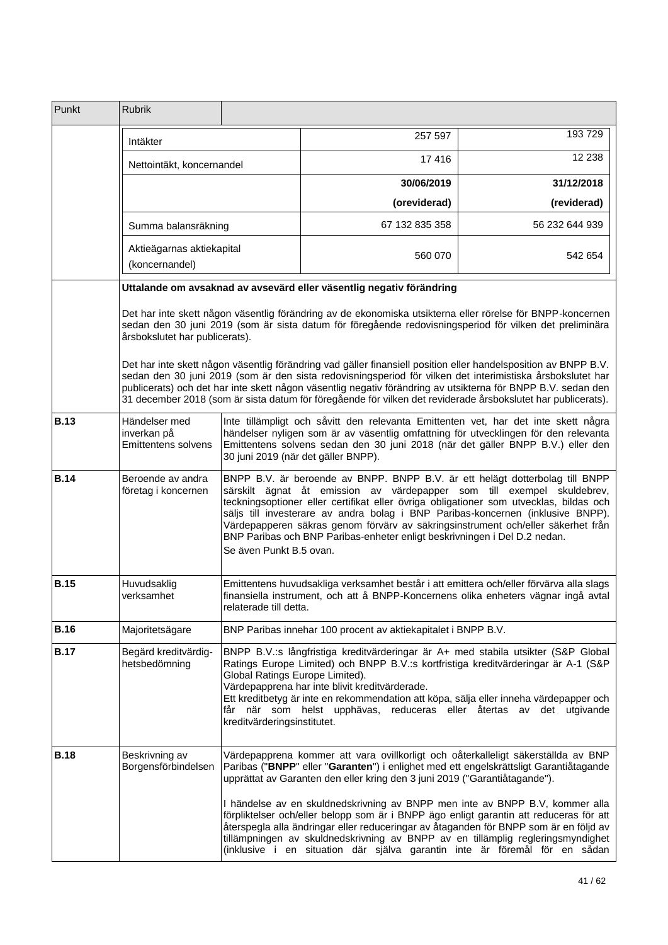| Punkt       | <b>Rubrik</b>                                                                                                                                                                                                                                           |                                                                                                                                                                                                                                                                                                                                                                                                                                                                                                                                 |                                                                                                                                                                                                                                                                                                                                                                                                                                  |                |  |
|-------------|---------------------------------------------------------------------------------------------------------------------------------------------------------------------------------------------------------------------------------------------------------|---------------------------------------------------------------------------------------------------------------------------------------------------------------------------------------------------------------------------------------------------------------------------------------------------------------------------------------------------------------------------------------------------------------------------------------------------------------------------------------------------------------------------------|----------------------------------------------------------------------------------------------------------------------------------------------------------------------------------------------------------------------------------------------------------------------------------------------------------------------------------------------------------------------------------------------------------------------------------|----------------|--|
|             | Intäkter                                                                                                                                                                                                                                                |                                                                                                                                                                                                                                                                                                                                                                                                                                                                                                                                 | 257 597                                                                                                                                                                                                                                                                                                                                                                                                                          | 193729         |  |
|             | Nettointäkt, koncernandel                                                                                                                                                                                                                               |                                                                                                                                                                                                                                                                                                                                                                                                                                                                                                                                 | 17416                                                                                                                                                                                                                                                                                                                                                                                                                            | 12 2 38        |  |
|             |                                                                                                                                                                                                                                                         |                                                                                                                                                                                                                                                                                                                                                                                                                                                                                                                                 | 30/06/2019                                                                                                                                                                                                                                                                                                                                                                                                                       | 31/12/2018     |  |
|             |                                                                                                                                                                                                                                                         |                                                                                                                                                                                                                                                                                                                                                                                                                                                                                                                                 | (oreviderad)                                                                                                                                                                                                                                                                                                                                                                                                                     | (reviderad)    |  |
|             | Summa balansräkning                                                                                                                                                                                                                                     |                                                                                                                                                                                                                                                                                                                                                                                                                                                                                                                                 | 67 132 835 358                                                                                                                                                                                                                                                                                                                                                                                                                   | 56 232 644 939 |  |
|             | Aktieägarnas aktiekapital<br>(koncernandel)                                                                                                                                                                                                             |                                                                                                                                                                                                                                                                                                                                                                                                                                                                                                                                 | 560 070                                                                                                                                                                                                                                                                                                                                                                                                                          | 542 654        |  |
|             |                                                                                                                                                                                                                                                         |                                                                                                                                                                                                                                                                                                                                                                                                                                                                                                                                 | Uttalande om avsaknad av avsevärd eller väsentlig negativ förändring                                                                                                                                                                                                                                                                                                                                                             |                |  |
|             | Det har inte skett någon väsentlig förändring av de ekonomiska utsikterna eller rörelse för BNPP-koncernen<br>sedan den 30 juni 2019 (som är sista datum för föregående redovisningsperiod för vilken det preliminära<br>årsbokslutet har publicerats). |                                                                                                                                                                                                                                                                                                                                                                                                                                                                                                                                 |                                                                                                                                                                                                                                                                                                                                                                                                                                  |                |  |
|             |                                                                                                                                                                                                                                                         | Det har inte skett någon väsentlig förändring vad gäller finansiell position eller handelsposition av BNPP B.V.<br>sedan den 30 juni 2019 (som är den sista redovisningsperiod för vilken det interimistiska årsbokslutet har<br>publicerats) och det har inte skett någon väsentlig negativ förändring av utsikterna för BNPP B.V. sedan den<br>31 december 2018 (som är sista datum för föregående för vilken det reviderade årsbokslutet har publicerats).                                                                   |                                                                                                                                                                                                                                                                                                                                                                                                                                  |                |  |
| <b>B.13</b> | Händelser med<br>inverkan på<br>Emittentens solvens                                                                                                                                                                                                     | Inte tillämpligt och såvitt den relevanta Emittenten vet, har det inte skett några<br>händelser nyligen som är av väsentlig omfattning för utvecklingen för den relevanta<br>Emittentens solvens sedan den 30 juni 2018 (när det gäller BNPP B.V.) eller den<br>30 juni 2019 (när det gäller BNPP).                                                                                                                                                                                                                             |                                                                                                                                                                                                                                                                                                                                                                                                                                  |                |  |
| <b>B.14</b> | Beroende av andra<br>företag i koncernen                                                                                                                                                                                                                | BNPP B.V. är beroende av BNPP. BNPP B.V. är ett helägt dotterbolag till BNPP<br>särskilt ägnat åt emission av värdepapper som till exempel skuldebrev,<br>teckningsoptioner eller certifikat eller övriga obligationer som utvecklas, bildas och<br>säljs till investerare av andra bolag i BNP Paribas-koncernen (inklusive BNPP).<br>Värdepapperen säkras genom förvärv av säkringsinstrument och/eller säkerhet från<br>BNP Paribas och BNP Paribas-enheter enligt beskrivningen i Del D.2 nedan.<br>Se även Punkt B.5 ovan. |                                                                                                                                                                                                                                                                                                                                                                                                                                  |                |  |
| <b>B.15</b> | Huvudsaklig<br>verksamhet                                                                                                                                                                                                                               | Emittentens huvudsakliga verksamhet består i att emittera och/eller förvärva alla slags<br>finansiella instrument, och att å BNPP-Koncernens olika enheters vägnar ingå avtal<br>relaterade till detta.                                                                                                                                                                                                                                                                                                                         |                                                                                                                                                                                                                                                                                                                                                                                                                                  |                |  |
| <b>B.16</b> | Majoritetsägare                                                                                                                                                                                                                                         |                                                                                                                                                                                                                                                                                                                                                                                                                                                                                                                                 | BNP Paribas innehar 100 procent av aktiekapitalet i BNPP B.V.                                                                                                                                                                                                                                                                                                                                                                    |                |  |
| <b>B.17</b> | Begärd kreditvärdig-<br>hetsbedömning                                                                                                                                                                                                                   | BNPP B.V.:s långfristiga kreditvärderingar är A+ med stabila utsikter (S&P Global<br>Ratings Europe Limited) och BNPP B.V.:s kortfristiga kreditvärderingar är A-1 (S&P<br>Global Ratings Europe Limited).<br>Värdepapprena har inte blivit kreditvärderade.<br>Ett kreditbetyg är inte en rekommendation att köpa, sälja eller inneha värdepapper och<br>får när som helst upphävas, reduceras eller återtas av det utgivande<br>kreditvärderingsinstitutet.                                                                   |                                                                                                                                                                                                                                                                                                                                                                                                                                  |                |  |
| <b>B.18</b> | Beskrivning av<br>Borgensförbindelsen                                                                                                                                                                                                                   |                                                                                                                                                                                                                                                                                                                                                                                                                                                                                                                                 | Värdepapprena kommer att vara ovillkorligt och oåterkalleligt säkerställda av BNP<br>Paribas ("BNPP" eller "Garanten") i enlighet med ett engelskrättsligt Garantiåtagande<br>upprättat av Garanten den eller kring den 3 juni 2019 ("Garantiåtagande").                                                                                                                                                                         |                |  |
|             |                                                                                                                                                                                                                                                         |                                                                                                                                                                                                                                                                                                                                                                                                                                                                                                                                 | I händelse av en skuldnedskrivning av BNPP men inte av BNPP B.V, kommer alla<br>förpliktelser och/eller belopp som är i BNPP ägo enligt garantin att reduceras för att<br>återspegla alla ändringar eller reduceringar av åtaganden för BNPP som är en följd av<br>tillämpningen av skuldnedskrivning av BNPP av en tillämplig regleringsmyndighet<br>(inklusive i en situation där själva garantin inte är föremål för en sådan |                |  |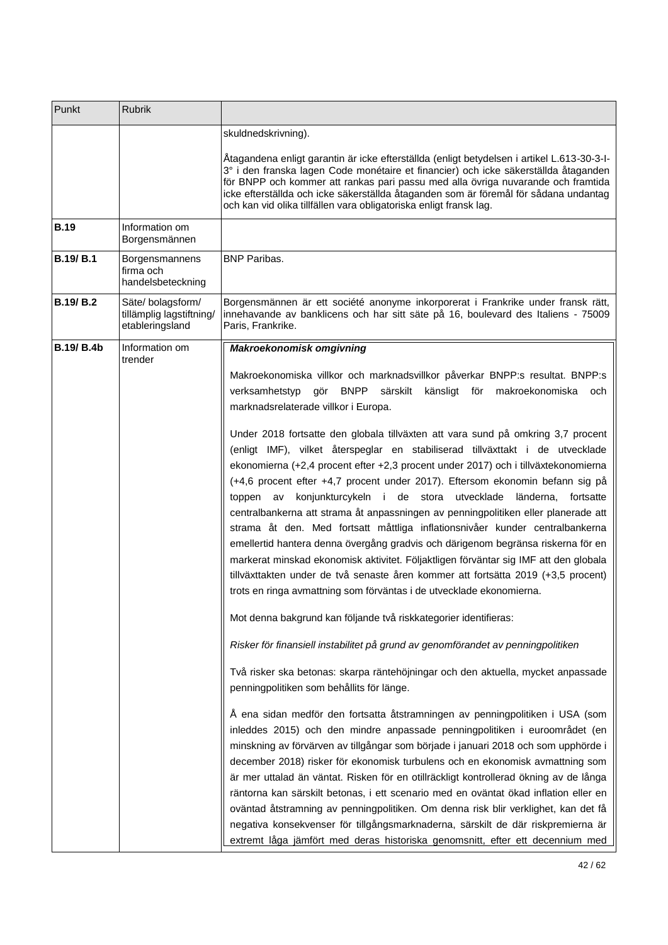| Punkt             | Rubrik                                                           |                                                                                                                                                                                                                                                                                                                                                                                                                                                                                                                                                                                                                                                                                                                                                                                                                                                                                                                                 |  |  |
|-------------------|------------------------------------------------------------------|---------------------------------------------------------------------------------------------------------------------------------------------------------------------------------------------------------------------------------------------------------------------------------------------------------------------------------------------------------------------------------------------------------------------------------------------------------------------------------------------------------------------------------------------------------------------------------------------------------------------------------------------------------------------------------------------------------------------------------------------------------------------------------------------------------------------------------------------------------------------------------------------------------------------------------|--|--|
|                   |                                                                  | skuldnedskrivning).                                                                                                                                                                                                                                                                                                                                                                                                                                                                                                                                                                                                                                                                                                                                                                                                                                                                                                             |  |  |
|                   |                                                                  | Åtagandena enligt garantin är icke efterställda (enligt betydelsen i artikel L.613-30-3-l-<br>3° i den franska lagen Code monétaire et financier) och icke säkerställda åtaganden<br>för BNPP och kommer att rankas pari passu med alla övriga nuvarande och framtida<br>icke efterställda och icke säkerställda åtaganden som är föremål för sådana undantag<br>och kan vid olika tillfällen vara obligatoriska enligt fransk lag.                                                                                                                                                                                                                                                                                                                                                                                                                                                                                             |  |  |
| <b>B.19</b>       | Information om<br>Borgensmännen                                  |                                                                                                                                                                                                                                                                                                                                                                                                                                                                                                                                                                                                                                                                                                                                                                                                                                                                                                                                 |  |  |
| <b>B.19/B.1</b>   | Borgensmannens<br>firma och<br>handelsbeteckning                 | <b>BNP Paribas.</b>                                                                                                                                                                                                                                                                                                                                                                                                                                                                                                                                                                                                                                                                                                                                                                                                                                                                                                             |  |  |
| <b>B.19/B.2</b>   | Säte/ bolagsform/<br>tillämplig lagstiftning/<br>etableringsland | Borgensmännen är ett société anonyme inkorporerat i Frankrike under fransk rätt,<br>innehavande av banklicens och har sitt säte på 16, boulevard des Italiens - 75009<br>Paris, Frankrike.                                                                                                                                                                                                                                                                                                                                                                                                                                                                                                                                                                                                                                                                                                                                      |  |  |
| <b>B.19/ B.4b</b> | Information om<br>trender                                        | <b>Makroekonomisk omgivning</b>                                                                                                                                                                                                                                                                                                                                                                                                                                                                                                                                                                                                                                                                                                                                                                                                                                                                                                 |  |  |
|                   |                                                                  | Makroekonomiska villkor och marknadsvillkor påverkar BNPP:s resultat. BNPP:s<br>verksamhetstyp<br>gör BNPP särskilt<br>känsligt för makroekonomiska<br>och<br>marknadsrelaterade villkor i Europa.                                                                                                                                                                                                                                                                                                                                                                                                                                                                                                                                                                                                                                                                                                                              |  |  |
|                   |                                                                  | Under 2018 fortsatte den globala tillväxten att vara sund på omkring 3,7 procent<br>(enligt IMF), vilket återspeglar en stabiliserad tillväxttakt i de utvecklade<br>ekonomierna (+2,4 procent efter +2,3 procent under 2017) och i tillväxtekonomierna<br>(+4,6 procent efter +4,7 procent under 2017). Eftersom ekonomin befann sig på<br>toppen av konjunkturcykeln i de stora utvecklade länderna, fortsatte<br>centralbankerna att strama åt anpassningen av penningpolitiken eller planerade att<br>strama åt den. Med fortsatt måttliga inflationsnivåer kunder centralbankerna<br>emellertid hantera denna övergång gradvis och därigenom begränsa riskerna för en<br>markerat minskad ekonomisk aktivitet. Följaktligen förväntar sig IMF att den globala<br>tillväxttakten under de två senaste åren kommer att fortsätta 2019 (+3,5 procent)<br>trots en ringa avmattning som förväntas i de utvecklade ekonomierna. |  |  |
|                   |                                                                  | Mot denna bakgrund kan följande två riskkategorier identifieras:                                                                                                                                                                                                                                                                                                                                                                                                                                                                                                                                                                                                                                                                                                                                                                                                                                                                |  |  |
|                   |                                                                  | Risker för finansiell instabilitet på grund av genomförandet av penningpolitiken                                                                                                                                                                                                                                                                                                                                                                                                                                                                                                                                                                                                                                                                                                                                                                                                                                                |  |  |
|                   |                                                                  | Två risker ska betonas: skarpa räntehöjningar och den aktuella, mycket anpassade<br>penningpolitiken som behållits för länge.                                                                                                                                                                                                                                                                                                                                                                                                                                                                                                                                                                                                                                                                                                                                                                                                   |  |  |
|                   |                                                                  | Å ena sidan medför den fortsatta åtstramningen av penningpolitiken i USA (som<br>inleddes 2015) och den mindre anpassade penningpolitiken i euroområdet (en<br>minskning av förvärven av tillgångar som började i januari 2018 och som upphörde i<br>december 2018) risker för ekonomisk turbulens och en ekonomisk avmattning som<br>är mer uttalad än väntat. Risken för en otillräckligt kontrollerad ökning av de långa<br>räntorna kan särskilt betonas, i ett scenario med en oväntat ökad inflation eller en<br>oväntad åtstramning av penningpolitiken. Om denna risk blir verklighet, kan det få<br>negativa konsekvenser för tillgångsmarknaderna, särskilt de där riskpremierna är<br>extremt låga jämfört med deras historiska genomsnitt, efter ett decennium med                                                                                                                                                  |  |  |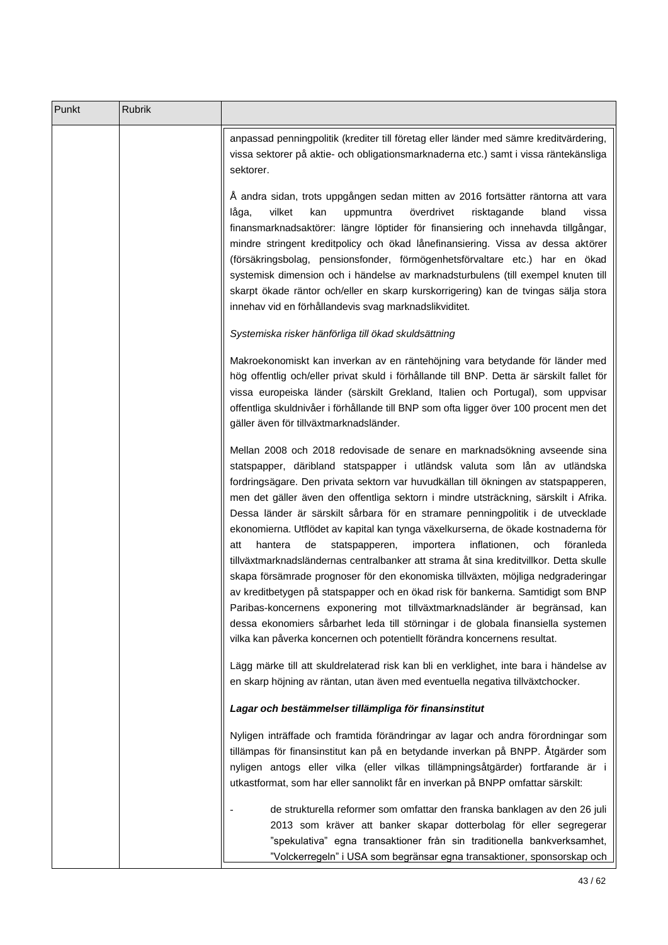| Punkt | <b>Rubrik</b> |                                                                                                                                                                                                                                                                                                                                                                                                                                                                                                                                                                                                                                                                                                                                                                                                                                                                                                                                                                                                                                                                                                                             |
|-------|---------------|-----------------------------------------------------------------------------------------------------------------------------------------------------------------------------------------------------------------------------------------------------------------------------------------------------------------------------------------------------------------------------------------------------------------------------------------------------------------------------------------------------------------------------------------------------------------------------------------------------------------------------------------------------------------------------------------------------------------------------------------------------------------------------------------------------------------------------------------------------------------------------------------------------------------------------------------------------------------------------------------------------------------------------------------------------------------------------------------------------------------------------|
|       |               | anpassad penningpolitik (krediter till företag eller länder med sämre kreditvärdering,<br>vissa sektorer på aktie- och obligationsmarknaderna etc.) samt i vissa räntekänsliga<br>sektorer.                                                                                                                                                                                                                                                                                                                                                                                                                                                                                                                                                                                                                                                                                                                                                                                                                                                                                                                                 |
|       |               | Å andra sidan, trots uppgången sedan mitten av 2016 fortsätter räntorna att vara<br>vilket<br>överdrivet<br>kan<br>uppmuntra<br>risktagande<br>bland<br>låga,<br>vissa<br>finansmarknadsaktörer: längre löptider för finansiering och innehavda tillgångar,<br>mindre stringent kreditpolicy och ökad lånefinansiering. Vissa av dessa aktörer<br>(försäkringsbolag, pensionsfonder, förmögenhetsförvaltare etc.) har en ökad<br>systemisk dimension och i händelse av marknadsturbulens (till exempel knuten till<br>skarpt ökade räntor och/eller en skarp kurskorrigering) kan de tvingas sälja stora<br>innehav vid en förhållandevis svag marknadslikviditet.                                                                                                                                                                                                                                                                                                                                                                                                                                                          |
|       |               | Systemiska risker hänförliga till ökad skuldsättning                                                                                                                                                                                                                                                                                                                                                                                                                                                                                                                                                                                                                                                                                                                                                                                                                                                                                                                                                                                                                                                                        |
|       |               | Makroekonomiskt kan inverkan av en räntehöjning vara betydande för länder med<br>hög offentlig och/eller privat skuld i förhållande till BNP. Detta är särskilt fallet för<br>vissa europeiska länder (särskilt Grekland, Italien och Portugal), som uppvisar<br>offentliga skuldnivåer i förhållande till BNP som ofta ligger över 100 procent men det<br>gäller även för tillväxtmarknadsländer.                                                                                                                                                                                                                                                                                                                                                                                                                                                                                                                                                                                                                                                                                                                          |
|       |               | Mellan 2008 och 2018 redovisade de senare en marknadsökning avseende sina<br>statspapper, däribland statspapper i utländsk valuta som lån av utländska<br>fordringsägare. Den privata sektorn var huvudkällan till ökningen av statspapperen,<br>men det gäller även den offentliga sektorn i mindre utsträckning, särskilt i Afrika.<br>Dessa länder är särskilt sårbara för en stramare penningpolitik i de utvecklade<br>ekonomierna. Utflödet av kapital kan tynga växelkurserna, de ökade kostnaderna för<br>de<br>hantera<br>statspapperen,<br>importera<br>inflationen,<br>och<br>föranleda<br>att<br>tillväxtmarknadsländernas centralbanker att strama åt sina kreditvillkor. Detta skulle<br>skapa försämrade prognoser för den ekonomiska tillväxten, möjliga nedgraderingar<br>av kreditbetygen på statspapper och en ökad risk för bankerna. Samtidigt som BNP<br>Paribas-koncernens exponering mot tillväxtmarknadsländer är begränsad, kan<br>dessa ekonomiers sårbarhet leda till störningar i de globala finansiella systemen<br>vilka kan påverka koncernen och potentiellt förändra koncernens resultat. |
|       |               | Lägg märke till att skuldrelaterad risk kan bli en verklighet, inte bara i händelse av<br>en skarp höjning av räntan, utan även med eventuella negativa tillväxtchocker.                                                                                                                                                                                                                                                                                                                                                                                                                                                                                                                                                                                                                                                                                                                                                                                                                                                                                                                                                    |
|       |               | Lagar och bestämmelser tillämpliga för finansinstitut                                                                                                                                                                                                                                                                                                                                                                                                                                                                                                                                                                                                                                                                                                                                                                                                                                                                                                                                                                                                                                                                       |
|       |               | Nyligen inträffade och framtida förändringar av lagar och andra förordningar som<br>tillämpas för finansinstitut kan på en betydande inverkan på BNPP. Åtgärder som<br>nyligen antogs eller vilka (eller vilkas tillämpningsåtgärder) fortfarande är i<br>utkastformat, som har eller sannolikt får en inverkan på BNPP omfattar särskilt:                                                                                                                                                                                                                                                                                                                                                                                                                                                                                                                                                                                                                                                                                                                                                                                  |
|       |               | de strukturella reformer som omfattar den franska banklagen av den 26 juli<br>2013 som kräver att banker skapar dotterbolag för eller segregerar<br>"spekulativa" egna transaktioner från sin traditionella bankverksamhet,<br>"Volckerregeln" i USA som begränsar egna transaktioner, sponsorskap och                                                                                                                                                                                                                                                                                                                                                                                                                                                                                                                                                                                                                                                                                                                                                                                                                      |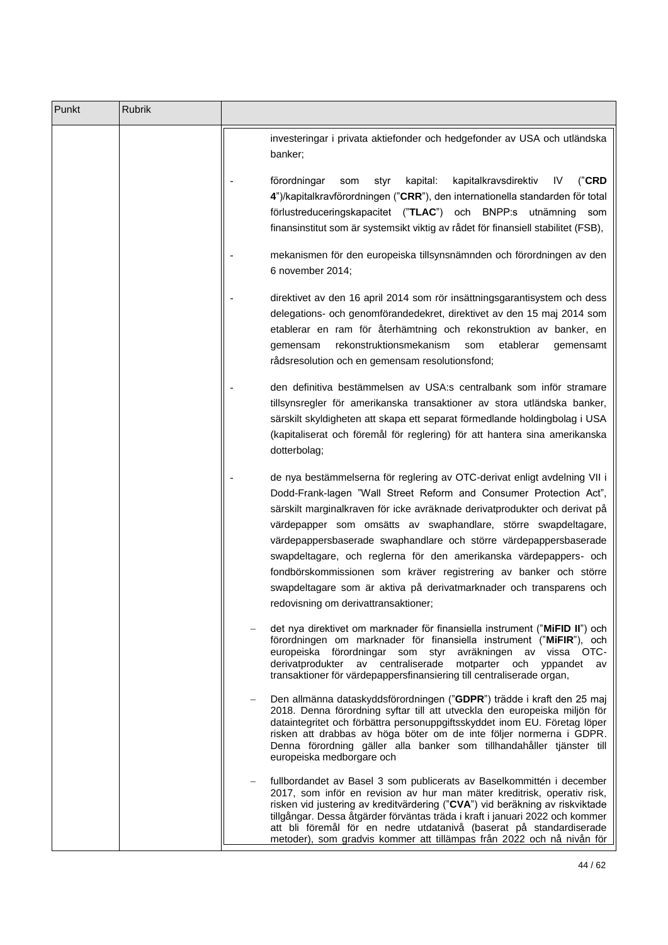| Punkt | Rubrik |                                                                                                                                                                                                                                                                                                                                                                                                                                                                                                                                                                                                                               |  |
|-------|--------|-------------------------------------------------------------------------------------------------------------------------------------------------------------------------------------------------------------------------------------------------------------------------------------------------------------------------------------------------------------------------------------------------------------------------------------------------------------------------------------------------------------------------------------------------------------------------------------------------------------------------------|--|
|       |        | investeringar i privata aktiefonder och hedgefonder av USA och utländska<br>banker;                                                                                                                                                                                                                                                                                                                                                                                                                                                                                                                                           |  |
|       |        | kapitalkravsdirektiv<br>förordningar<br>kapital:<br>("CRD<br>som<br>styr<br>IV<br>4")/kapitalkravförordningen ("CRR"), den internationella standarden för total<br>förlustreduceringskapacitet ("TLAC") och<br>BNPP:s utnämning<br>som<br>finansinstitut som är systemsikt viktig av rådet för finansiell stabilitet (FSB),                                                                                                                                                                                                                                                                                                   |  |
|       |        | mekanismen för den europeiska tillsynsnämnden och förordningen av den<br>6 november 2014;                                                                                                                                                                                                                                                                                                                                                                                                                                                                                                                                     |  |
|       |        | direktivet av den 16 april 2014 som rör insättningsgarantisystem och dess<br>delegations- och genomförandedekret, direktivet av den 15 maj 2014 som<br>etablerar en ram för återhämtning och rekonstruktion av banker, en<br>rekonstruktionsmekanism<br>som<br>etablerar<br>gemensam<br>gemensamt<br>rådsresolution och en gemensam resolutionsfond;                                                                                                                                                                                                                                                                          |  |
|       |        | den definitiva bestämmelsen av USA:s centralbank som inför stramare<br>tillsynsregler för amerikanska transaktioner av stora utländska banker,<br>särskilt skyldigheten att skapa ett separat förmedlande holdingbolag i USA<br>(kapitaliserat och föremål för reglering) för att hantera sina amerikanska<br>dotterbolag;                                                                                                                                                                                                                                                                                                    |  |
|       |        | de nya bestämmelserna för reglering av OTC-derivat enligt avdelning VII i<br>Dodd-Frank-lagen "Wall Street Reform and Consumer Protection Act",<br>särskilt marginalkraven för icke avräknade derivatprodukter och derivat på<br>värdepapper som omsätts av swaphandlare, större swapdeltagare,<br>värdepappersbaserade swaphandlare och större värdepappersbaserade<br>swapdeltagare, och reglerna för den amerikanska värdepappers- och<br>fondbörskommissionen som kräver registrering av banker och större<br>swapdeltagare som är aktiva på derivatmarknader och transparens och<br>redovisning om derivattransaktioner; |  |
|       |        | det nya direktivet om marknader för finansiella instrument ("MiFID II") och<br>förordningen om marknader för finansiella instrument ("MiFIR"), och<br>europeiska förordningar som styr avräkningen av vissa OTC-<br>derivatprodukter av centraliserade motparter och yppandet av<br>transaktioner för värdepappersfinansiering till centraliserade organ,                                                                                                                                                                                                                                                                     |  |
|       |        | Den allmänna dataskyddsförordningen ("GDPR") trädde i kraft den 25 maj<br>2018. Denna förordning syftar till att utveckla den europeiska miljön för<br>dataintegritet och förbättra personuppgiftsskyddet inom EU. Företag löper<br>risken att drabbas av höga böter om de inte följer normerna i GDPR.<br>Denna förordning gäller alla banker som tillhandahåller tjänster till<br>europeiska medborgare och                                                                                                                                                                                                                 |  |
|       |        | fullbordandet av Basel 3 som publicerats av Baselkommittén i december<br>2017, som inför en revision av hur man mäter kreditrisk, operativ risk,<br>risken vid justering av kreditvärdering ("CVA") vid beräkning av riskviktade<br>tillgångar. Dessa åtgärder förväntas träda i kraft i januari 2022 och kommer<br>att bli föremål för en nedre utdatanivå (baserat på standardiserade<br>metoder), som gradvis kommer att tillämpas från 2022 och nå nivån för                                                                                                                                                              |  |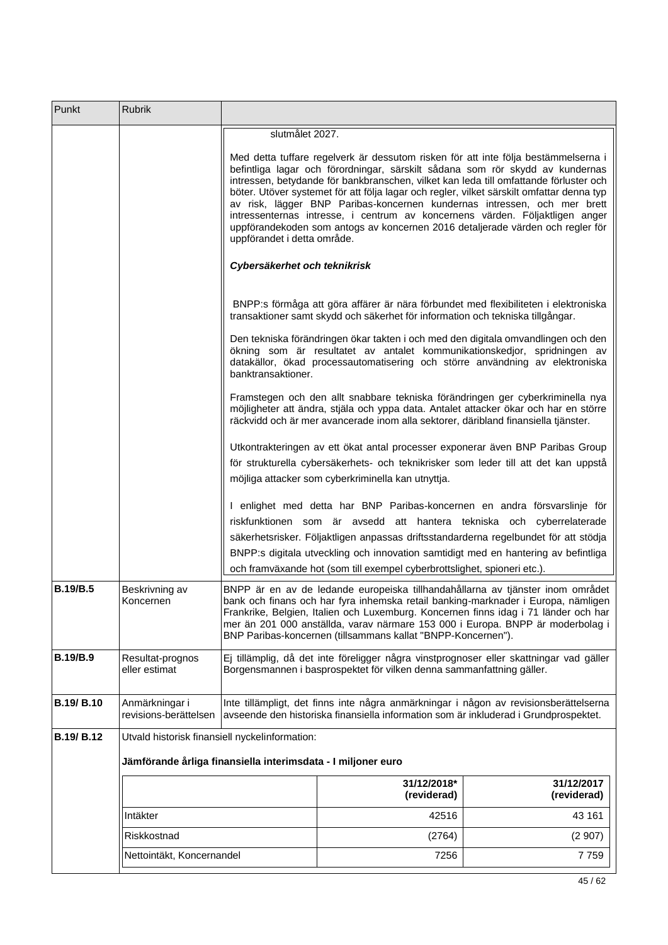| Punkt            | Rubrik                                                       |                                                                                                                                                                                                                                                                                                                                                                                                                                                                                                                                                                                                                                        |                                                                                                                                                                                                                                                              |                           |  |  |  |
|------------------|--------------------------------------------------------------|----------------------------------------------------------------------------------------------------------------------------------------------------------------------------------------------------------------------------------------------------------------------------------------------------------------------------------------------------------------------------------------------------------------------------------------------------------------------------------------------------------------------------------------------------------------------------------------------------------------------------------------|--------------------------------------------------------------------------------------------------------------------------------------------------------------------------------------------------------------------------------------------------------------|---------------------------|--|--|--|
|                  |                                                              | slutmålet 2027.                                                                                                                                                                                                                                                                                                                                                                                                                                                                                                                                                                                                                        |                                                                                                                                                                                                                                                              |                           |  |  |  |
|                  |                                                              | Med detta tuffare regelverk är dessutom risken för att inte följa bestämmelserna i<br>befintliga lagar och förordningar, särskilt sådana som rör skydd av kundernas<br>intressen, betydande för bankbranschen, vilket kan leda till omfattande förluster och<br>böter. Utöver systemet för att följa lagar och regler, vilket särskilt omfattar denna typ<br>av risk, lägger BNP Paribas-koncernen kundernas intressen, och mer brett<br>intressenternas intresse, i centrum av koncernens värden. Följaktligen anger<br>uppförandekoden som antogs av koncernen 2016 detaljerade värden och regler för<br>uppförandet i detta område. |                                                                                                                                                                                                                                                              |                           |  |  |  |
|                  |                                                              | Cybersäkerhet och teknikrisk                                                                                                                                                                                                                                                                                                                                                                                                                                                                                                                                                                                                           |                                                                                                                                                                                                                                                              |                           |  |  |  |
|                  |                                                              |                                                                                                                                                                                                                                                                                                                                                                                                                                                                                                                                                                                                                                        | BNPP:s förmåga att göra affärer är nära förbundet med flexibiliteten i elektroniska<br>transaktioner samt skydd och säkerhet för information och tekniska tillgångar.                                                                                        |                           |  |  |  |
|                  |                                                              | banktransaktioner.                                                                                                                                                                                                                                                                                                                                                                                                                                                                                                                                                                                                                     | Den tekniska förändringen ökar takten i och med den digitala omvandlingen och den<br>ökning som är resultatet av antalet kommunikationskedjor, spridningen av<br>datakällor, ökad processautomatisering och större användning av elektroniska                |                           |  |  |  |
|                  |                                                              |                                                                                                                                                                                                                                                                                                                                                                                                                                                                                                                                                                                                                                        | Framstegen och den allt snabbare tekniska förändringen ger cyberkriminella nya<br>möjligheter att ändra, stjäla och yppa data. Antalet attacker ökar och har en större<br>räckvidd och är mer avancerade inom alla sektorer, däribland finansiella tjänster. |                           |  |  |  |
|                  |                                                              | Utkontrakteringen av ett ökat antal processer exponerar även BNP Paribas Group<br>för strukturella cybersäkerhets- och teknikrisker som leder till att det kan uppstå<br>möjliga attacker som cyberkriminella kan utnyttja.                                                                                                                                                                                                                                                                                                                                                                                                            |                                                                                                                                                                                                                                                              |                           |  |  |  |
|                  |                                                              | I enlighet med detta har BNP Paribas-koncernen en andra försvarslinje för<br>riskfunktionen som är avsedd att hantera tekniska och cyberrelaterade<br>säkerhetsrisker. Följaktligen anpassas driftsstandarderna regelbundet för att stödja<br>BNPP:s digitala utveckling och innovation samtidigt med en hantering av befintliga<br>och framväxande hot (som till exempel cyberbrottslighet, spioneri etc.).                                                                                                                                                                                                                           |                                                                                                                                                                                                                                                              |                           |  |  |  |
| <b>B.19/B.5</b>  | Beskrivning av<br>Koncernen                                  | BNPP är en av de ledande europeiska tillhandahållarna av tjänster inom området<br>bank och finans och har fyra inhemska retail banking-marknader i Europa, nämligen<br>Frankrike, Belgien, Italien och Luxemburg. Koncernen finns idag i 71 länder och har<br>mer än 201 000 anställda, varav närmare 153 000 i Europa. BNPP är moderbolag i<br>BNP Paribas-koncernen (tillsammans kallat "BNPP-Koncernen").                                                                                                                                                                                                                           |                                                                                                                                                                                                                                                              |                           |  |  |  |
| <b>B.19/B.9</b>  | Resultat-prognos<br>eller estimat                            | Ej tillämplig, då det inte föreligger några vinstprognoser eller skattningar vad gäller<br>Borgensmannen i basprospektet för vilken denna sammanfattning gäller.                                                                                                                                                                                                                                                                                                                                                                                                                                                                       |                                                                                                                                                                                                                                                              |                           |  |  |  |
| <b>B.19/B.10</b> | Anmärkningar i<br>revisions-berättelsen                      | Inte tillämpligt, det finns inte några anmärkningar i någon av revisionsberättelserna<br>avseende den historiska finansiella information som är inkluderad i Grundprospektet.                                                                                                                                                                                                                                                                                                                                                                                                                                                          |                                                                                                                                                                                                                                                              |                           |  |  |  |
| B.19/B.12        | Utvald historisk finansiell nyckelinformation:               |                                                                                                                                                                                                                                                                                                                                                                                                                                                                                                                                                                                                                                        |                                                                                                                                                                                                                                                              |                           |  |  |  |
|                  | Jämförande årliga finansiella interimsdata - I miljoner euro |                                                                                                                                                                                                                                                                                                                                                                                                                                                                                                                                                                                                                                        |                                                                                                                                                                                                                                                              |                           |  |  |  |
|                  |                                                              |                                                                                                                                                                                                                                                                                                                                                                                                                                                                                                                                                                                                                                        | 31/12/2018*<br>(reviderad)                                                                                                                                                                                                                                   | 31/12/2017<br>(reviderad) |  |  |  |
|                  | Intäkter                                                     |                                                                                                                                                                                                                                                                                                                                                                                                                                                                                                                                                                                                                                        | 42516                                                                                                                                                                                                                                                        | 43 161                    |  |  |  |
|                  | Riskkostnad                                                  |                                                                                                                                                                                                                                                                                                                                                                                                                                                                                                                                                                                                                                        | (2764)                                                                                                                                                                                                                                                       | (2907)                    |  |  |  |
|                  | Nettointäkt, Koncernandel                                    |                                                                                                                                                                                                                                                                                                                                                                                                                                                                                                                                                                                                                                        | 7256                                                                                                                                                                                                                                                         | 7759                      |  |  |  |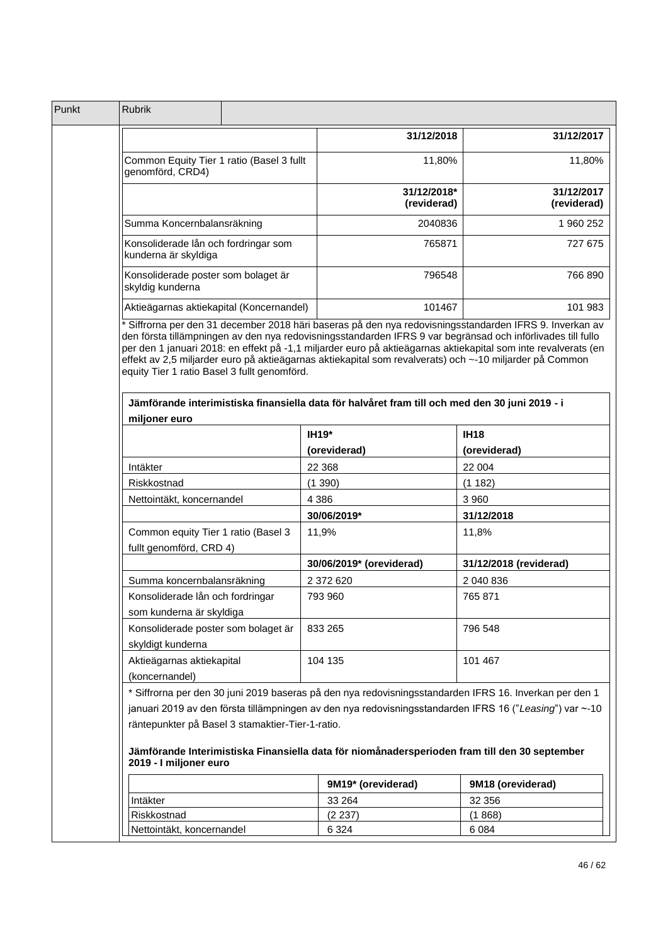| Punkt | <b>Rubrik</b>                                                              |                            |                                                                                                                                                                                                                                                                                                                    |
|-------|----------------------------------------------------------------------------|----------------------------|--------------------------------------------------------------------------------------------------------------------------------------------------------------------------------------------------------------------------------------------------------------------------------------------------------------------|
|       |                                                                            | 31/12/2018                 | 31/12/2017                                                                                                                                                                                                                                                                                                         |
|       | Common Equity Tier 1 ratio (Basel 3 fullt<br>genomförd, CRD4)              |                            | 11,80%<br>11,80%                                                                                                                                                                                                                                                                                                   |
|       |                                                                            | 31/12/2018*<br>(reviderad) | 31/12/2017<br>(reviderad)                                                                                                                                                                                                                                                                                          |
|       | Summa Koncernbalansräkning                                                 | 2040836                    | 1 960 252                                                                                                                                                                                                                                                                                                          |
|       | Konsoliderade lån och fordringar som<br>kunderna är skyldiga               |                            | 765871<br>727 675                                                                                                                                                                                                                                                                                                  |
|       | Konsoliderade poster som bolaget är<br>skyldig kunderna                    |                            | 766 890<br>796548                                                                                                                                                                                                                                                                                                  |
|       | Aktieägarnas aktiekapital (Koncernandel)                                   |                            | 101467<br>101 983                                                                                                                                                                                                                                                                                                  |
|       | equity Tier 1 ratio Basel 3 fullt genomförd.<br>miljoner euro              |                            | Jämförande interimistiska finansiella data för halvåret fram till och med den 30 juni 2019 - i                                                                                                                                                                                                                     |
|       |                                                                            | <b>IH19*</b>               | <b>IH18</b>                                                                                                                                                                                                                                                                                                        |
|       |                                                                            | (oreviderad)               | (oreviderad)                                                                                                                                                                                                                                                                                                       |
|       | Intäkter                                                                   | 22 3 68                    | 22 004                                                                                                                                                                                                                                                                                                             |
|       | Riskkostnad                                                                | (1390)                     | (1182)                                                                                                                                                                                                                                                                                                             |
|       | Nettointäkt, koncernandel                                                  | 4 3 8 6                    | 3 9 6 0                                                                                                                                                                                                                                                                                                            |
|       |                                                                            | 30/06/2019*                | 31/12/2018                                                                                                                                                                                                                                                                                                         |
|       | Common equity Tier 1 ratio (Basel 3<br>fullt genomförd, CRD 4)             | 11,9%                      | 11,8%                                                                                                                                                                                                                                                                                                              |
|       |                                                                            | 30/06/2019* (oreviderad)   | 31/12/2018 (reviderad)                                                                                                                                                                                                                                                                                             |
|       | Summa koncernbalansräkning                                                 | 2 372 620                  | 2 040 836                                                                                                                                                                                                                                                                                                          |
|       | Konsoliderade lån och fordringar<br>som kunderna är skyldiga               | 793 960                    | 765 871                                                                                                                                                                                                                                                                                                            |
|       | Konsoliderade poster som bolaget är<br>skyldigt kunderna                   | 833 265                    | 796 548                                                                                                                                                                                                                                                                                                            |
|       | Aktieägarnas aktiekapital<br>(koncernandel)                                | 104 135                    | 101 467                                                                                                                                                                                                                                                                                                            |
|       | räntepunkter på Basel 3 stamaktier-Tier-1-ratio.<br>2019 - I miljoner euro |                            | * Siffrorna per den 30 juni 2019 baseras på den nya redovisningsstandarden IFRS 16. Inverkan per den 1<br>januari 2019 av den första tillämpningen av den nya redovisningsstandarden IFRS 16 ("Leasing") var ~-10<br>Jämförande Interimistiska Finansiella data för niomånadersperioden fram till den 30 september |
|       |                                                                            | 9M19* (oreviderad)         | 9M18 (oreviderad)                                                                                                                                                                                                                                                                                                  |
|       |                                                                            |                            |                                                                                                                                                                                                                                                                                                                    |
|       | Intäkter                                                                   | 33 264                     | 32 356                                                                                                                                                                                                                                                                                                             |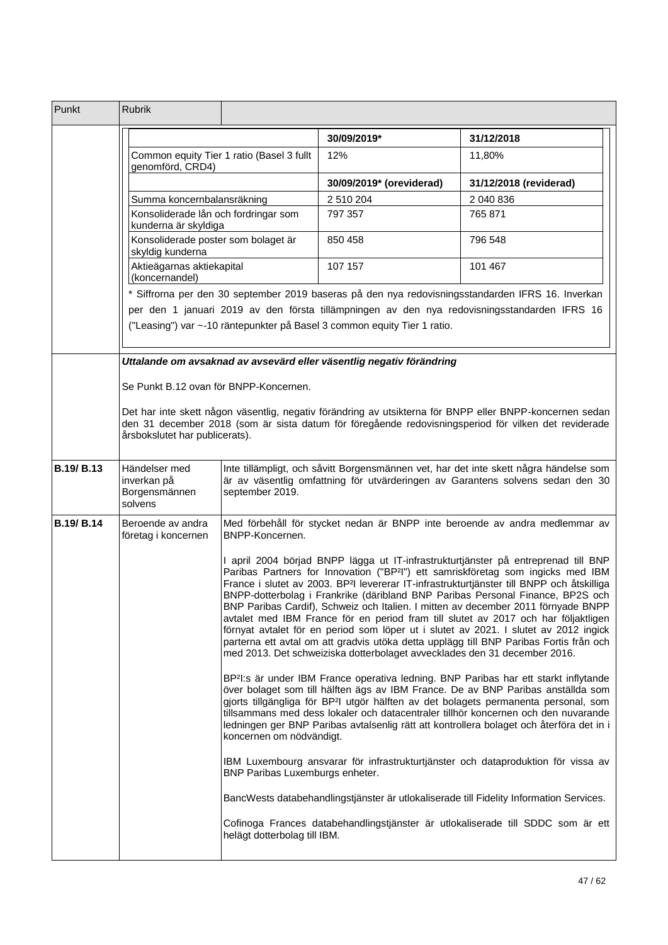| Punkt             | <b>Rubrik</b>                                                                                                                                                                                                                                                                                                                                                                                                                                                                                          |                                                                                                                                                                                                                                                                                                                                                                                                                                                                                                                                                                                                                                                                                                                                                                                                                          |                                                                          |                                                                                                 |  |
|-------------------|--------------------------------------------------------------------------------------------------------------------------------------------------------------------------------------------------------------------------------------------------------------------------------------------------------------------------------------------------------------------------------------------------------------------------------------------------------------------------------------------------------|--------------------------------------------------------------------------------------------------------------------------------------------------------------------------------------------------------------------------------------------------------------------------------------------------------------------------------------------------------------------------------------------------------------------------------------------------------------------------------------------------------------------------------------------------------------------------------------------------------------------------------------------------------------------------------------------------------------------------------------------------------------------------------------------------------------------------|--------------------------------------------------------------------------|-------------------------------------------------------------------------------------------------|--|
|                   |                                                                                                                                                                                                                                                                                                                                                                                                                                                                                                        |                                                                                                                                                                                                                                                                                                                                                                                                                                                                                                                                                                                                                                                                                                                                                                                                                          | 30/09/2019*                                                              | 31/12/2018                                                                                      |  |
|                   | genomförd, CRD4)                                                                                                                                                                                                                                                                                                                                                                                                                                                                                       | Common equity Tier 1 ratio (Basel 3 fullt                                                                                                                                                                                                                                                                                                                                                                                                                                                                                                                                                                                                                                                                                                                                                                                | 12%                                                                      | 11,80%                                                                                          |  |
|                   |                                                                                                                                                                                                                                                                                                                                                                                                                                                                                                        |                                                                                                                                                                                                                                                                                                                                                                                                                                                                                                                                                                                                                                                                                                                                                                                                                          | 30/09/2019* (oreviderad)                                                 | 31/12/2018 (reviderad)                                                                          |  |
|                   | Summa koncernbalansräkning                                                                                                                                                                                                                                                                                                                                                                                                                                                                             |                                                                                                                                                                                                                                                                                                                                                                                                                                                                                                                                                                                                                                                                                                                                                                                                                          | 2 510 204                                                                | 2 040 836                                                                                       |  |
|                   | Konsoliderade lån och fordringar som<br>kunderna är skyldiga                                                                                                                                                                                                                                                                                                                                                                                                                                           |                                                                                                                                                                                                                                                                                                                                                                                                                                                                                                                                                                                                                                                                                                                                                                                                                          | 797 357                                                                  | 765 871                                                                                         |  |
|                   | Konsoliderade poster som bolaget är<br>skyldig kunderna                                                                                                                                                                                                                                                                                                                                                                                                                                                |                                                                                                                                                                                                                                                                                                                                                                                                                                                                                                                                                                                                                                                                                                                                                                                                                          | 850 458                                                                  | 796 548                                                                                         |  |
|                   | Aktieägarnas aktiekapital<br>(koncernandel)                                                                                                                                                                                                                                                                                                                                                                                                                                                            |                                                                                                                                                                                                                                                                                                                                                                                                                                                                                                                                                                                                                                                                                                                                                                                                                          | 107 157                                                                  | 101 467                                                                                         |  |
|                   |                                                                                                                                                                                                                                                                                                                                                                                                                                                                                                        |                                                                                                                                                                                                                                                                                                                                                                                                                                                                                                                                                                                                                                                                                                                                                                                                                          |                                                                          | Siffrorna per den 30 september 2019 baseras på den nya redovisningsstandarden IFRS 16. Inverkan |  |
|                   |                                                                                                                                                                                                                                                                                                                                                                                                                                                                                                        |                                                                                                                                                                                                                                                                                                                                                                                                                                                                                                                                                                                                                                                                                                                                                                                                                          | ("Leasing") var ~-10 räntepunkter på Basel 3 common equity Tier 1 ratio. | per den 1 januari 2019 av den första tillämpningen av den nya redovisningsstandarden IFRS 16    |  |
|                   |                                                                                                                                                                                                                                                                                                                                                                                                                                                                                                        |                                                                                                                                                                                                                                                                                                                                                                                                                                                                                                                                                                                                                                                                                                                                                                                                                          | Uttalande om avsaknad av avsevärd eller väsentlig negativ förändring     |                                                                                                 |  |
|                   | Se Punkt B.12 ovan för BNPP-Koncernen.<br>Det har inte skett någon väsentlig, negativ förändring av utsikterna för BNPP eller BNPP-koncernen sedan<br>den 31 december 2018 (som är sista datum för föregående redovisningsperiod för vilken det reviderade<br>årsbokslutet har publicerats).                                                                                                                                                                                                           |                                                                                                                                                                                                                                                                                                                                                                                                                                                                                                                                                                                                                                                                                                                                                                                                                          |                                                                          |                                                                                                 |  |
|                   |                                                                                                                                                                                                                                                                                                                                                                                                                                                                                                        |                                                                                                                                                                                                                                                                                                                                                                                                                                                                                                                                                                                                                                                                                                                                                                                                                          |                                                                          |                                                                                                 |  |
| B.19/B.13         | Händelser med<br>inverkan på<br>Borgensmännen<br>solvens                                                                                                                                                                                                                                                                                                                                                                                                                                               | Inte tillämpligt, och såvitt Borgensmännen vet, har det inte skett några händelse som<br>är av väsentlig omfattning för utvärderingen av Garantens solvens sedan den 30<br>september 2019.                                                                                                                                                                                                                                                                                                                                                                                                                                                                                                                                                                                                                               |                                                                          |                                                                                                 |  |
| <b>B.19/ B.14</b> | Beroende av andra<br>företag i koncernen                                                                                                                                                                                                                                                                                                                                                                                                                                                               | Med förbehåll för stycket nedan är BNPP inte beroende av andra medlemmar av<br>BNPP-Koncernen.                                                                                                                                                                                                                                                                                                                                                                                                                                                                                                                                                                                                                                                                                                                           |                                                                          |                                                                                                 |  |
|                   |                                                                                                                                                                                                                                                                                                                                                                                                                                                                                                        | I april 2004 börjad BNPP lägga ut IT-infrastrukturtjänster på entreprenad till BNP<br>Paribas Partners for Innovation ("BP <sup>2</sup> I") ett samriskföretag som ingicks med IBM<br>France i slutet av 2003. BP <sup>2</sup> l levererar IT-infrastrukturtjänster till BNPP och åtskilliga<br>BNPP-dotterbolag i Frankrike (däribland BNP Paribas Personal Finance, BP2S och<br>BNP Paribas Cardif), Schweiz och Italien. I mitten av december 2011 förnyade BNPP<br>avtalet med IBM France för en period fram till slutet av 2017 och har följaktligen<br>förnyat avtalet för en period som löper ut i slutet av 2021. I slutet av 2012 ingick<br>parterna ett avtal om att gradvis utöka detta upplägg till BNP Paribas Fortis från och<br>med 2013. Det schweiziska dotterbolaget avvecklades den 31 december 2016. |                                                                          |                                                                                                 |  |
|                   | BP <sup>2</sup> I:s är under IBM France operativa ledning. BNP Paribas har ett starkt inflytande<br>över bolaget som till hälften ägs av IBM France. De av BNP Paribas anställda som<br>gjorts tillgängliga för BP <sup>2</sup> l utgör hälften av det bolagets permanenta personal, som<br>tillsammans med dess lokaler och datacentraler tillhör koncernen och den nuvarande<br>ledningen ger BNP Paribas avtalsenlig rätt att kontrollera bolaget och återföra det in i<br>koncernen om nödvändigt. |                                                                                                                                                                                                                                                                                                                                                                                                                                                                                                                                                                                                                                                                                                                                                                                                                          |                                                                          |                                                                                                 |  |
|                   |                                                                                                                                                                                                                                                                                                                                                                                                                                                                                                        | BNP Paribas Luxemburgs enheter.                                                                                                                                                                                                                                                                                                                                                                                                                                                                                                                                                                                                                                                                                                                                                                                          |                                                                          | IBM Luxembourg ansvarar för infrastrukturtjänster och dataproduktion för vissa av               |  |
|                   |                                                                                                                                                                                                                                                                                                                                                                                                                                                                                                        |                                                                                                                                                                                                                                                                                                                                                                                                                                                                                                                                                                                                                                                                                                                                                                                                                          |                                                                          | BancWests databehandlingstjänster är utlokaliserade till Fidelity Information Services.         |  |
|                   |                                                                                                                                                                                                                                                                                                                                                                                                                                                                                                        | helägt dotterbolag till IBM.                                                                                                                                                                                                                                                                                                                                                                                                                                                                                                                                                                                                                                                                                                                                                                                             |                                                                          | Cofinoga Frances databehandlingstjänster är utlokaliserade till SDDC som är ett                 |  |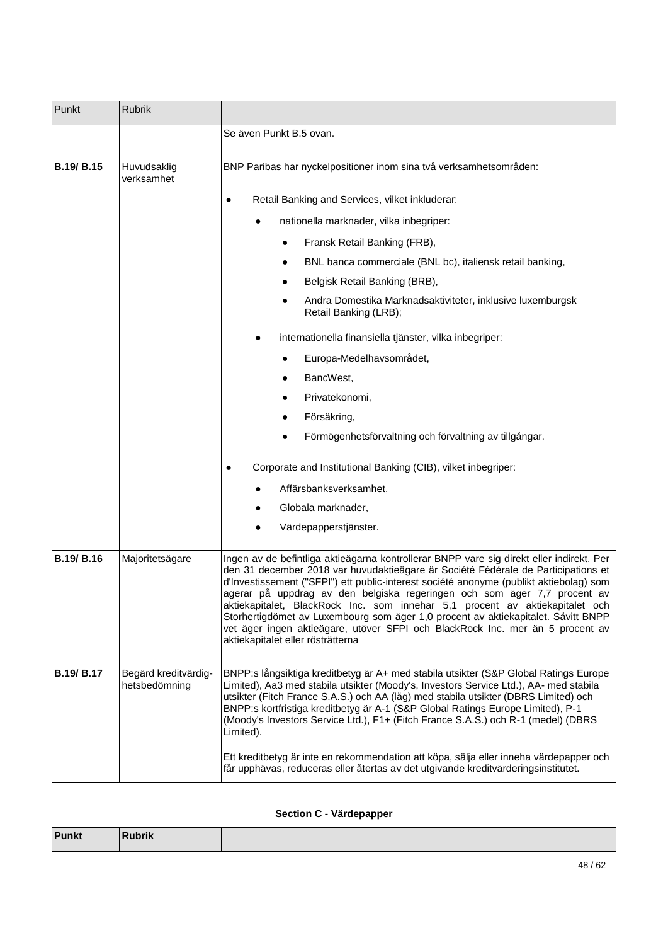| Punkt             | Rubrik                                |                                                                                                                                                                                                                                                                                                                                                                                                                                                                                                                                                                                                                                                                                                            |  |  |
|-------------------|---------------------------------------|------------------------------------------------------------------------------------------------------------------------------------------------------------------------------------------------------------------------------------------------------------------------------------------------------------------------------------------------------------------------------------------------------------------------------------------------------------------------------------------------------------------------------------------------------------------------------------------------------------------------------------------------------------------------------------------------------------|--|--|
|                   |                                       | Se även Punkt B.5 ovan.                                                                                                                                                                                                                                                                                                                                                                                                                                                                                                                                                                                                                                                                                    |  |  |
| <b>B.19/ B.15</b> | Huvudsaklig<br>verksamhet             | BNP Paribas har nyckelpositioner inom sina två verksamhetsområden:<br>Retail Banking and Services, vilket inkluderar:<br>٠<br>nationella marknader, vilka inbegriper:<br>Fransk Retail Banking (FRB),<br>BNL banca commerciale (BNL bc), italiensk retail banking,<br>Belgisk Retail Banking (BRB),<br>Andra Domestika Marknadsaktiviteter, inklusive luxemburgsk<br>Retail Banking (LRB);<br>internationella finansiella tjänster, vilka inbegriper:<br>Europa-Medelhavsområdet,<br>BancWest,<br>Privatekonomi,<br>Försäkring,<br>Förmögenhetsförvaltning och förvaltning av tillgångar.<br>Corporate and Institutional Banking (CIB), vilket inbegriper:<br>Affärsbanksverksamhet,<br>Globala marknader, |  |  |
|                   |                                       | Värdepapperstjänster.                                                                                                                                                                                                                                                                                                                                                                                                                                                                                                                                                                                                                                                                                      |  |  |
| <b>B.19/B.16</b>  | Majoritetsägare                       | Ingen av de befintliga aktieägarna kontrollerar BNPP vare sig direkt eller indirekt. Per<br>den 31 december 2018 var huvudaktieägare är Société Fédérale de Participations et<br>d'Investissement ("SFPI") ett public-interest société anonyme (publikt aktiebolag) som<br>agerar på uppdrag av den belgiska regeringen och som äger 7,7 procent av<br>aktiekapitalet, BlackRock Inc. som innehar 5,1 procent av aktiekapitalet och<br>Storhertigdömet av Luxembourg som äger 1,0 procent av aktiekapitalet. Såvitt BNPP<br>vet äger ingen aktieägare, utöver SFPI och BlackRock Inc. mer än 5 procent av<br>aktiekapitalet eller rösträtterna                                                             |  |  |
| <b>B.19/ B.17</b> | Begärd kreditvärdig-<br>hetsbedömning | BNPP:s långsiktiga kreditbetyg är A+ med stabila utsikter (S&P Global Ratings Europe<br>Limited), Aa3 med stabila utsikter (Moody's, Investors Service Ltd.), AA- med stabila<br>utsikter (Fitch France S.A.S.) och AA (låg) med stabila utsikter (DBRS Limited) och<br>BNPP:s kortfristiga kreditbetyg är A-1 (S&P Global Ratings Europe Limited), P-1<br>(Moody's Investors Service Ltd.), F1+ (Fitch France S.A.S.) och R-1 (medel) (DBRS<br>Limited).<br>Ett kreditbetyg är inte en rekommendation att köpa, sälja eller inneha värdepapper och<br>får upphävas, reduceras eller återtas av det utgivande kreditvärderingsinstitutet.                                                                  |  |  |

## **Section C - Värdepapper**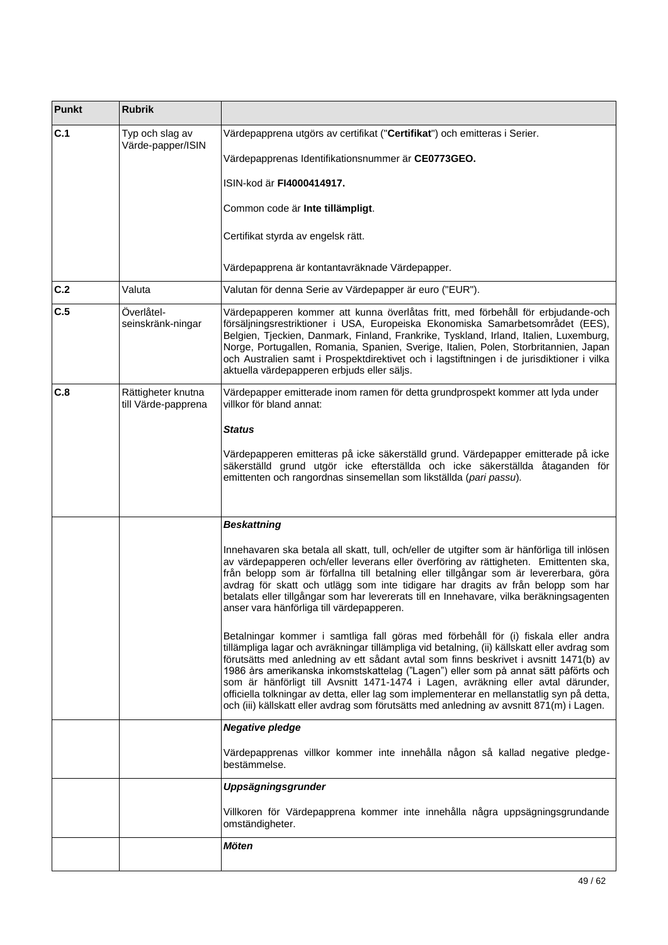| <b>Punkt</b> | <b>Rubrik</b>                             |                                                                                                                                                                                                                                                                                                                                                                                                                                                                                                                                                                                                                                                   |  |
|--------------|-------------------------------------------|---------------------------------------------------------------------------------------------------------------------------------------------------------------------------------------------------------------------------------------------------------------------------------------------------------------------------------------------------------------------------------------------------------------------------------------------------------------------------------------------------------------------------------------------------------------------------------------------------------------------------------------------------|--|
| C.1          | Typ och slag av<br>Värde-papper/ISIN      | Värdepapprena utgörs av certifikat ("Certifikat") och emitteras i Serier.                                                                                                                                                                                                                                                                                                                                                                                                                                                                                                                                                                         |  |
|              |                                           | Värdepapprenas Identifikationsnummer är CE0773GEO.                                                                                                                                                                                                                                                                                                                                                                                                                                                                                                                                                                                                |  |
|              |                                           | ISIN-kod är FI4000414917.                                                                                                                                                                                                                                                                                                                                                                                                                                                                                                                                                                                                                         |  |
|              |                                           | Common code är Inte tillämpligt.                                                                                                                                                                                                                                                                                                                                                                                                                                                                                                                                                                                                                  |  |
|              |                                           | Certifikat styrda av engelsk rätt.                                                                                                                                                                                                                                                                                                                                                                                                                                                                                                                                                                                                                |  |
|              |                                           | Värdepapprena är kontantavräknade Värdepapper.                                                                                                                                                                                                                                                                                                                                                                                                                                                                                                                                                                                                    |  |
| C.2          | Valuta                                    | Valutan för denna Serie av Värdepapper är euro ("EUR").                                                                                                                                                                                                                                                                                                                                                                                                                                                                                                                                                                                           |  |
| C.5          | Överlåtel-<br>seinskränk-ningar           | Värdepapperen kommer att kunna överlåtas fritt, med förbehåll för erbjudande-och<br>försäljningsrestriktioner i USA, Europeiska Ekonomiska Samarbetsområdet (EES),<br>Belgien, Tjeckien, Danmark, Finland, Frankrike, Tyskland, Irland, Italien, Luxemburg,<br>Norge, Portugallen, Romania, Spanien, Sverige, Italien, Polen, Storbritannien, Japan<br>och Australien samt i Prospektdirektivet och i lagstiftningen i de jurisdiktioner i vilka<br>aktuella värdepapperen erbjuds eller säljs.                                                                                                                                                   |  |
| C.8          | Rättigheter knutna<br>till Värde-papprena | Värdepapper emitterade inom ramen för detta grundprospekt kommer att lyda under<br>villkor för bland annat:                                                                                                                                                                                                                                                                                                                                                                                                                                                                                                                                       |  |
|              |                                           | <b>Status</b>                                                                                                                                                                                                                                                                                                                                                                                                                                                                                                                                                                                                                                     |  |
|              |                                           | Värdepapperen emitteras på icke säkerställd grund. Värdepapper emitterade på icke<br>säkerställd grund utgör icke efterställda och icke säkerställda åtaganden för<br>emittenten och rangordnas sinsemellan som likställda (pari passu).                                                                                                                                                                                                                                                                                                                                                                                                          |  |
|              |                                           | <b>Beskattning</b>                                                                                                                                                                                                                                                                                                                                                                                                                                                                                                                                                                                                                                |  |
|              |                                           | Innehavaren ska betala all skatt, tull, och/eller de utgifter som är hänförliga till inlösen<br>av värdepapperen och/eller leverans eller överföring av rättigheten. Emittenten ska,<br>från belopp som är förfallna till betalning eller tillgångar som är levererbara, göra<br>avdrag för skatt och utlägg som inte tidigare har dragits av från belopp som har<br>betalats eller tillgångar som har levererats till en Innehavare, vilka beräkningsagenten<br>anser vara hänförliga till värdepapperen.                                                                                                                                        |  |
|              |                                           | Betalningar kommer i samtliga fall göras med förbehåll för (i) fiskala eller andra<br>tillämpliga lagar och avräkningar tillämpliga vid betalning, (ii) källskatt eller avdrag som<br>förutsätts med anledning av ett sådant avtal som finns beskrivet i avsnitt 1471(b) av<br>1986 års amerikanska inkomstskattelag ("Lagen") eller som på annat sätt påförts och<br>som är hänförligt till Avsnitt 1471-1474 i Lagen, avräkning eller avtal därunder,<br>officiella tolkningar av detta, eller lag som implementerar en mellanstatlig syn på detta,<br>och (iii) källskatt eller avdrag som förutsätts med anledning av avsnitt 871(m) i Lagen. |  |
|              |                                           | <b>Negative pledge</b>                                                                                                                                                                                                                                                                                                                                                                                                                                                                                                                                                                                                                            |  |
|              |                                           | Värdepapprenas villkor kommer inte innehålla någon så kallad negative pledge-<br>bestämmelse.                                                                                                                                                                                                                                                                                                                                                                                                                                                                                                                                                     |  |
|              |                                           | Uppsägningsgrunder                                                                                                                                                                                                                                                                                                                                                                                                                                                                                                                                                                                                                                |  |
|              |                                           | Villkoren för Värdepapprena kommer inte innehålla några uppsägningsgrundande<br>omständigheter.                                                                                                                                                                                                                                                                                                                                                                                                                                                                                                                                                   |  |
|              |                                           | Möten                                                                                                                                                                                                                                                                                                                                                                                                                                                                                                                                                                                                                                             |  |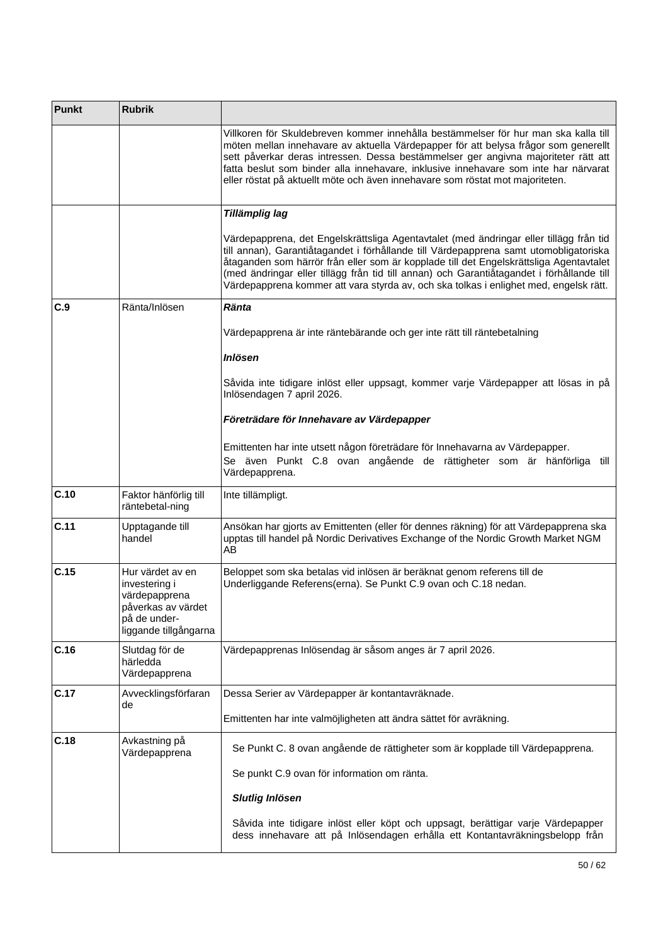| <b>Punkt</b> | <b>Rubrik</b>                                                                                                     |                                                                                                                                                                                                                                                                                                                                                                                                                                                                 |
|--------------|-------------------------------------------------------------------------------------------------------------------|-----------------------------------------------------------------------------------------------------------------------------------------------------------------------------------------------------------------------------------------------------------------------------------------------------------------------------------------------------------------------------------------------------------------------------------------------------------------|
|              |                                                                                                                   | Villkoren för Skuldebreven kommer innehålla bestämmelser för hur man ska kalla till<br>möten mellan innehavare av aktuella Värdepapper för att belysa frågor som generellt<br>sett påverkar deras intressen. Dessa bestämmelser ger angivna majoriteter rätt att<br>fatta beslut som binder alla innehavare, inklusive innehavare som inte har närvarat<br>eller röstat på aktuellt möte och även innehavare som röstat mot majoriteten.                        |
|              |                                                                                                                   | Tillämplig lag                                                                                                                                                                                                                                                                                                                                                                                                                                                  |
|              |                                                                                                                   | Värdepapprena, det Engelskrättsliga Agentavtalet (med ändringar eller tillägg från tid<br>till annan), Garantiåtagandet i förhållande till Värdepapprena samt utomobligatoriska<br>åtaganden som härrör från eller som är kopplade till det Engelskrättsliga Agentavtalet<br>(med ändringar eller tillägg från tid till annan) och Garantiåtagandet i förhållande till<br>Värdepapprena kommer att vara styrda av, och ska tolkas i enlighet med, engelsk rätt. |
| C.9          | Ränta/Inlösen                                                                                                     | Ränta                                                                                                                                                                                                                                                                                                                                                                                                                                                           |
|              |                                                                                                                   | Värdepapprena är inte räntebärande och ger inte rätt till räntebetalning                                                                                                                                                                                                                                                                                                                                                                                        |
|              |                                                                                                                   | <b>Inlösen</b>                                                                                                                                                                                                                                                                                                                                                                                                                                                  |
|              |                                                                                                                   | Såvida inte tidigare inlöst eller uppsagt, kommer varje Värdepapper att lösas in på<br>Inlösendagen 7 april 2026.                                                                                                                                                                                                                                                                                                                                               |
|              |                                                                                                                   | Företrädare för Innehavare av Värdepapper                                                                                                                                                                                                                                                                                                                                                                                                                       |
|              |                                                                                                                   | Emittenten har inte utsett någon företrädare för Innehavarna av Värdepapper.<br>Se även Punkt C.8 ovan angående de rättigheter som är hänförliga till<br>Värdepapprena.                                                                                                                                                                                                                                                                                         |
| C.10         | Faktor hänförlig till<br>räntebetal-ning                                                                          | Inte tillämpligt.                                                                                                                                                                                                                                                                                                                                                                                                                                               |
| C.11         | Upptagande till<br>handel                                                                                         | Ansökan har gjorts av Emittenten (eller för dennes räkning) för att Värdepapprena ska<br>upptas till handel på Nordic Derivatives Exchange of the Nordic Growth Market NGM<br>AB                                                                                                                                                                                                                                                                                |
| C.15         | Hur värdet av en<br>investering i<br>värdepapprena<br>påverkas av värdet<br>på de under-<br>liggande tillgångarna | Beloppet som ska betalas vid inlösen är beräknat genom referens till de<br>Underliggande Referens(erna). Se Punkt C.9 ovan och C.18 nedan.                                                                                                                                                                                                                                                                                                                      |
| C.16         | Slutdag för de<br>härledda<br>Värdepapprena                                                                       | Värdepapprenas Inlösendag är såsom anges är 7 april 2026.                                                                                                                                                                                                                                                                                                                                                                                                       |
| C.17         | Avvecklingsförfaran<br>de                                                                                         | Dessa Serier av Värdepapper är kontantavräknade.                                                                                                                                                                                                                                                                                                                                                                                                                |
|              |                                                                                                                   | Emittenten har inte valmöjligheten att ändra sättet för avräkning.                                                                                                                                                                                                                                                                                                                                                                                              |
| C.18         | Avkastning på<br>Värdepapprena                                                                                    | Se Punkt C. 8 ovan angående de rättigheter som är kopplade till Värdepapprena.                                                                                                                                                                                                                                                                                                                                                                                  |
|              |                                                                                                                   | Se punkt C.9 ovan för information om ränta.                                                                                                                                                                                                                                                                                                                                                                                                                     |
|              |                                                                                                                   | <b>Slutlig Inlösen</b>                                                                                                                                                                                                                                                                                                                                                                                                                                          |
|              |                                                                                                                   | Såvida inte tidigare inlöst eller köpt och uppsagt, berättigar varje Värdepapper<br>dess innehavare att på Inlösendagen erhålla ett Kontantavräkningsbelopp från                                                                                                                                                                                                                                                                                                |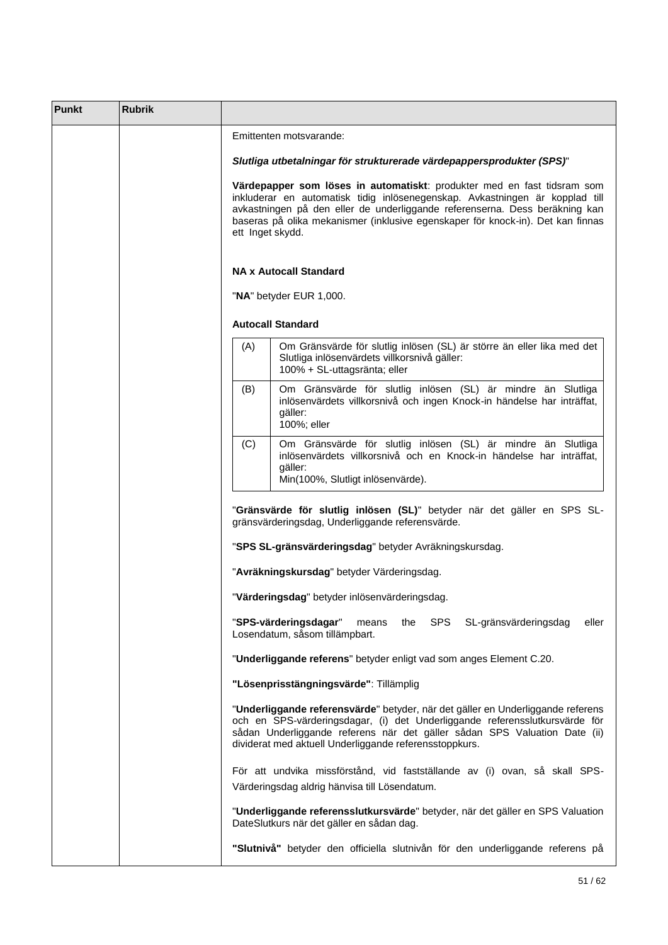| <b>Punkt</b> | <b>Rubrik</b> |                                                                                                                                                                                                                                                                                                                                               |  |  |
|--------------|---------------|-----------------------------------------------------------------------------------------------------------------------------------------------------------------------------------------------------------------------------------------------------------------------------------------------------------------------------------------------|--|--|
|              |               | Emittenten motsvarande:                                                                                                                                                                                                                                                                                                                       |  |  |
|              |               | Slutliga utbetalningar för strukturerade värdepappersprodukter (SPS)"                                                                                                                                                                                                                                                                         |  |  |
|              |               | Värdepapper som löses in automatiskt: produkter med en fast tidsram som<br>inkluderar en automatisk tidig inlösenegenskap. Avkastningen är kopplad till<br>avkastningen på den eller de underliggande referenserna. Dess beräkning kan<br>baseras på olika mekanismer (inklusive egenskaper för knock-in). Det kan finnas<br>ett Inget skydd. |  |  |
|              |               | <b>NA x Autocall Standard</b>                                                                                                                                                                                                                                                                                                                 |  |  |
|              |               | "NA" betyder EUR 1,000.                                                                                                                                                                                                                                                                                                                       |  |  |
|              |               | <b>Autocall Standard</b>                                                                                                                                                                                                                                                                                                                      |  |  |
|              |               | Om Gränsvärde för slutlig inlösen (SL) är större än eller lika med det<br>(A)<br>Slutliga inlösenvärdets villkorsnivå gäller:<br>100% + SL-uttagsränta; eller                                                                                                                                                                                 |  |  |
|              |               | (B)<br>Om Gränsvärde för slutlig inlösen (SL) är mindre än Slutliga<br>inlösenvärdets villkorsnivå och ingen Knock-in händelse har inträffat,<br>gäller:<br>100%; eller                                                                                                                                                                       |  |  |
|              |               | Om Gränsvärde för slutlig inlösen (SL) är mindre än Slutliga<br>(C)<br>inlösenvärdets villkorsnivå och en Knock-in händelse har inträffat,<br>gäller:<br>Min(100%, Slutligt inlösenvärde).                                                                                                                                                    |  |  |
|              |               | "Gränsvärde för slutlig inlösen (SL)" betyder när det gäller en SPS SL-<br>gränsvärderingsdag, Underliggande referensvärde.                                                                                                                                                                                                                   |  |  |
|              |               | "SPS SL-gränsvärderingsdag" betyder Avräkningskursdag.                                                                                                                                                                                                                                                                                        |  |  |
|              |               | "Avräkningskursdag" betyder Värderingsdag.                                                                                                                                                                                                                                                                                                    |  |  |
|              |               | "Värderingsdag" betyder inlösenvärderingsdag.                                                                                                                                                                                                                                                                                                 |  |  |
|              |               | "SPS-värderingsdagar"<br>SPS<br>SL-gränsvärderingsdag<br>eller<br>means<br>the<br>Losendatum, såsom tillämpbart.                                                                                                                                                                                                                              |  |  |
|              |               | "Underliggande referens" betyder enligt vad som anges Element C.20.                                                                                                                                                                                                                                                                           |  |  |
|              |               | "Lösenprisstängningsvärde": Tillämplig                                                                                                                                                                                                                                                                                                        |  |  |
|              |               | "Underliggande referensvärde" betyder, när det gäller en Underliggande referens<br>och en SPS-värderingsdagar, (i) det Underliggande referensslutkursvärde för<br>sådan Underliggande referens när det gäller sådan SPS Valuation Date (ii)<br>dividerat med aktuell Underliggande referensstoppkurs.                                         |  |  |
|              |               | För att undvika missförstånd, vid fastställande av (i) ovan, så skall SPS-<br>Värderingsdag aldrig hänvisa till Lösendatum.                                                                                                                                                                                                                   |  |  |
|              |               | "Underliggande referensslutkursvärde" betyder, när det gäller en SPS Valuation<br>DateSlutkurs när det gäller en sådan dag.                                                                                                                                                                                                                   |  |  |
|              |               | "Slutnivå" betyder den officiella slutnivån för den underliggande referens på                                                                                                                                                                                                                                                                 |  |  |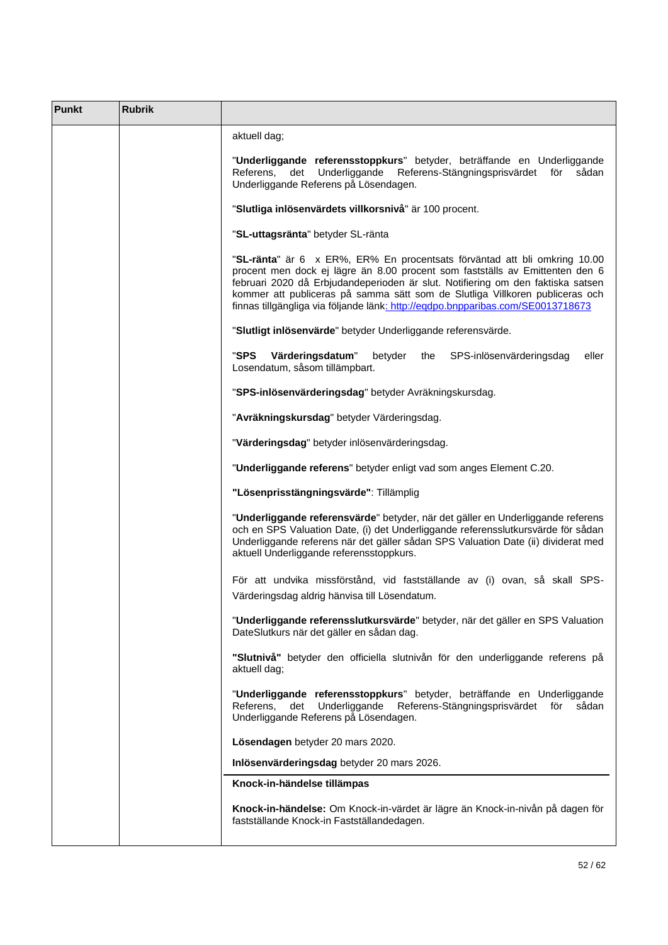| Punkt | <b>Rubrik</b> |                                                                                                                                                                                                                                                                                                                                                                                                                 |
|-------|---------------|-----------------------------------------------------------------------------------------------------------------------------------------------------------------------------------------------------------------------------------------------------------------------------------------------------------------------------------------------------------------------------------------------------------------|
|       |               | aktuell dag;                                                                                                                                                                                                                                                                                                                                                                                                    |
|       |               | "Underliggande referensstoppkurs" betyder, beträffande en Underliggande<br>Referens,<br>det<br>Underliggande<br>Referens-Stängningsprisvärdet för<br>sådan<br>Underliggande Referens på Lösendagen.                                                                                                                                                                                                             |
|       |               | "Slutliga inlösenvärdets villkorsnivå" är 100 procent.                                                                                                                                                                                                                                                                                                                                                          |
|       |               | "SL-uttagsränta" betyder SL-ränta                                                                                                                                                                                                                                                                                                                                                                               |
|       |               | "SL-ränta" är 6 x ER%, ER% En procentsats förväntad att bli omkring 10.00<br>procent men dock ej lägre än 8.00 procent som fastställs av Emittenten den 6<br>februari 2020 då Erbjudandeperioden är slut. Notifiering om den faktiska satsen<br>kommer att publiceras på samma sätt som de Slutliga Villkoren publiceras och<br>finnas tillgängliga via följande länk: http://eqdpo.bnpparibas.com/SE0013718673 |
|       |               | "Slutligt inlösenvärde" betyder Underliggande referensvärde.                                                                                                                                                                                                                                                                                                                                                    |
|       |               | "SPS<br>Värderingsdatum"<br>betyder<br>SPS-inlösenvärderingsdag<br>eller<br>the<br>Losendatum, såsom tillämpbart.                                                                                                                                                                                                                                                                                               |
|       |               | "SPS-inlösenvärderingsdag" betyder Avräkningskursdag.                                                                                                                                                                                                                                                                                                                                                           |
|       |               | "Avräkningskursdag" betyder Värderingsdag.                                                                                                                                                                                                                                                                                                                                                                      |
|       |               | "Värderingsdag" betyder inlösenvärderingsdag.                                                                                                                                                                                                                                                                                                                                                                   |
|       |               | "Underliggande referens" betyder enligt vad som anges Element C.20.                                                                                                                                                                                                                                                                                                                                             |
|       |               | "Lösenprisstängningsvärde": Tillämplig                                                                                                                                                                                                                                                                                                                                                                          |
|       |               | "Underliggande referensvärde" betyder, när det gäller en Underliggande referens<br>och en SPS Valuation Date, (i) det Underliggande referensslutkursvärde för sådan<br>Underliggande referens när det gäller sådan SPS Valuation Date (ii) dividerat med<br>aktuell Underliggande referensstoppkurs.                                                                                                            |
|       |               | För att undvika missförstånd, vid fastställande av (i) ovan, så skall SPS-                                                                                                                                                                                                                                                                                                                                      |
|       |               | Värderingsdag aldrig hänvisa till Lösendatum.                                                                                                                                                                                                                                                                                                                                                                   |
|       |               | "Underliggande referensslutkursvärde" betyder, när det gäller en SPS Valuation<br>DateSlutkurs när det gäller en sådan dag.                                                                                                                                                                                                                                                                                     |
|       |               | "Slutnivå" betyder den officiella slutnivån för den underliggande referens på<br>aktuell dag;                                                                                                                                                                                                                                                                                                                   |
|       |               | "Underliggande referensstoppkurs" betyder, beträffande en Underliggande<br>Referens,<br>det<br>Underliggande<br>Referens-Stängningsprisvärdet för<br>sådan<br>Underliggande Referens på Lösendagen.                                                                                                                                                                                                             |
|       |               | Lösendagen betyder 20 mars 2020.                                                                                                                                                                                                                                                                                                                                                                                |
|       |               | Inlösenvärderingsdag betyder 20 mars 2026.                                                                                                                                                                                                                                                                                                                                                                      |
|       |               | Knock-in-händelse tillämpas                                                                                                                                                                                                                                                                                                                                                                                     |
|       |               | Knock-in-händelse: Om Knock-in-värdet är lägre än Knock-in-nivån på dagen för<br>fastställande Knock-in Fastställandedagen.                                                                                                                                                                                                                                                                                     |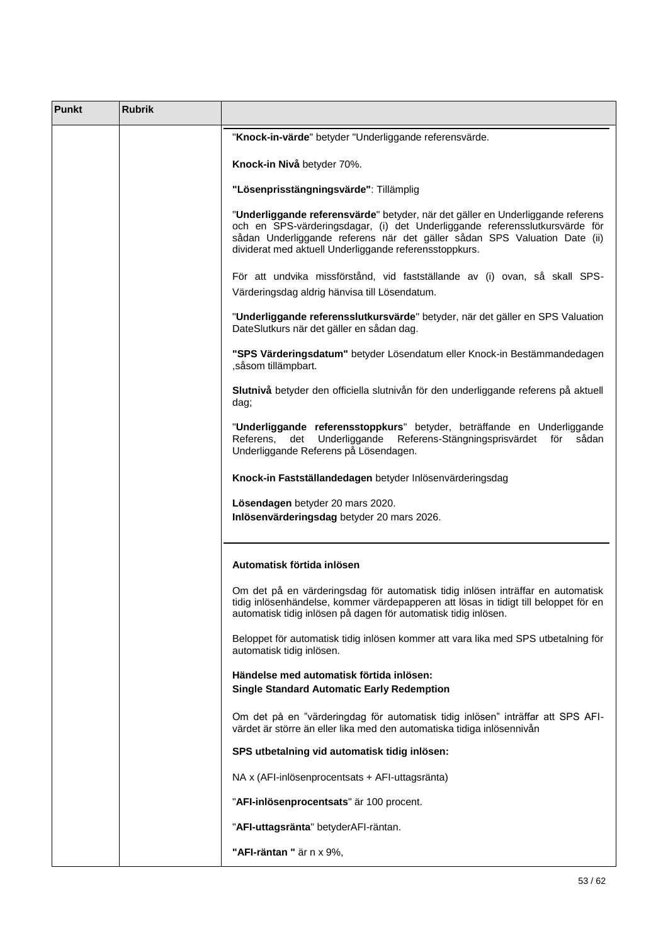| <b>Punkt</b> | <b>Rubrik</b> |                                                                                                                                                                                                                                                                                                       |
|--------------|---------------|-------------------------------------------------------------------------------------------------------------------------------------------------------------------------------------------------------------------------------------------------------------------------------------------------------|
|              |               | "Knock-in-värde" betyder "Underliggande referensvärde.                                                                                                                                                                                                                                                |
|              |               | Knock-in Nivå betyder 70%.                                                                                                                                                                                                                                                                            |
|              |               | "Lösenprisstängningsvärde": Tillämplig                                                                                                                                                                                                                                                                |
|              |               | "Underliggande referensvärde" betyder, när det gäller en Underliggande referens<br>och en SPS-värderingsdagar, (i) det Underliggande referensslutkursvärde för<br>sådan Underliggande referens när det gäller sådan SPS Valuation Date (ii)<br>dividerat med aktuell Underliggande referensstoppkurs. |
|              |               | För att undvika missförstånd, vid fastställande av (i) ovan, så skall SPS-<br>Värderingsdag aldrig hänvisa till Lösendatum.                                                                                                                                                                           |
|              |               | "Underliggande referensslutkursvärde" betyder, när det gäller en SPS Valuation<br>DateSlutkurs när det gäller en sådan dag.                                                                                                                                                                           |
|              |               | "SPS Värderingsdatum" betyder Lösendatum eller Knock-in Bestämmandedagen<br>, såsom tillämpbart.                                                                                                                                                                                                      |
|              |               | Slutnivå betyder den officiella slutnivån för den underliggande referens på aktuell<br>dag;                                                                                                                                                                                                           |
|              |               | "Underliggande referensstoppkurs" betyder, beträffande en Underliggande<br>Referens, det Underliggande<br>Referens-Stängningsprisvärdet för<br>sådan<br>Underliggande Referens på Lösendagen.                                                                                                         |
|              |               | Knock-in Fastställandedagen betyder Inlösenvärderingsdag                                                                                                                                                                                                                                              |
|              |               | Lösendagen betyder 20 mars 2020.<br>Inlösenvärderingsdag betyder 20 mars 2026.                                                                                                                                                                                                                        |
|              |               | Automatisk förtida inlösen                                                                                                                                                                                                                                                                            |
|              |               | Om det på en värderingsdag för automatisk tidig inlösen inträffar en automatisk<br>tidig inlösenhändelse, kommer värdepapperen att lösas in tidigt till beloppet för en<br>automatisk tidig inlösen på dagen för automatisk tidig inlösen.                                                            |
|              |               | Beloppet för automatisk tidig inlösen kommer att vara lika med SPS utbetalning för<br>automatisk tidig inlösen.                                                                                                                                                                                       |
|              |               | Händelse med automatisk förtida inlösen:<br><b>Single Standard Automatic Early Redemption</b>                                                                                                                                                                                                         |
|              |               | Om det på en "värderingdag för automatisk tidig inlösen" inträffar att SPS AFI-<br>värdet är större än eller lika med den automatiska tidiga inlösennivån                                                                                                                                             |
|              |               | SPS utbetalning vid automatisk tidig inlösen:                                                                                                                                                                                                                                                         |
|              |               | NA x (AFI-inlösenprocentsats + AFI-uttagsränta)                                                                                                                                                                                                                                                       |
|              |               | "AFI-inlösenprocentsats" är 100 procent.                                                                                                                                                                                                                                                              |
|              |               | "AFI-uttagsränta" betyderAFI-räntan.                                                                                                                                                                                                                                                                  |
|              |               | "AFI-räntan " är n x 9%,                                                                                                                                                                                                                                                                              |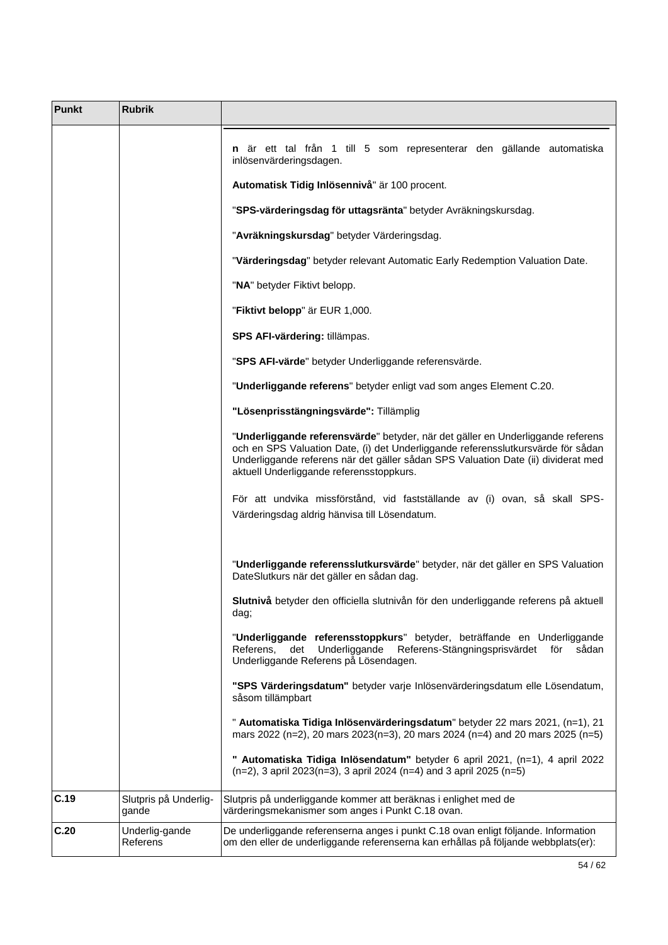| Punkt | <b>Rubrik</b>                  |                                                                                                                                                                                                                                                                                                      |
|-------|--------------------------------|------------------------------------------------------------------------------------------------------------------------------------------------------------------------------------------------------------------------------------------------------------------------------------------------------|
|       |                                | <b>n</b> är ett tal från 1 till 5 som representerar den gällande automatiska<br>inlösenvärderingsdagen.                                                                                                                                                                                              |
|       |                                | Automatisk Tidig Inlösennivå" är 100 procent.                                                                                                                                                                                                                                                        |
|       |                                | "SPS-värderingsdag för uttagsränta" betyder Avräkningskursdag.                                                                                                                                                                                                                                       |
|       |                                | "Avräkningskursdag" betyder Värderingsdag.                                                                                                                                                                                                                                                           |
|       |                                | "Värderingsdag" betyder relevant Automatic Early Redemption Valuation Date.                                                                                                                                                                                                                          |
|       |                                | "NA" betyder Fiktivt belopp.                                                                                                                                                                                                                                                                         |
|       |                                | "Fiktivt belopp" är EUR 1,000.                                                                                                                                                                                                                                                                       |
|       |                                | SPS AFI-värdering: tillämpas.                                                                                                                                                                                                                                                                        |
|       |                                | "SPS AFI-värde" betyder Underliggande referensvärde.                                                                                                                                                                                                                                                 |
|       |                                | "Underliggande referens" betyder enligt vad som anges Element C.20.                                                                                                                                                                                                                                  |
|       |                                | "Lösenprisstängningsvärde": Tillämplig                                                                                                                                                                                                                                                               |
|       |                                | "Underliggande referensvärde" betyder, när det gäller en Underliggande referens<br>och en SPS Valuation Date, (i) det Underliggande referensslutkursvärde för sådan<br>Underliggande referens när det gäller sådan SPS Valuation Date (ii) dividerat med<br>aktuell Underliggande referensstoppkurs. |
|       |                                | För att undvika missförstånd, vid fastställande av (i) ovan, så skall SPS-<br>Värderingsdag aldrig hänvisa till Lösendatum.                                                                                                                                                                          |
|       |                                | "Underliggande referensslutkursvärde" betyder, när det gäller en SPS Valuation<br>DateSlutkurs när det gäller en sådan dag.                                                                                                                                                                          |
|       |                                | Slutnivå betyder den officiella slutnivån för den underliggande referens på aktuell<br>dag;                                                                                                                                                                                                          |
|       |                                | "Underliggande referensstoppkurs" betyder, beträffande en Underliggande<br>Underliggande<br>Referens-Stängningsprisvärdet för<br>Referens,<br>det<br>sådan<br>Underliggande Referens på Lösendagen.                                                                                                  |
|       |                                | "SPS Värderingsdatum" betyder varje Inlösenvärderingsdatum elle Lösendatum,<br>såsom tillämpbart                                                                                                                                                                                                     |
|       |                                | " Automatiska Tidiga Inlösenvärderingsdatum" betyder 22 mars 2021, (n=1), 21<br>mars 2022 (n=2), 20 mars 2023(n=3), 20 mars 2024 (n=4) and 20 mars 2025 (n=5)                                                                                                                                        |
|       |                                | " Automatiska Tidiga Inlösendatum" betyder 6 april 2021, (n=1), 4 april 2022<br>$(n=2)$ , 3 april 2023(n=3), 3 april 2024 (n=4) and 3 april 2025 (n=5)                                                                                                                                               |
| C.19  | Slutpris på Underlig-<br>gande | Slutpris på underliggande kommer att beräknas i enlighet med de<br>värderingsmekanismer som anges i Punkt C.18 ovan.                                                                                                                                                                                 |
| C.20  | Underlig-gande<br>Referens     | De underliggande referenserna anges i punkt C.18 ovan enligt följande. Information<br>om den eller de underliggande referenserna kan erhållas på följande webbplats(er):                                                                                                                             |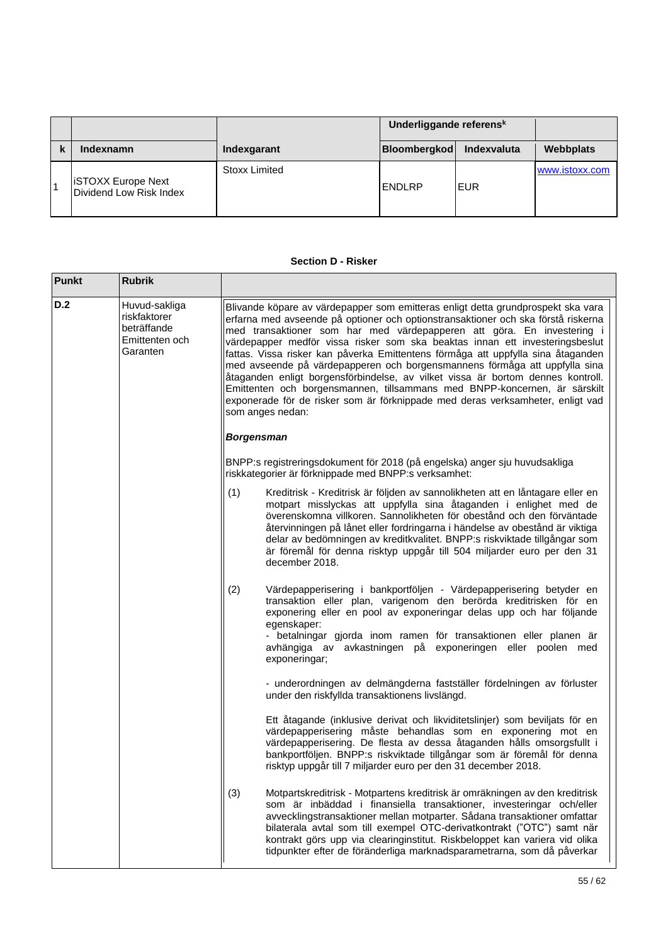|                                                      |                      | Underliggande referensk |             |                |
|------------------------------------------------------|----------------------|-------------------------|-------------|----------------|
| Indexnamn                                            | Indexgarant          | Bloombergkod            | Indexvaluta | Webbplats      |
| <b>iSTOXX Europe Next</b><br>Dividend Low Risk Index | <b>Stoxx Limited</b> | <b>IENDLRP</b>          | IEUR        | www.istoxx.com |

### **Section D - Risker**

| <b>Punkt</b> | <b>Rubrik</b>                                                              |                                                                                                                                                                                                                                                                                                                                                                                                                                                                                                                                                                                                                                                                                                                                                                         |                                                                                                                                                                                                                                                                                                                                                                                                                                                                                    |
|--------------|----------------------------------------------------------------------------|-------------------------------------------------------------------------------------------------------------------------------------------------------------------------------------------------------------------------------------------------------------------------------------------------------------------------------------------------------------------------------------------------------------------------------------------------------------------------------------------------------------------------------------------------------------------------------------------------------------------------------------------------------------------------------------------------------------------------------------------------------------------------|------------------------------------------------------------------------------------------------------------------------------------------------------------------------------------------------------------------------------------------------------------------------------------------------------------------------------------------------------------------------------------------------------------------------------------------------------------------------------------|
| D.2          | Huvud-sakliga<br>riskfaktorer<br>beträffande<br>Emittenten och<br>Garanten | Blivande köpare av värdepapper som emitteras enligt detta grundprospekt ska vara<br>erfarna med avseende på optioner och optionstransaktioner och ska förstå riskerna<br>med transaktioner som har med värdepapperen att göra. En investering i<br>värdepapper medför vissa risker som ska beaktas innan ett investeringsbeslut<br>fattas. Vissa risker kan påverka Emittentens förmåga att uppfylla sina åtaganden<br>med avseende på värdepapperen och borgensmannens förmåga att uppfylla sina<br>åtaganden enligt borgensförbindelse, av vilket vissa är bortom dennes kontroll.<br>Emittenten och borgensmannen, tillsammans med BNPP-koncernen, är särskilt<br>exponerade för de risker som är förknippade med deras verksamheter, enligt vad<br>som anges nedan: |                                                                                                                                                                                                                                                                                                                                                                                                                                                                                    |
|              |                                                                            | <b>Borgensman</b>                                                                                                                                                                                                                                                                                                                                                                                                                                                                                                                                                                                                                                                                                                                                                       |                                                                                                                                                                                                                                                                                                                                                                                                                                                                                    |
|              |                                                                            |                                                                                                                                                                                                                                                                                                                                                                                                                                                                                                                                                                                                                                                                                                                                                                         | BNPP:s registreringsdokument för 2018 (på engelska) anger sju huvudsakliga<br>riskkategorier är förknippade med BNPP:s verksamhet:                                                                                                                                                                                                                                                                                                                                                 |
|              |                                                                            | (1)                                                                                                                                                                                                                                                                                                                                                                                                                                                                                                                                                                                                                                                                                                                                                                     | Kreditrisk - Kreditrisk är följden av sannolikheten att en låntagare eller en<br>motpart misslyckas att uppfylla sina åtaganden i enlighet med de<br>överenskomna villkoren. Sannolikheten för obestånd och den förväntade<br>återvinningen på lånet eller fordringarna i händelse av obestånd är viktiga<br>delar av bedömningen av kreditkvalitet. BNPP:s riskviktade tillgångar som<br>är föremål för denna risktyp uppgår till 504 miljarder euro per den 31<br>december 2018. |
|              |                                                                            | (2)                                                                                                                                                                                                                                                                                                                                                                                                                                                                                                                                                                                                                                                                                                                                                                     | Värdepapperisering i bankportföljen - Värdepapperisering betyder en<br>transaktion eller plan, varigenom den berörda kreditrisken för en<br>exponering eller en pool av exponeringar delas upp och har följande<br>egenskaper:<br>- betalningar gjorda inom ramen för transaktionen eller planen är<br>avhängiga av avkastningen på exponeringen eller poolen med<br>exponeringar;                                                                                                 |
|              |                                                                            |                                                                                                                                                                                                                                                                                                                                                                                                                                                                                                                                                                                                                                                                                                                                                                         | - underordningen av delmängderna fastställer fördelningen av förluster<br>under den riskfyllda transaktionens livslängd.                                                                                                                                                                                                                                                                                                                                                           |
|              |                                                                            |                                                                                                                                                                                                                                                                                                                                                                                                                                                                                                                                                                                                                                                                                                                                                                         | Ett åtagande (inklusive derivat och likviditetslinjer) som beviljats för en<br>värdepapperisering måste behandlas som en exponering mot en<br>värdepapperisering. De flesta av dessa åtaganden hålls omsorgsfullt i<br>bankportföljen. BNPP:s riskviktade tillgångar som är föremål för denna<br>risktyp uppgår till 7 miljarder euro per den 31 december 2018.                                                                                                                    |
|              |                                                                            | (3)                                                                                                                                                                                                                                                                                                                                                                                                                                                                                                                                                                                                                                                                                                                                                                     | Motpartskreditrisk - Motpartens kreditrisk är omräkningen av den kreditrisk<br>som är inbäddad i finansiella transaktioner, investeringar och/eller<br>avvecklingstransaktioner mellan motparter. Sådana transaktioner omfattar<br>bilaterala avtal som till exempel OTC-derivatkontrakt ("OTC") samt när<br>kontrakt görs upp via clearinginstitut. Riskbeloppet kan variera vid olika<br>tidpunkter efter de föränderliga marknadsparametrarna, som då påverkar                  |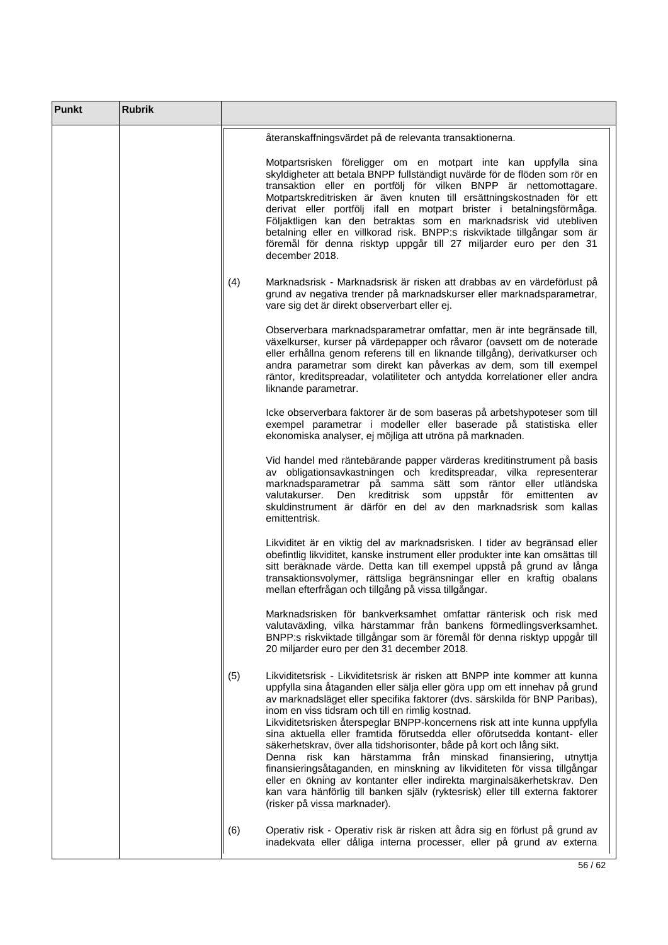| <b>Punkt</b> | <b>Rubrik</b> |     |                                                                                                                                                                                                                                                                                                                                                                                                                                                                                                                                                                                                                                                                                                                                                                                                                                                                           |
|--------------|---------------|-----|---------------------------------------------------------------------------------------------------------------------------------------------------------------------------------------------------------------------------------------------------------------------------------------------------------------------------------------------------------------------------------------------------------------------------------------------------------------------------------------------------------------------------------------------------------------------------------------------------------------------------------------------------------------------------------------------------------------------------------------------------------------------------------------------------------------------------------------------------------------------------|
|              |               |     | återanskaffningsvärdet på de relevanta transaktionerna.                                                                                                                                                                                                                                                                                                                                                                                                                                                                                                                                                                                                                                                                                                                                                                                                                   |
|              |               |     | Motpartsrisken föreligger om en motpart inte kan uppfylla sina<br>skyldigheter att betala BNPP fullständigt nuvärde för de flöden som rör en<br>transaktion eller en portfölj för vilken BNPP är nettomottagare.<br>Motpartskreditrisken är även knuten till ersättningskostnaden för ett<br>derivat eller portfölj ifall en motpart brister i betalningsförmåga.<br>Följaktligen kan den betraktas som en marknadsrisk vid utebliven<br>betalning eller en villkorad risk. BNPP:s riskviktade tillgångar som är<br>föremål för denna risktyp uppgår till 27 miljarder euro per den 31<br>december 2018.                                                                                                                                                                                                                                                                  |
|              |               | (4) | Marknadsrisk - Marknadsrisk är risken att drabbas av en värdeförlust på<br>grund av negativa trender på marknadskurser eller marknadsparametrar,<br>vare sig det är direkt observerbart eller ej.                                                                                                                                                                                                                                                                                                                                                                                                                                                                                                                                                                                                                                                                         |
|              |               |     | Observerbara marknadsparametrar omfattar, men är inte begränsade till,<br>växelkurser, kurser på värdepapper och råvaror (oavsett om de noterade<br>eller erhållna genom referens till en liknande tillgång), derivatkurser och<br>andra parametrar som direkt kan påverkas av dem, som till exempel<br>räntor, kreditspreadar, volatiliteter och antydda korrelationer eller andra<br>liknande parametrar.                                                                                                                                                                                                                                                                                                                                                                                                                                                               |
|              |               |     | Icke observerbara faktorer är de som baseras på arbetshypoteser som till<br>exempel parametrar i modeller eller baserade på statistiska eller<br>ekonomiska analyser, ej möjliga att utröna på marknaden.                                                                                                                                                                                                                                                                                                                                                                                                                                                                                                                                                                                                                                                                 |
|              |               |     | Vid handel med räntebärande papper värderas kreditinstrument på basis<br>av obligationsavkastningen och kreditspreadar, vilka representerar<br>marknadsparametrar på samma sätt som räntor eller utländska<br>kreditrisk som uppstår för<br>valutakurser.<br>Den<br>emittenten<br>av<br>skuldinstrument är därför en del av den marknadsrisk som kallas<br>emittentrisk.                                                                                                                                                                                                                                                                                                                                                                                                                                                                                                  |
|              |               |     | Likviditet är en viktig del av marknadsrisken. I tider av begränsad eller<br>obefintlig likviditet, kanske instrument eller produkter inte kan omsättas till<br>sitt beräknade värde. Detta kan till exempel uppstå på grund av långa<br>transaktionsvolymer, rättsliga begränsningar eller en kraftig obalans<br>mellan efterfrågan och tillgång på vissa tillgångar.                                                                                                                                                                                                                                                                                                                                                                                                                                                                                                    |
|              |               |     | Marknadsrisken för bankverksamhet omfattar ränterisk och risk med<br>valutaväxling, vilka härstammar från bankens förmedlingsverksamhet.<br>BNPP:s riskviktade tillgångar som är föremål för denna risktyp uppgår till<br>20 miljarder euro per den 31 december 2018.                                                                                                                                                                                                                                                                                                                                                                                                                                                                                                                                                                                                     |
|              |               | (5) | Likviditetsrisk - Likviditetsrisk är risken att BNPP inte kommer att kunna<br>uppfylla sina åtaganden eller sälja eller göra upp om ett innehav på grund<br>av marknadsläget eller specifika faktorer (dvs. särskilda för BNP Paribas),<br>inom en viss tidsram och till en rimlig kostnad.<br>Likviditetsrisken återspeglar BNPP-koncernens risk att inte kunna uppfylla<br>sina aktuella eller framtida förutsedda eller oförutsedda kontant- eller<br>säkerhetskrav, över alla tidshorisonter, både på kort och lång sikt.<br>Denna risk kan härstamma från minskad finansiering,<br>utnyttja<br>finansieringsåtaganden, en minskning av likviditeten för vissa tillgångar<br>eller en ökning av kontanter eller indirekta marginalsäkerhetskrav. Den<br>kan vara hänförlig till banken själv (ryktesrisk) eller till externa faktorer<br>(risker på vissa marknader). |
|              |               | (6) | Operativ risk - Operativ risk är risken att ådra sig en förlust på grund av<br>inadekvata eller dåliga interna processer, eller på grund av externa                                                                                                                                                                                                                                                                                                                                                                                                                                                                                                                                                                                                                                                                                                                       |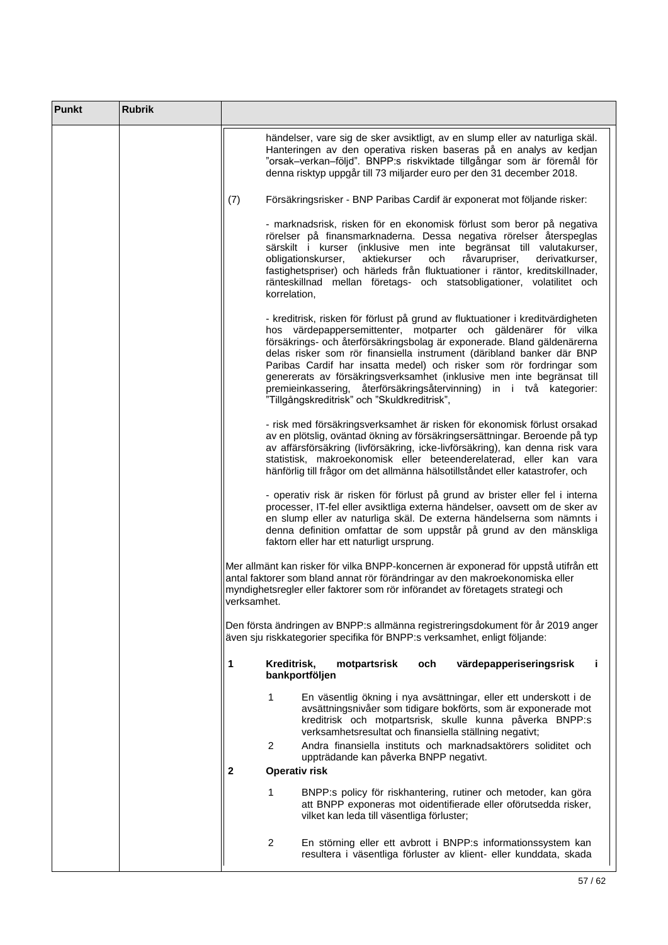| Punkt | <b>Rubrik</b> |                                                                                                                                                                                                                                                                                                                                                                                                                                                                                                                                                                              |
|-------|---------------|------------------------------------------------------------------------------------------------------------------------------------------------------------------------------------------------------------------------------------------------------------------------------------------------------------------------------------------------------------------------------------------------------------------------------------------------------------------------------------------------------------------------------------------------------------------------------|
|       |               | händelser, vare sig de sker avsiktligt, av en slump eller av naturliga skäl.<br>Hanteringen av den operativa risken baseras på en analys av kedjan<br>"orsak-verkan-följd". BNPP:s riskviktade tillgångar som är föremål för<br>denna risktyp uppgår till 73 miljarder euro per den 31 december 2018.                                                                                                                                                                                                                                                                        |
|       |               | Försäkringsrisker - BNP Paribas Cardif är exponerat mot följande risker:<br>(7)                                                                                                                                                                                                                                                                                                                                                                                                                                                                                              |
|       |               | - marknadsrisk, risken för en ekonomisk förlust som beror på negativa<br>rörelser på finansmarknaderna. Dessa negativa rörelser återspeglas<br>särskilt i kurser (inklusive men inte begränsat till valutakurser,<br>obligationskurser,<br>aktiekurser<br>och<br>råvarupriser,<br>derivatkurser,<br>fastighetspriser) och härleds från fluktuationer i räntor, kreditskillnader,<br>ränteskillnad mellan företags- och statsobligationer, volatilitet och<br>korrelation,                                                                                                    |
|       |               | - kreditrisk, risken för förlust på grund av fluktuationer i kreditvärdigheten<br>hos värdepappersemittenter, motparter och gäldenärer för vilka<br>försäkrings- och återförsäkringsbolag är exponerade. Bland gäldenärerna<br>delas risker som rör finansiella instrument (däribland banker där BNP<br>Paribas Cardif har insatta medel) och risker som rör fordringar som<br>genererats av försäkringsverksamhet (inklusive men inte begränsat till<br>premieinkassering, återförsäkringsåtervinning) in i två kategorier:<br>"Tillgångskreditrisk" och "Skuldkreditrisk", |
|       |               | - risk med försäkringsverksamhet är risken för ekonomisk förlust orsakad<br>av en plötslig, oväntad ökning av försäkringsersättningar. Beroende på typ<br>av affärsförsäkring (livförsäkring, icke-livförsäkring), kan denna risk vara<br>statistisk, makroekonomisk eller beteenderelaterad, eller kan vara<br>hänförlig till frågor om det allmänna hälsotillståndet eller katastrofer, och                                                                                                                                                                                |
|       |               | - operativ risk är risken för förlust på grund av brister eller fel i interna<br>processer, IT-fel eller avsiktliga externa händelser, oavsett om de sker av<br>en slump eller av naturliga skäl. De externa händelserna som nämnts i<br>denna definition omfattar de som uppstår på grund av den mänskliga<br>faktorn eller har ett naturligt ursprung.                                                                                                                                                                                                                     |
|       |               | Mer allmänt kan risker för vilka BNPP-koncernen är exponerad för uppstå utifrån ett<br>antal faktorer som bland annat rör förändringar av den makroekonomiska eller<br>myndighetsregler eller faktorer som rör införandet av företagets strategi och<br>verksamhet.                                                                                                                                                                                                                                                                                                          |
|       |               | Den första ändringen av BNPP:s allmänna registreringsdokument för år 2019 anger<br>även sju riskkategorier specifika för BNPP:s verksamhet, enligt följande:                                                                                                                                                                                                                                                                                                                                                                                                                 |
|       |               | 1<br>Kreditrisk,<br>motpartsrisk<br>värdepapperiseringsrisk<br>och<br>bankportföljen                                                                                                                                                                                                                                                                                                                                                                                                                                                                                         |
|       |               | 1<br>En väsentlig ökning i nya avsättningar, eller ett underskott i de<br>avsättningsnivåer som tidigare bokförts, som är exponerade mot<br>kreditrisk och motpartsrisk, skulle kunna påverka BNPP:s<br>verksamhetsresultat och finansiella ställning negativt;                                                                                                                                                                                                                                                                                                              |
|       |               | Andra finansiella instituts och marknadsaktörers soliditet och<br>2<br>uppträdande kan påverka BNPP negativt.<br>$\overline{2}$<br><b>Operativ risk</b>                                                                                                                                                                                                                                                                                                                                                                                                                      |
|       |               | 1<br>BNPP:s policy för riskhantering, rutiner och metoder, kan göra<br>att BNPP exponeras mot oidentifierade eller oförutsedda risker,<br>vilket kan leda till väsentliga förluster;                                                                                                                                                                                                                                                                                                                                                                                         |
|       |               | $\overline{2}$<br>En störning eller ett avbrott i BNPP:s informationssystem kan<br>resultera i väsentliga förluster av klient- eller kunddata, skada                                                                                                                                                                                                                                                                                                                                                                                                                         |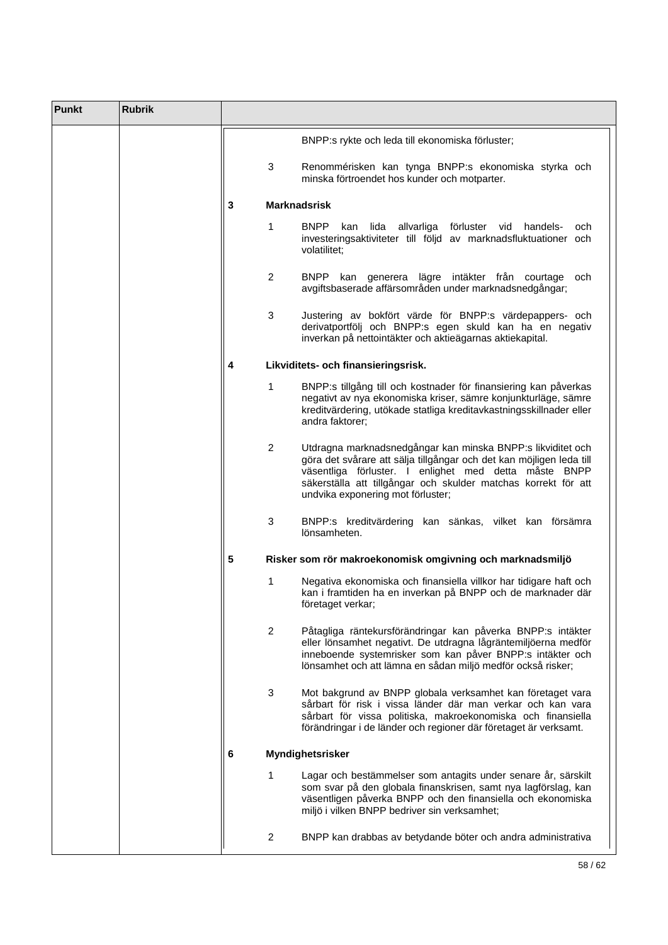| <b>Punkt</b> | <b>Rubrik</b> |   |                |                                                                                                                                                                                                                                                                                                     |
|--------------|---------------|---|----------------|-----------------------------------------------------------------------------------------------------------------------------------------------------------------------------------------------------------------------------------------------------------------------------------------------------|
|              |               |   |                | BNPP:s rykte och leda till ekonomiska förluster;                                                                                                                                                                                                                                                    |
|              |               |   | 3              | Renommérisken kan tynga BNPP:s ekonomiska styrka och<br>minska förtroendet hos kunder och motparter.                                                                                                                                                                                                |
|              |               | 3 |                | <b>Marknadsrisk</b>                                                                                                                                                                                                                                                                                 |
|              |               |   | 1              | <b>BNPP</b><br>lida<br>allvarliga förluster vid handels-<br>kan<br>och<br>investeringsaktiviteter till följd av marknadsfluktuationer och<br>volatilitet;                                                                                                                                           |
|              |               |   | $\overline{2}$ | <b>BNPP</b><br>kan generera lägre intäkter från courtage<br>och<br>avgiftsbaserade affärsområden under marknadsnedgångar;                                                                                                                                                                           |
|              |               |   | 3              | Justering av bokfört värde för BNPP:s värdepappers- och<br>derivatportfölj och BNPP:s egen skuld kan ha en negativ<br>inverkan på nettointäkter och aktieägarnas aktiekapital.                                                                                                                      |
|              |               | 4 |                | Likviditets- och finansieringsrisk.                                                                                                                                                                                                                                                                 |
|              |               |   | 1              | BNPP:s tillgång till och kostnader för finansiering kan påverkas<br>negativt av nya ekonomiska kriser, sämre konjunkturläge, sämre<br>kreditvärdering, utökade statliga kreditavkastningsskillnader eller<br>andra faktorer;                                                                        |
|              |               |   | $\overline{2}$ | Utdragna marknadsnedgångar kan minska BNPP:s likviditet och<br>göra det svårare att sälja tillgångar och det kan möjligen leda till<br>väsentliga förluster. I enlighet med detta måste BNPP<br>säkerställa att tillgångar och skulder matchas korrekt för att<br>undvika exponering mot förluster; |
|              |               |   | 3              | BNPP:s kreditvärdering kan sänkas, vilket kan försämra<br>lönsamheten.                                                                                                                                                                                                                              |
|              |               | 5 |                | Risker som rör makroekonomisk omgivning och marknadsmiljö                                                                                                                                                                                                                                           |
|              |               |   | 1              | Negativa ekonomiska och finansiella villkor har tidigare haft och<br>kan i framtiden ha en inverkan på BNPP och de marknader där<br>företaget verkar;                                                                                                                                               |
|              |               |   | $\overline{2}$ | Påtagliga räntekursförändringar kan påverka BNPP:s intäkter<br>eller lönsamhet negativt. De utdragna lågräntemiljöerna medför<br>inneboende systemrisker som kan påver BNPP:s intäkter och<br>lönsamhet och att lämna en sådan miljö medför också risker;                                           |
|              |               |   | 3              | Mot bakgrund av BNPP globala verksamhet kan företaget vara<br>sårbart för risk i vissa länder där man verkar och kan vara<br>sårbart för vissa politiska, makroekonomiska och finansiella<br>förändringar i de länder och regioner där företaget är verksamt.                                       |
|              |               | 6 |                | Myndighetsrisker                                                                                                                                                                                                                                                                                    |
|              |               |   | 1              | Lagar och bestämmelser som antagits under senare år, särskilt<br>som svar på den globala finanskrisen, samt nya lagförslag, kan<br>väsentligen påverka BNPP och den finansiella och ekonomiska<br>miljö i vilken BNPP bedriver sin verksamhet;                                                      |
|              |               |   | $\overline{2}$ | BNPP kan drabbas av betydande böter och andra administrativa                                                                                                                                                                                                                                        |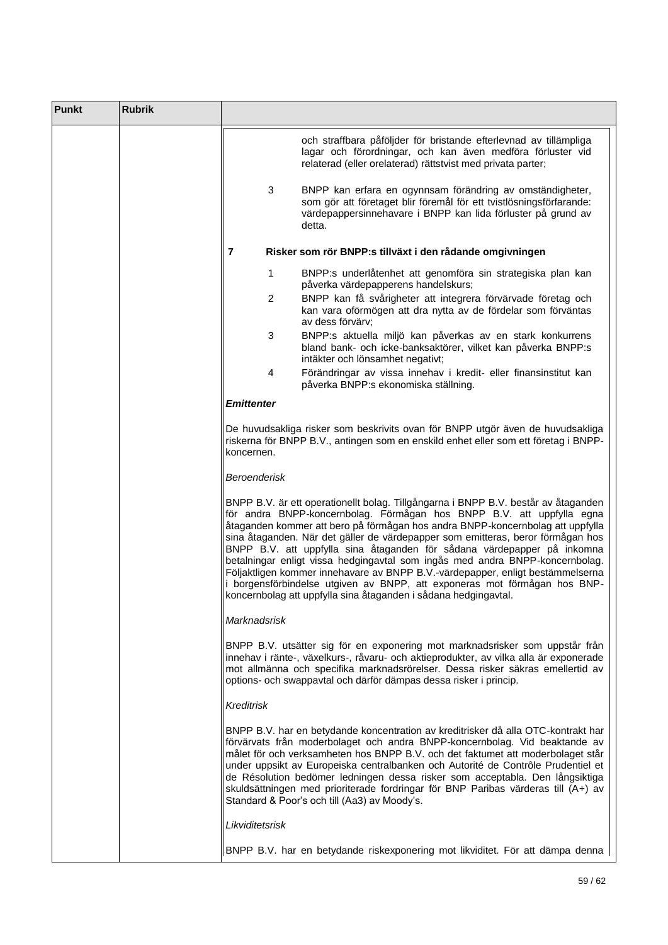| <b>Punkt</b> | <b>Rubrik</b> |                     |                                                                                                                                                                                                                                                                                                                                                                                                                                                                                                                                                                                                                                                                                                                               |
|--------------|---------------|---------------------|-------------------------------------------------------------------------------------------------------------------------------------------------------------------------------------------------------------------------------------------------------------------------------------------------------------------------------------------------------------------------------------------------------------------------------------------------------------------------------------------------------------------------------------------------------------------------------------------------------------------------------------------------------------------------------------------------------------------------------|
|              |               |                     | och straffbara påföljder för bristande efterlevnad av tillämpliga<br>lagar och förordningar, och kan även medföra förluster vid<br>relaterad (eller orelaterad) rättstvist med privata parter;                                                                                                                                                                                                                                                                                                                                                                                                                                                                                                                                |
|              |               | 3                   | BNPP kan erfara en ogynnsam förändring av omständigheter,<br>som gör att företaget blir föremål för ett tvistlösningsförfarande:<br>värdepappersinnehavare i BNPP kan lida förluster på grund av<br>detta.                                                                                                                                                                                                                                                                                                                                                                                                                                                                                                                    |
|              |               | $\overline{7}$      | Risker som rör BNPP:s tillväxt i den rådande omgivningen                                                                                                                                                                                                                                                                                                                                                                                                                                                                                                                                                                                                                                                                      |
|              |               | 1                   | BNPP:s underlåtenhet att genomföra sin strategiska plan kan<br>påverka värdepapperens handelskurs;                                                                                                                                                                                                                                                                                                                                                                                                                                                                                                                                                                                                                            |
|              |               | $\overline{2}$      | BNPP kan få svårigheter att integrera förvärvade företag och<br>kan vara oförmögen att dra nytta av de fördelar som förväntas<br>av dess förvärv:                                                                                                                                                                                                                                                                                                                                                                                                                                                                                                                                                                             |
|              |               | 3                   | BNPP:s aktuella miljö kan påverkas av en stark konkurrens<br>bland bank- och icke-banksaktörer, vilket kan påverka BNPP:s<br>intäkter och lönsamhet negativt;                                                                                                                                                                                                                                                                                                                                                                                                                                                                                                                                                                 |
|              |               | 4                   | Förändringar av vissa innehav i kredit- eller finansinstitut kan<br>påverka BNPP:s ekonomiska ställning.                                                                                                                                                                                                                                                                                                                                                                                                                                                                                                                                                                                                                      |
|              |               | <b>Emittenter</b>   |                                                                                                                                                                                                                                                                                                                                                                                                                                                                                                                                                                                                                                                                                                                               |
|              |               | koncernen.          | De huvudsakliga risker som beskrivits ovan för BNPP utgör även de huvudsakliga<br>riskerna för BNPP B.V., antingen som en enskild enhet eller som ett företag i BNPP-                                                                                                                                                                                                                                                                                                                                                                                                                                                                                                                                                         |
|              |               | <b>Beroenderisk</b> |                                                                                                                                                                                                                                                                                                                                                                                                                                                                                                                                                                                                                                                                                                                               |
|              |               |                     | BNPP B.V. är ett operationellt bolag. Tillgångarna i BNPP B.V. består av åtaganden<br>för andra BNPP-koncernbolag. Förmågan hos BNPP B.V. att uppfylla egna<br>åtaganden kommer att bero på förmågan hos andra BNPP-koncernbolag att uppfylla<br>sina åtaganden. När det gäller de värdepapper som emitteras, beror förmågan hos<br>BNPP B.V. att uppfylla sina åtaganden för sådana värdepapper på inkomna<br>betalningar enligt vissa hedgingavtal som ingås med andra BNPP-koncernbolag.<br>Följaktligen kommer innehavare av BNPP B.V.-värdepapper, enligt bestämmelserna<br>i borgensförbindelse utgiven av BNPP, att exponeras mot förmågan hos BNP-<br>koncernbolag att uppfylla sina åtaganden i sådana hedgingavtal. |
|              |               | Marknadsrisk        |                                                                                                                                                                                                                                                                                                                                                                                                                                                                                                                                                                                                                                                                                                                               |
|              |               |                     | BNPP B.V. utsätter sig för en exponering mot marknadsrisker som uppstår från<br>innehav i ränte-, växelkurs-, råvaru- och aktieprodukter, av vilka alla är exponerade<br>mot allmänna och specifika marknadsrörelser. Dessa risker säkras emellertid av<br>options- och swappavtal och därför dämpas dessa risker i princip.                                                                                                                                                                                                                                                                                                                                                                                                  |
|              |               | <b>Kreditrisk</b>   |                                                                                                                                                                                                                                                                                                                                                                                                                                                                                                                                                                                                                                                                                                                               |
|              |               |                     | BNPP B.V. har en betydande koncentration av kreditrisker då alla OTC-kontrakt har<br>förvärvats från moderbolaget och andra BNPP-koncernbolag. Vid beaktande av<br>målet för och verksamheten hos BNPP B.V. och det faktumet att moderbolaget står<br>under uppsikt av Europeiska centralbanken och Autorité de Contrôle Prudentiel et<br>de Résolution bedömer ledningen dessa risker som acceptabla. Den långsiktiga<br>skuldsättningen med prioriterade fordringar för BNP Paribas värderas till (A+) av<br>Standard & Poor's och till (Aa3) av Moody's.                                                                                                                                                                   |
|              |               | Likviditetsrisk     |                                                                                                                                                                                                                                                                                                                                                                                                                                                                                                                                                                                                                                                                                                                               |
|              |               |                     | BNPP B.V. har en betydande riskexponering mot likviditet. För att dämpa denna                                                                                                                                                                                                                                                                                                                                                                                                                                                                                                                                                                                                                                                 |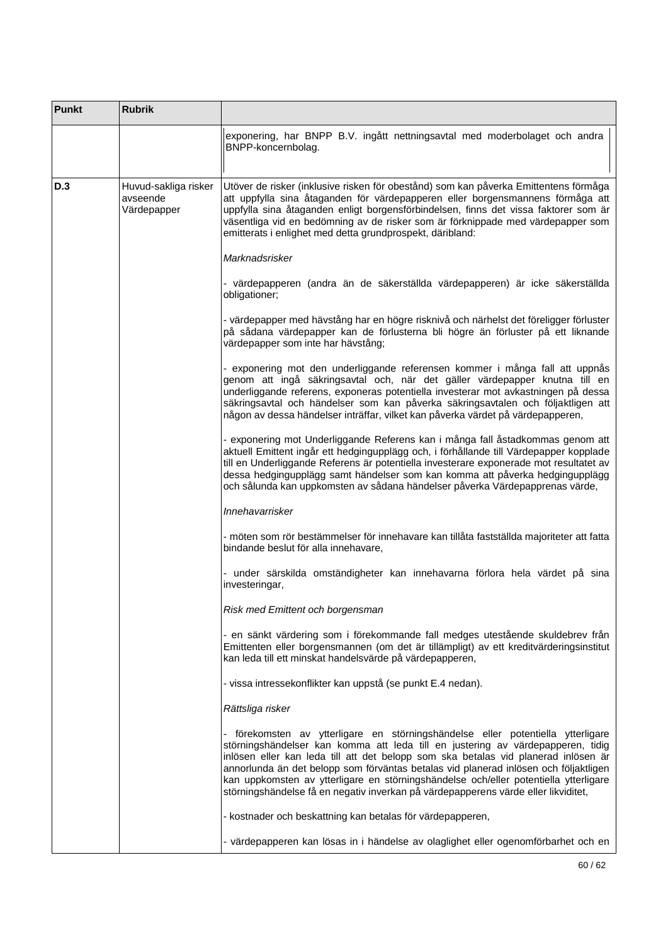| Punkt | <b>Rubrik</b>                                   |                                                                                                                                                                                                                                                                                                                                                                                                                                                                                                                                |
|-------|-------------------------------------------------|--------------------------------------------------------------------------------------------------------------------------------------------------------------------------------------------------------------------------------------------------------------------------------------------------------------------------------------------------------------------------------------------------------------------------------------------------------------------------------------------------------------------------------|
|       |                                                 | exponering, har BNPP B.V. ingått nettningsavtal med moderbolaget och andra<br>BNPP-koncernbolag.                                                                                                                                                                                                                                                                                                                                                                                                                               |
| D.3   | Huvud-sakliga risker<br>avseende<br>Värdepapper | Utöver de risker (inklusive risken för obestånd) som kan påverka Emittentens förmåga<br>att uppfylla sina åtaganden för värdepapperen eller borgensmannens förmåga att<br>uppfylla sina åtaganden enligt borgensförbindelsen, finns det vissa faktorer som är<br>väsentliga vid en bedömning av de risker som är förknippade med värdepapper som<br>emitterats i enlighet med detta grundprospekt, däribland:                                                                                                                  |
|       |                                                 | Marknadsrisker                                                                                                                                                                                                                                                                                                                                                                                                                                                                                                                 |
|       |                                                 | - värdepapperen (andra än de säkerställda värdepapperen) är icke säkerställda<br>obligationer;                                                                                                                                                                                                                                                                                                                                                                                                                                 |
|       |                                                 | - värdepapper med hävstång har en högre risknivå och närhelst det föreligger förluster<br>på sådana värdepapper kan de förlusterna bli högre än förluster på ett liknande<br>värdepapper som inte har hävstång;                                                                                                                                                                                                                                                                                                                |
|       |                                                 | - exponering mot den underliggande referensen kommer i många fall att uppnås<br>genom att ingå säkringsavtal och, när det gäller värdepapper knutna till en<br>underliggande referens, exponeras potentiella investerar mot avkastningen på dessa<br>säkringsavtal och händelser som kan påverka säkringsavtalen och följaktligen att<br>någon av dessa händelser inträffar, vilket kan påverka värdet på värdepapperen,                                                                                                       |
|       |                                                 | - exponering mot Underliggande Referens kan i många fall åstadkommas genom att<br>aktuell Emittent ingår ett hedgingupplägg och, i förhållande till Värdepapper kopplade<br>till en Underliggande Referens är potentiella investerare exponerade mot resultatet av<br>dessa hedgingupplägg samt händelser som kan komma att påverka hedgingupplägg<br>och sålunda kan uppkomsten av sådana händelser påverka Värdepapprenas värde,                                                                                             |
|       |                                                 | Innehavarrisker                                                                                                                                                                                                                                                                                                                                                                                                                                                                                                                |
|       |                                                 | - möten som rör bestämmelser för innehavare kan tillåta fastställda majoriteter att fatta<br>bindande beslut för alla innehavare,                                                                                                                                                                                                                                                                                                                                                                                              |
|       |                                                 | - under särskilda omständigheter kan innehavarna förlora hela värdet på sina<br>investeringar,                                                                                                                                                                                                                                                                                                                                                                                                                                 |
|       |                                                 | Risk med Emittent och borgensman                                                                                                                                                                                                                                                                                                                                                                                                                                                                                               |
|       |                                                 | - en sänkt värdering som i förekommande fall medges utestående skuldebrev från<br>Emittenten eller borgensmannen (om det är tillämpligt) av ett kreditvärderingsinstitut<br>kan leda till ett minskat handelsvärde på värdepapperen,                                                                                                                                                                                                                                                                                           |
|       |                                                 | - vissa intressekonflikter kan uppstå (se punkt E.4 nedan).                                                                                                                                                                                                                                                                                                                                                                                                                                                                    |
|       |                                                 | Rättsliga risker                                                                                                                                                                                                                                                                                                                                                                                                                                                                                                               |
|       |                                                 | - förekomsten av ytterligare en störningshändelse eller potentiella ytterligare<br>störningshändelser kan komma att leda till en justering av värdepapperen, tidig<br>inlösen eller kan leda till att det belopp som ska betalas vid planerad inlösen är<br>annorlunda än det belopp som förväntas betalas vid planerad inlösen och följaktligen<br>kan uppkomsten av ytterligare en störningshändelse och/eller potentiella ytterligare<br>störningshändelse få en negativ inverkan på värdepapperens värde eller likviditet, |
|       |                                                 | - kostnader och beskattning kan betalas för värdepapperen,                                                                                                                                                                                                                                                                                                                                                                                                                                                                     |
|       |                                                 | - värdepapperen kan lösas in i händelse av olaglighet eller ogenomförbarhet och en                                                                                                                                                                                                                                                                                                                                                                                                                                             |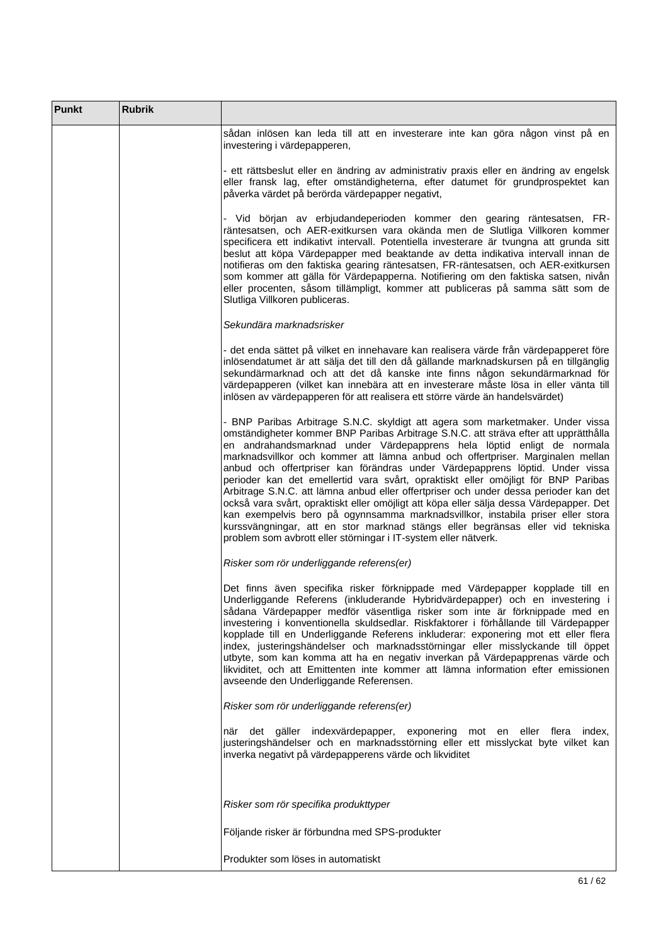| <b>Punkt</b> | <b>Rubrik</b> |                                                                                                                                                                                                                                                                                                                                                                                                                                                                                                                                                                                                                                                                                                                                                                                                                                                                                                                                    |
|--------------|---------------|------------------------------------------------------------------------------------------------------------------------------------------------------------------------------------------------------------------------------------------------------------------------------------------------------------------------------------------------------------------------------------------------------------------------------------------------------------------------------------------------------------------------------------------------------------------------------------------------------------------------------------------------------------------------------------------------------------------------------------------------------------------------------------------------------------------------------------------------------------------------------------------------------------------------------------|
|              |               | sådan inlösen kan leda till att en investerare inte kan göra någon vinst på en<br>investering i värdepapperen,                                                                                                                                                                                                                                                                                                                                                                                                                                                                                                                                                                                                                                                                                                                                                                                                                     |
|              |               | - ett rättsbeslut eller en ändring av administrativ praxis eller en ändring av engelsk<br>eller fransk lag, efter omständigheterna, efter datumet för grundprospektet kan<br>påverka värdet på berörda värdepapper negativt,                                                                                                                                                                                                                                                                                                                                                                                                                                                                                                                                                                                                                                                                                                       |
|              |               | - Vid början av erbjudandeperioden kommer den gearing räntesatsen, FR-<br>räntesatsen, och AER-exitkursen vara okända men de Slutliga Villkoren kommer<br>specificera ett indikativt intervall. Potentiella investerare är tvungna att grunda sitt<br>beslut att köpa Värdepapper med beaktande av detta indikativa intervall innan de<br>notifieras om den faktiska gearing räntesatsen, FR-räntesatsen, och AER-exitkursen<br>som kommer att gälla för Värdepapperna. Notifiering om den faktiska satsen, nivån<br>eller procenten, såsom tillämpligt, kommer att publiceras på samma sätt som de<br>Slutliga Villkoren publiceras.                                                                                                                                                                                                                                                                                              |
|              |               | Sekundära marknadsrisker                                                                                                                                                                                                                                                                                                                                                                                                                                                                                                                                                                                                                                                                                                                                                                                                                                                                                                           |
|              |               | - det enda sättet på vilket en innehavare kan realisera värde från värdepapperet före<br>inlösendatumet är att sälja det till den då gällande marknadskursen på en tillgänglig<br>sekundärmarknad och att det då kanske inte finns någon sekundärmarknad för<br>värdepapperen (vilket kan innebära att en investerare måste lösa in eller vänta till<br>inlösen av värdepapperen för att realisera ett större värde än handelsvärdet)                                                                                                                                                                                                                                                                                                                                                                                                                                                                                              |
|              |               | - BNP Paribas Arbitrage S.N.C. skyldigt att agera som marketmaker. Under vissa<br>omständigheter kommer BNP Paribas Arbitrage S.N.C. att sträva efter att upprätthålla<br>en andrahandsmarknad under Värdepapprens hela löptid enligt de normala<br>marknadsvillkor och kommer att lämna anbud och offertpriser. Marginalen mellan<br>anbud och offertpriser kan förändras under Värdepapprens löptid. Under vissa<br>perioder kan det emellertid vara svårt, opraktiskt eller omöjligt för BNP Paribas<br>Arbitrage S.N.C. att lämna anbud eller offertpriser och under dessa perioder kan det<br>också vara svårt, opraktiskt eller omöjligt att köpa eller sälja dessa Värdepapper. Det<br>kan exempelvis bero på ogynnsamma marknadsvillkor, instabila priser eller stora<br>kurssvängningar, att en stor marknad stängs eller begränsas eller vid tekniska<br>problem som avbrott eller störningar i IT-system eller nätverk. |
|              |               | Risker som rör underliggande referens(er)                                                                                                                                                                                                                                                                                                                                                                                                                                                                                                                                                                                                                                                                                                                                                                                                                                                                                          |
|              |               | Det finns även specifika risker förknippade med Värdepapper kopplade till en<br>Underliggande Referens (inkluderande Hybridvärdepapper) och en investering i<br>sådana Värdepapper medför väsentliga risker som inte är förknippade med en<br>investering i konventionella skuldsedlar. Riskfaktorer i förhållande till Värdepapper<br>kopplade till en Underliggande Referens inkluderar: exponering mot ett eller flera<br>index, justeringshändelser och marknadsstörningar eller misslyckande till öppet<br>utbyte, som kan komma att ha en negativ inverkan på Värdepapprenas värde och<br>likviditet, och att Emittenten inte kommer att lämna information efter emissionen<br>avseende den Underliggande Referensen.                                                                                                                                                                                                        |
|              |               | Risker som rör underliggande referens(er)                                                                                                                                                                                                                                                                                                                                                                                                                                                                                                                                                                                                                                                                                                                                                                                                                                                                                          |
|              |               | när det gäller indexvärdepapper, exponering mot en eller flera index,<br>justeringshändelser och en marknadsstörning eller ett misslyckat byte vilket kan<br>inverka negativt på värdepapperens värde och likviditet                                                                                                                                                                                                                                                                                                                                                                                                                                                                                                                                                                                                                                                                                                               |
|              |               | Risker som rör specifika produkttyper                                                                                                                                                                                                                                                                                                                                                                                                                                                                                                                                                                                                                                                                                                                                                                                                                                                                                              |
|              |               | Följande risker är förbundna med SPS-produkter                                                                                                                                                                                                                                                                                                                                                                                                                                                                                                                                                                                                                                                                                                                                                                                                                                                                                     |
|              |               | Produkter som löses in automatiskt                                                                                                                                                                                                                                                                                                                                                                                                                                                                                                                                                                                                                                                                                                                                                                                                                                                                                                 |